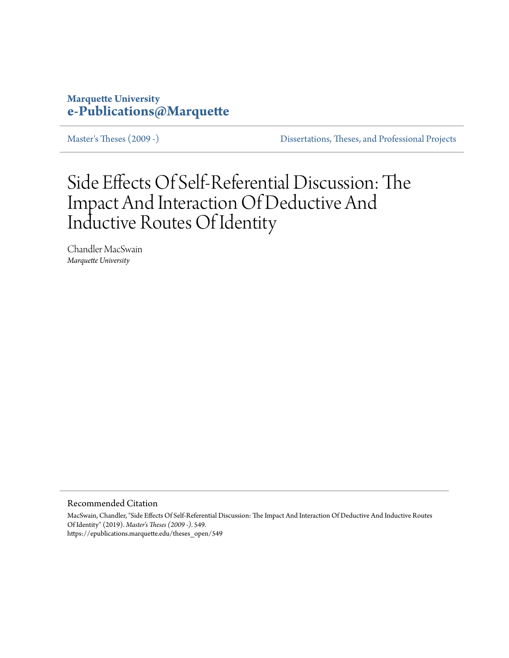## **Marquette University [e-Publications@Marquette](https://epublications.marquette.edu)**

[Master's Theses \(2009 -\)](https://epublications.marquette.edu/theses_open) [Dissertations, Theses, and Professional Projects](https://epublications.marquette.edu/diss_theses)

# Side Effects Of Self-Referential Discussion: The Impact And Interaction Of Deductive And Inductive Routes Of Identity

Chandler MacSwain *Marquette University*

Recommended Citation

MacSwain, Chandler, "Side Effects Of Self-Referential Discussion: The Impact And Interaction Of Deductive And Inductive Routes Of Identity" (2019). *Master's Theses (2009 -)*. 549. https://epublications.marquette.edu/theses\_open/549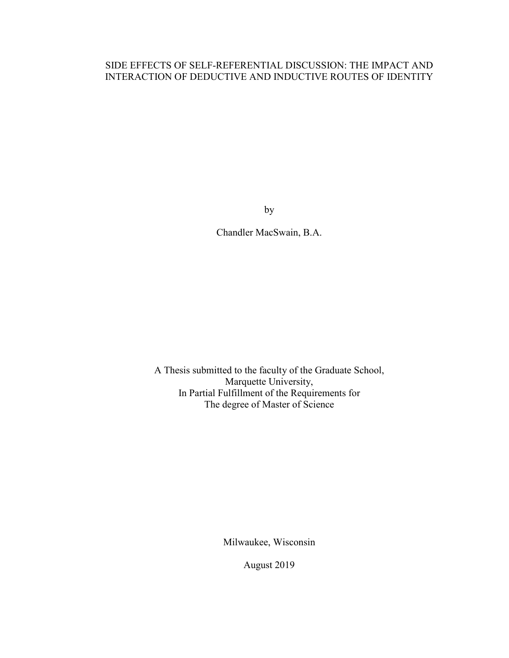### SIDE EFFECTS OF SELF-REFERENTIAL DISCUSSION: THE IMPACT AND INTERACTION OF DEDUCTIVE AND INDUCTIVE ROUTES OF IDENTITY

by

Chandler MacSwain, B.A.

A Thesis submitted to the faculty of the Graduate School, Marquette University, In Partial Fulfillment of the Requirements for The degree of Master of Science

Milwaukee, Wisconsin

August 2019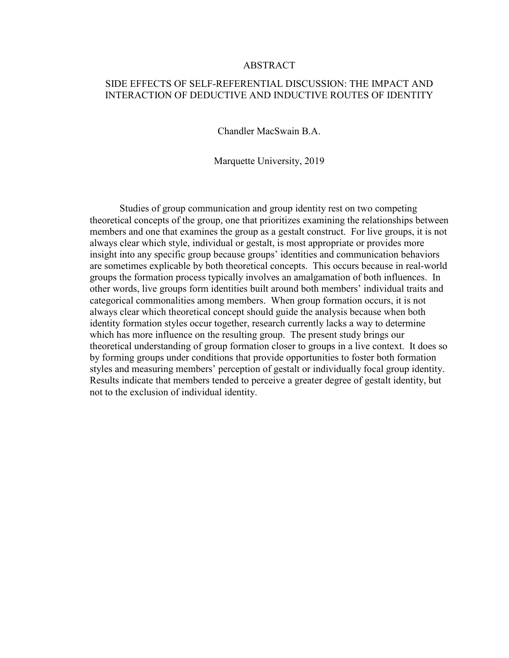#### ABSTRACT

#### SIDE EFFECTS OF SELF-REFERENTIAL DISCUSSION: THE IMPACT AND INTERACTION OF DEDUCTIVE AND INDUCTIVE ROUTES OF IDENTITY

Chandler MacSwain B.A.

Marquette University, 2019

Studies of group communication and group identity rest on two competing theoretical concepts of the group, one that prioritizes examining the relationships between members and one that examines the group as a gestalt construct. For live groups, it is not always clear which style, individual or gestalt, is most appropriate or provides more insight into any specific group because groups' identities and communication behaviors are sometimes explicable by both theoretical concepts. This occurs because in real-world groups the formation process typically involves an amalgamation of both influences. In other words, live groups form identities built around both members' individual traits and categorical commonalities among members. When group formation occurs, it is not always clear which theoretical concept should guide the analysis because when both identity formation styles occur together, research currently lacks a way to determine which has more influence on the resulting group. The present study brings our theoretical understanding of group formation closer to groups in a live context. It does so by forming groups under conditions that provide opportunities to foster both formation styles and measuring members' perception of gestalt or individually focal group identity. Results indicate that members tended to perceive a greater degree of gestalt identity, but not to the exclusion of individual identity.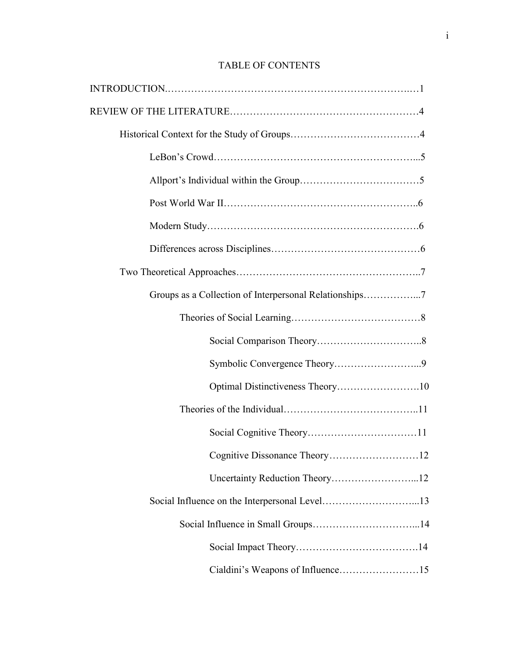## TABLE OF CONTENTS

| Groups as a Collection of Interpersonal Relationships7 |
|--------------------------------------------------------|
|                                                        |
|                                                        |
|                                                        |
| Optimal Distinctiveness Theory10                       |
|                                                        |
|                                                        |
|                                                        |
|                                                        |
| Social Influence on the Interpersonal Level13          |
|                                                        |
|                                                        |
| Cialdini's Weapons of Influence15                      |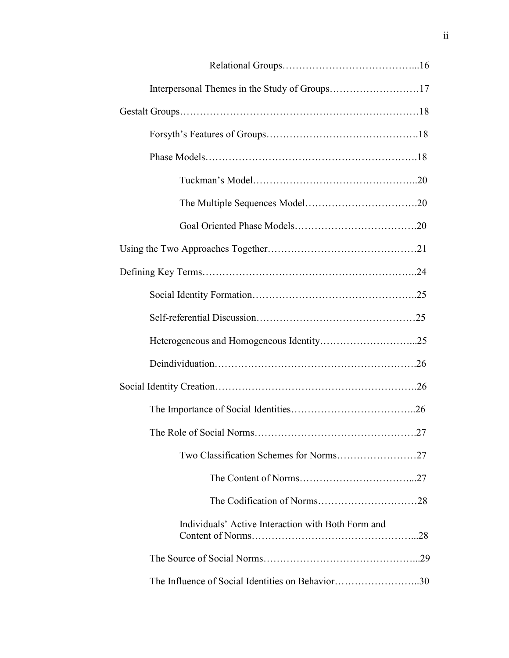|                                                    | 27 |
|----------------------------------------------------|----|
|                                                    |    |
|                                                    |    |
|                                                    |    |
| Individuals' Active Interaction with Both Form and |    |
|                                                    |    |
| The Influence of Social Identities on Behavior30   |    |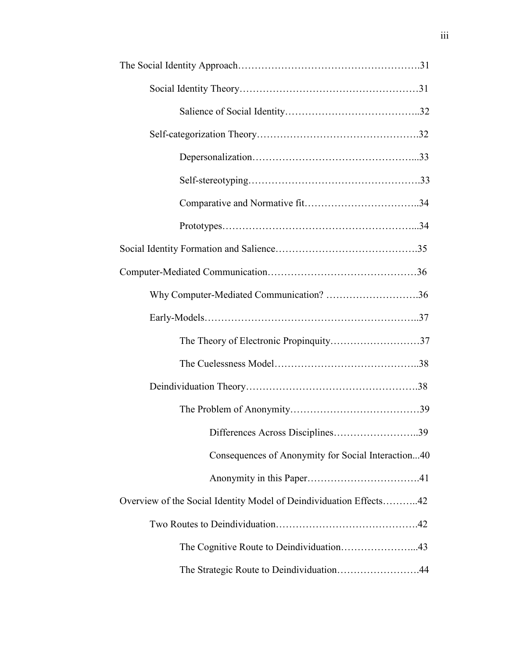| Why Computer-Mediated Communication? 36                            |
|--------------------------------------------------------------------|
|                                                                    |
|                                                                    |
|                                                                    |
|                                                                    |
|                                                                    |
| Differences Across Disciplines39                                   |
| Consequences of Anonymity for Social Interaction40                 |
|                                                                    |
| Overview of the Social Identity Model of Deindividuation Effects42 |
|                                                                    |
|                                                                    |
| The Strategic Route to Deindividuation44                           |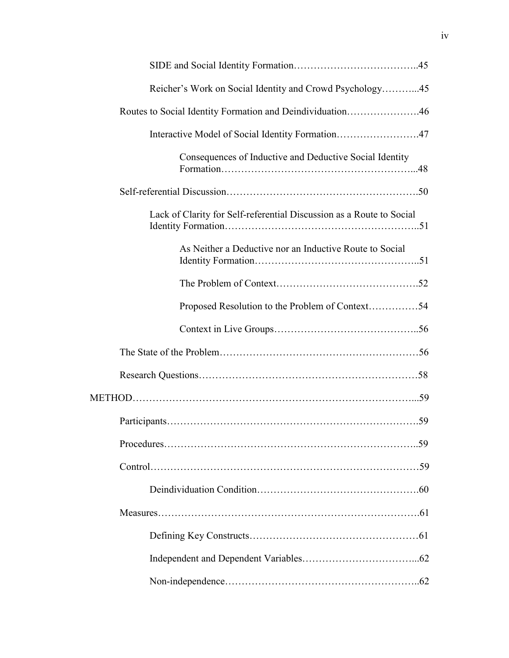| Reicher's Work on Social Identity and Crowd Psychology45             |
|----------------------------------------------------------------------|
| Routes to Social Identity Formation and Deindividuation46            |
| Interactive Model of Social Identity Formation47                     |
| Consequences of Inductive and Deductive Social Identity              |
|                                                                      |
| Lack of Clarity for Self-referential Discussion as a Route to Social |
| As Neither a Deductive nor an Inductive Route to Social              |
|                                                                      |
| Proposed Resolution to the Problem of Context54                      |
|                                                                      |
|                                                                      |
|                                                                      |
|                                                                      |
|                                                                      |
|                                                                      |
|                                                                      |
|                                                                      |
|                                                                      |
|                                                                      |
|                                                                      |
|                                                                      |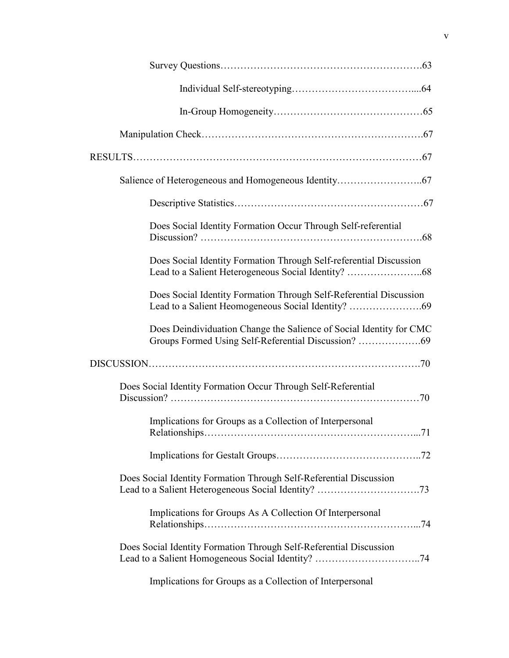| Does Social Identity Formation Occur Through Self-referential          |
|------------------------------------------------------------------------|
| Does Social Identity Formation Through Self-referential Discussion     |
| Does Social Identity Formation Through Self-Referential Discussion     |
| Does Deindividuation Change the Salience of Social Identity for CMC    |
|                                                                        |
| Does Social Identity Formation Occur Through Self-Referential          |
| Implications for Groups as a Collection of Interpersonal<br>$\dots 71$ |
|                                                                        |
| Does Social Identity Formation Through Self-Referential Discussion     |
| Implications for Groups As A Collection Of Interpersonal               |
| Does Social Identity Formation Through Self-Referential Discussion     |

Implications for Groups as a Collection of Interpersonal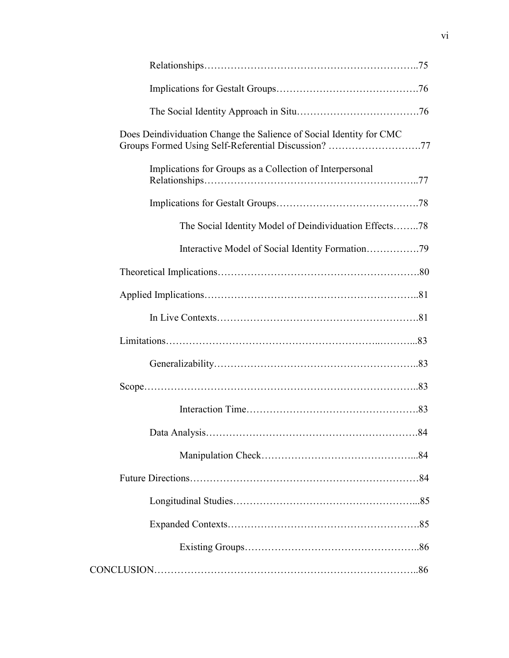| Does Deindividuation Change the Salience of Social Identity for CMC<br>Groups Formed Using Self-Referential Discussion? 77 |  |
|----------------------------------------------------------------------------------------------------------------------------|--|
| Implications for Groups as a Collection of Interpersonal                                                                   |  |
|                                                                                                                            |  |
| The Social Identity Model of Deindividuation Effects78                                                                     |  |
|                                                                                                                            |  |
|                                                                                                                            |  |
|                                                                                                                            |  |
|                                                                                                                            |  |
|                                                                                                                            |  |
|                                                                                                                            |  |
|                                                                                                                            |  |
|                                                                                                                            |  |
|                                                                                                                            |  |
|                                                                                                                            |  |
|                                                                                                                            |  |
|                                                                                                                            |  |
|                                                                                                                            |  |
|                                                                                                                            |  |
|                                                                                                                            |  |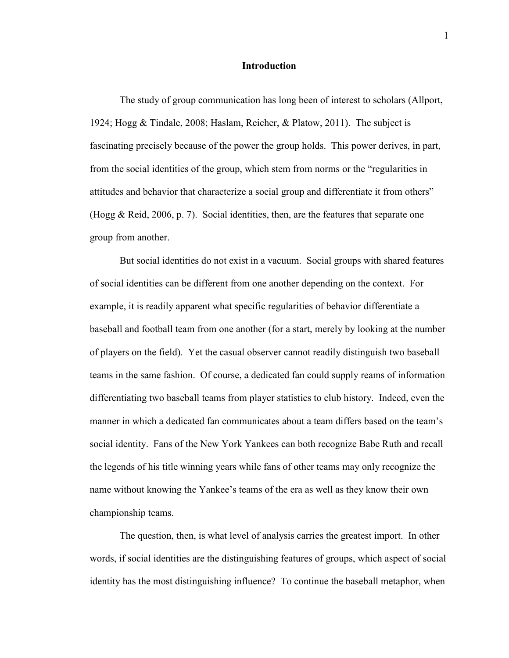#### **Introduction**

The study of group communication has long been of interest to scholars (Allport, 1924; Hogg & Tindale, 2008; Haslam, Reicher, & Platow, 2011). The subject is fascinating precisely because of the power the group holds. This power derives, in part, from the social identities of the group, which stem from norms or the "regularities in attitudes and behavior that characterize a social group and differentiate it from others" (Hogg & Reid, 2006, p. 7). Social identities, then, are the features that separate one group from another.

But social identities do not exist in a vacuum. Social groups with shared features of social identities can be different from one another depending on the context. For example, it is readily apparent what specific regularities of behavior differentiate a baseball and football team from one another (for a start, merely by looking at the number of players on the field). Yet the casual observer cannot readily distinguish two baseball teams in the same fashion. Of course, a dedicated fan could supply reams of information differentiating two baseball teams from player statistics to club history. Indeed, even the manner in which a dedicated fan communicates about a team differs based on the team's social identity. Fans of the New York Yankees can both recognize Babe Ruth and recall the legends of his title winning years while fans of other teams may only recognize the name without knowing the Yankee's teams of the era as well as they know their own championship teams.

The question, then, is what level of analysis carries the greatest import. In other words, if social identities are the distinguishing features of groups, which aspect of social identity has the most distinguishing influence? To continue the baseball metaphor, when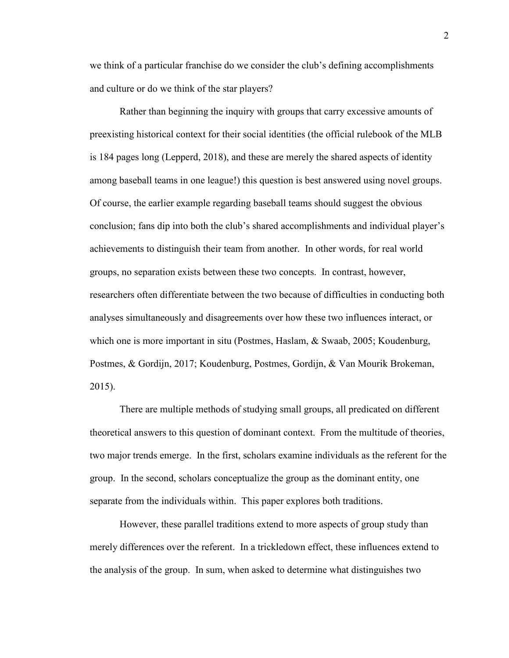we think of a particular franchise do we consider the club's defining accomplishments and culture or do we think of the star players?

Rather than beginning the inquiry with groups that carry excessive amounts of preexisting historical context for their social identities (the official rulebook of the MLB is 184 pages long (Lepperd, 2018), and these are merely the shared aspects of identity among baseball teams in one league!) this question is best answered using novel groups. Of course, the earlier example regarding baseball teams should suggest the obvious conclusion; fans dip into both the club's shared accomplishments and individual player's achievements to distinguish their team from another. In other words, for real world groups, no separation exists between these two concepts. In contrast, however, researchers often differentiate between the two because of difficulties in conducting both analyses simultaneously and disagreements over how these two influences interact, or which one is more important in situ (Postmes, Haslam, & Swaab, 2005; Koudenburg, Postmes, & Gordijn, 2017; Koudenburg, Postmes, Gordijn, & Van Mourik Brokeman, 2015).

There are multiple methods of studying small groups, all predicated on different theoretical answers to this question of dominant context. From the multitude of theories, two major trends emerge. In the first, scholars examine individuals as the referent for the group. In the second, scholars conceptualize the group as the dominant entity, one separate from the individuals within. This paper explores both traditions.

However, these parallel traditions extend to more aspects of group study than merely differences over the referent. In a trickledown effect, these influences extend to the analysis of the group. In sum, when asked to determine what distinguishes two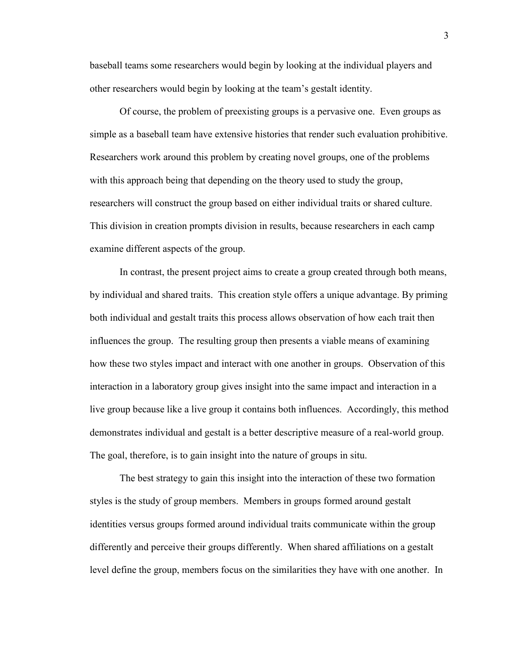baseball teams some researchers would begin by looking at the individual players and other researchers would begin by looking at the team's gestalt identity.

 Of course, the problem of preexisting groups is a pervasive one. Even groups as simple as a baseball team have extensive histories that render such evaluation prohibitive. Researchers work around this problem by creating novel groups, one of the problems with this approach being that depending on the theory used to study the group, researchers will construct the group based on either individual traits or shared culture. This division in creation prompts division in results, because researchers in each camp examine different aspects of the group.

 In contrast, the present project aims to create a group created through both means, by individual and shared traits. This creation style offers a unique advantage. By priming both individual and gestalt traits this process allows observation of how each trait then influences the group. The resulting group then presents a viable means of examining how these two styles impact and interact with one another in groups. Observation of this interaction in a laboratory group gives insight into the same impact and interaction in a live group because like a live group it contains both influences. Accordingly, this method demonstrates individual and gestalt is a better descriptive measure of a real-world group. The goal, therefore, is to gain insight into the nature of groups in situ.

 The best strategy to gain this insight into the interaction of these two formation styles is the study of group members. Members in groups formed around gestalt identities versus groups formed around individual traits communicate within the group differently and perceive their groups differently. When shared affiliations on a gestalt level define the group, members focus on the similarities they have with one another. In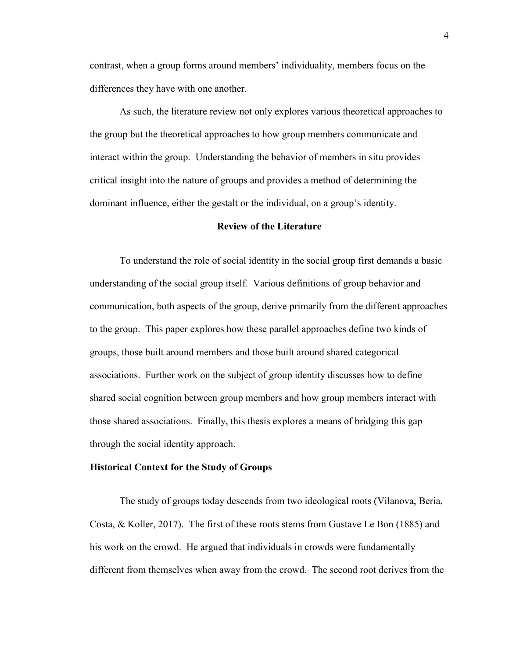contrast, when a group forms around members' individuality, members focus on the differences they have with one another.

As such, the literature review not only explores various theoretical approaches to the group but the theoretical approaches to how group members communicate and interact within the group. Understanding the behavior of members in situ provides critical insight into the nature of groups and provides a method of determining the dominant influence, either the gestalt or the individual, on a group's identity.

#### **Review of the Literature**

To understand the role of social identity in the social group first demands a basic understanding of the social group itself. Various definitions of group behavior and communication, both aspects of the group, derive primarily from the different approaches to the group. This paper explores how these parallel approaches define two kinds of groups, those built around members and those built around shared categorical associations. Further work on the subject of group identity discusses how to define shared social cognition between group members and how group members interact with those shared associations. Finally, this thesis explores a means of bridging this gap through the social identity approach.

#### **Historical Context for the Study of Groups**

The study of groups today descends from two ideological roots (Vilanova, Beria, Costa,  $\&$  Koller, 2017). The first of these roots stems from Gustave Le Bon (1885) and his work on the crowd. He argued that individuals in crowds were fundamentally different from themselves when away from the crowd. The second root derives from the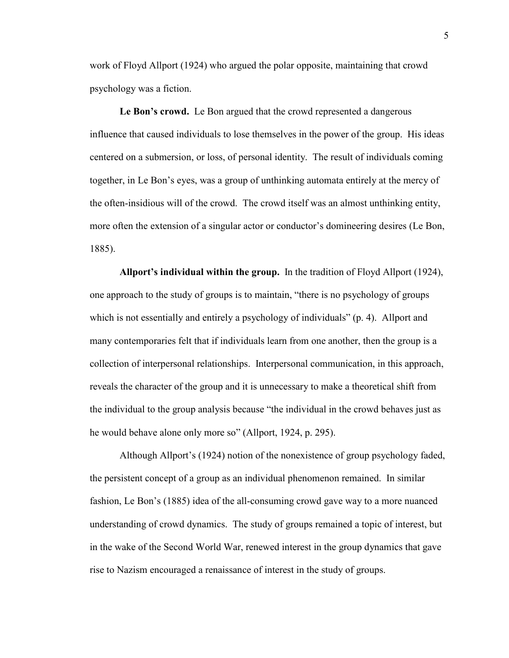work of Floyd Allport (1924) who argued the polar opposite, maintaining that crowd psychology was a fiction.

Le Bon's crowd. Le Bon argued that the crowd represented a dangerous influence that caused individuals to lose themselves in the power of the group. His ideas centered on a submersion, or loss, of personal identity. The result of individuals coming together, in Le Bon's eyes, was a group of unthinking automata entirely at the mercy of the often-insidious will of the crowd. The crowd itself was an almost unthinking entity, more often the extension of a singular actor or conductor's domineering desires (Le Bon, 1885).

**Allport's individual within the group.** In the tradition of Floyd Allport (1924), one approach to the study of groups is to maintain, "there is no psychology of groups which is not essentially and entirely a psychology of individuals" (p. 4). Allport and many contemporaries felt that if individuals learn from one another, then the group is a collection of interpersonal relationships. Interpersonal communication, in this approach, reveals the character of the group and it is unnecessary to make a theoretical shift from the individual to the group analysis because "the individual in the crowd behaves just as he would behave alone only more so" (Allport, 1924, p. 295).

Although Allport's (1924) notion of the nonexistence of group psychology faded, the persistent concept of a group as an individual phenomenon remained. In similar fashion, Le Bon's (1885) idea of the all-consuming crowd gave way to a more nuanced understanding of crowd dynamics. The study of groups remained a topic of interest, but in the wake of the Second World War, renewed interest in the group dynamics that gave rise to Nazism encouraged a renaissance of interest in the study of groups.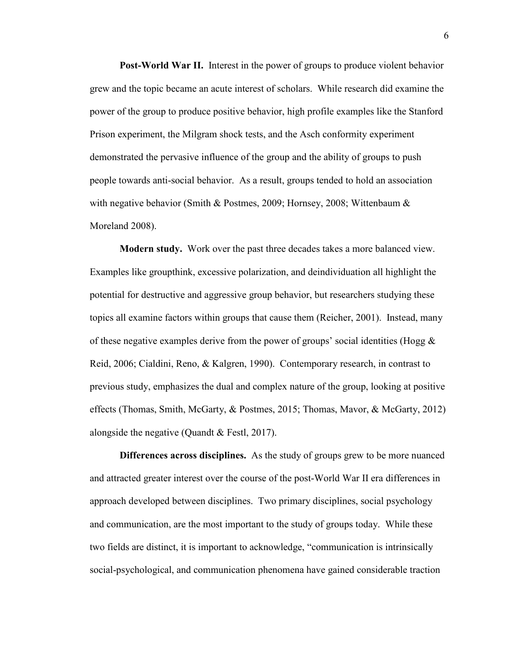**Post-World War II.** Interest in the power of groups to produce violent behavior grew and the topic became an acute interest of scholars. While research did examine the power of the group to produce positive behavior, high profile examples like the Stanford Prison experiment, the Milgram shock tests, and the Asch conformity experiment demonstrated the pervasive influence of the group and the ability of groups to push people towards anti-social behavior. As a result, groups tended to hold an association with negative behavior (Smith & Postmes, 2009; Hornsey, 2008; Wittenbaum & Moreland 2008).

**Modern study.** Work over the past three decades takes a more balanced view. Examples like groupthink, excessive polarization, and deindividuation all highlight the potential for destructive and aggressive group behavior, but researchers studying these topics all examine factors within groups that cause them (Reicher, 2001). Instead, many of these negative examples derive from the power of groups' social identities (Hogg  $\&$ Reid, 2006; Cialdini, Reno, & Kalgren, 1990). Contemporary research, in contrast to previous study, emphasizes the dual and complex nature of the group, looking at positive effects (Thomas, Smith, McGarty, & Postmes, 2015; Thomas, Mavor, & McGarty, 2012) alongside the negative (Quandt & Festl, 2017).

**Differences across disciplines.** As the study of groups grew to be more nuanced and attracted greater interest over the course of the post-World War II era differences in approach developed between disciplines. Two primary disciplines, social psychology and communication, are the most important to the study of groups today. While these two fields are distinct, it is important to acknowledge, "communication is intrinsically social-psychological, and communication phenomena have gained considerable traction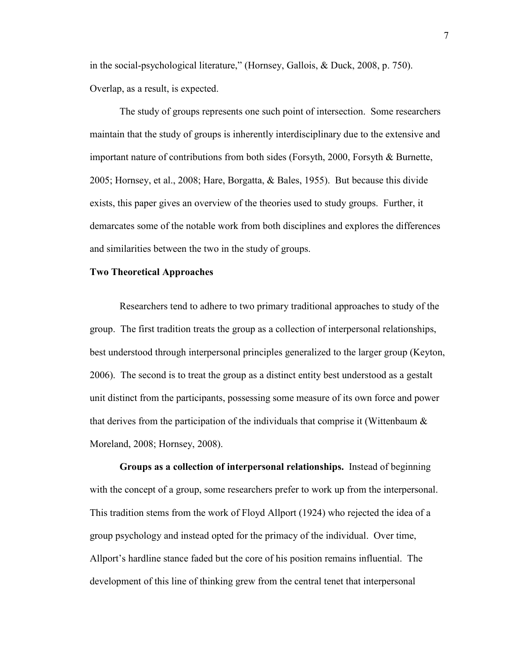in the social-psychological literature," (Hornsey, Gallois, & Duck, 2008, p. 750). Overlap, as a result, is expected.

The study of groups represents one such point of intersection. Some researchers maintain that the study of groups is inherently interdisciplinary due to the extensive and important nature of contributions from both sides (Forsyth, 2000, Forsyth & Burnette, 2005; Hornsey, et al., 2008; Hare, Borgatta, & Bales, 1955). But because this divide exists, this paper gives an overview of the theories used to study groups. Further, it demarcates some of the notable work from both disciplines and explores the differences and similarities between the two in the study of groups.

#### **Two Theoretical Approaches**

Researchers tend to adhere to two primary traditional approaches to study of the group. The first tradition treats the group as a collection of interpersonal relationships, best understood through interpersonal principles generalized to the larger group (Keyton, 2006). The second is to treat the group as a distinct entity best understood as a gestalt unit distinct from the participants, possessing some measure of its own force and power that derives from the participation of the individuals that comprise it (Wittenbaum  $\&$ Moreland, 2008; Hornsey, 2008).

**Groups as a collection of interpersonal relationships.**Instead of beginning with the concept of a group, some researchers prefer to work up from the interpersonal. This tradition stems from the work of Floyd Allport (1924) who rejected the idea of a group psychology and instead opted for the primacy of the individual. Over time, Allport's hardline stance faded but the core of his position remains influential. The development of this line of thinking grew from the central tenet that interpersonal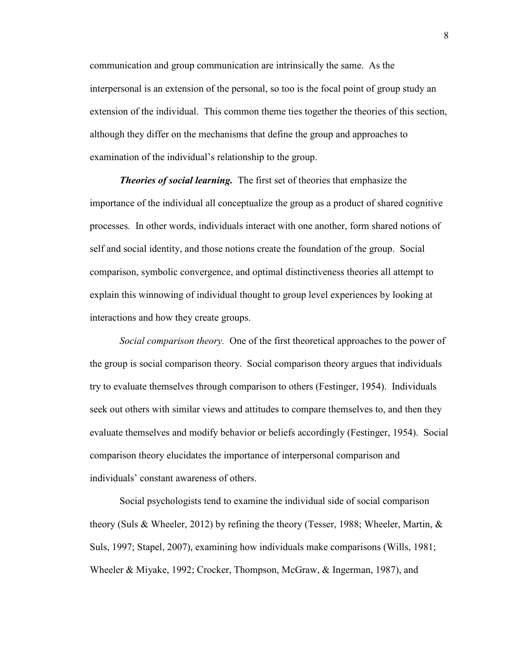communication and group communication are intrinsically the same. As the interpersonal is an extension of the personal, so too is the focal point of group study an extension of the individual. This common theme ties together the theories of this section, although they differ on the mechanisms that define the group and approaches to examination of the individual's relationship to the group.

*Theories of social learning.* The first set of theories that emphasize the importance of the individual all conceptualize the group as a product of shared cognitive processes. In other words, individuals interact with one another, form shared notions of self and social identity, and those notions create the foundation of the group. Social comparison, symbolic convergence, and optimal distinctiveness theories all attempt to explain this winnowing of individual thought to group level experiences by looking at interactions and how they create groups.

*Social comparison theory.* One of the first theoretical approaches to the power of the group is social comparison theory. Social comparison theory argues that individuals try to evaluate themselves through comparison to others (Festinger, 1954). Individuals seek out others with similar views and attitudes to compare themselves to, and then they evaluate themselves and modify behavior or beliefs accordingly (Festinger, 1954). Social comparison theory elucidates the importance of interpersonal comparison and individuals' constant awareness of others.

Social psychologists tend to examine the individual side of social comparison theory (Suls & Wheeler, 2012) by refining the theory (Tesser, 1988; Wheeler, Martin, & Suls, 1997; Stapel, 2007), examining how individuals make comparisons (Wills, 1981; Wheeler & Miyake, 1992; Crocker, Thompson, McGraw, & Ingerman, 1987), and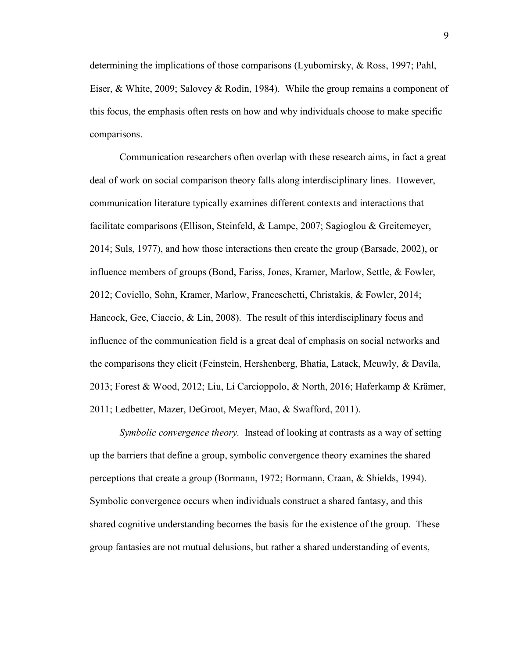determining the implications of those comparisons (Lyubomirsky, & Ross, 1997; Pahl, Eiser, & White, 2009; Salovey & Rodin, 1984). While the group remains a component of this focus, the emphasis often rests on how and why individuals choose to make specific comparisons.

Communication researchers often overlap with these research aims, in fact a great deal of work on social comparison theory falls along interdisciplinary lines. However, communication literature typically examines different contexts and interactions that facilitate comparisons (Ellison, Steinfeld, & Lampe, 2007; Sagioglou & Greitemeyer, 2014; Suls, 1977), and how those interactions then create the group (Barsade, 2002), or influence members of groups (Bond, Fariss, Jones, Kramer, Marlow, Settle, & Fowler, 2012; Coviello, Sohn, Kramer, Marlow, Franceschetti, Christakis, & Fowler, 2014; Hancock, Gee, Ciaccio, & Lin, 2008). The result of this interdisciplinary focus and influence of the communication field is a great deal of emphasis on social networks and the comparisons they elicit (Feinstein, Hershenberg, Bhatia, Latack, Meuwly, & Davila, 2013; Forest & Wood, 2012; Liu, Li Carcioppolo, & North, 2016; Haferkamp & Krämer, 2011; Ledbetter, Mazer, DeGroot, Meyer, Mao, & Swafford, 2011).

*Symbolic convergence theory.* Instead of looking at contrasts as a way of setting up the barriers that define a group, symbolic convergence theory examines the shared perceptions that create a group (Bormann, 1972; Bormann, Craan, & Shields, 1994). Symbolic convergence occurs when individuals construct a shared fantasy, and this shared cognitive understanding becomes the basis for the existence of the group. These group fantasies are not mutual delusions, but rather a shared understanding of events,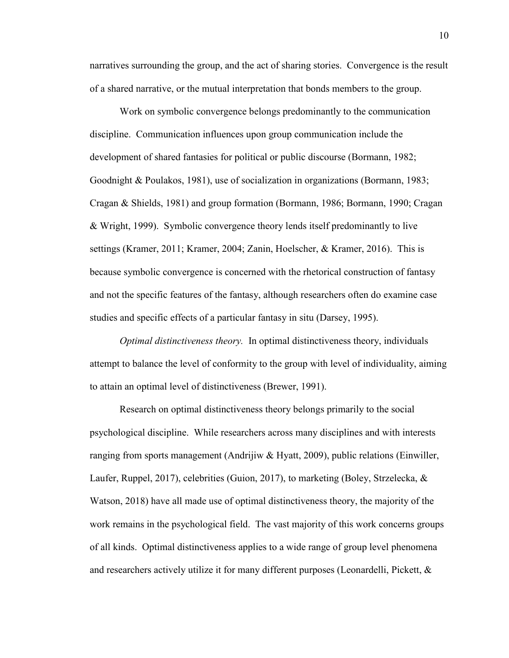narratives surrounding the group, and the act of sharing stories. Convergence is the result of a shared narrative, or the mutual interpretation that bonds members to the group.

Work on symbolic convergence belongs predominantly to the communication discipline. Communication influences upon group communication include the development of shared fantasies for political or public discourse (Bormann, 1982; Goodnight & Poulakos, 1981), use of socialization in organizations (Bormann, 1983; Cragan & Shields, 1981) and group formation (Bormann, 1986; Bormann, 1990; Cragan & Wright, 1999). Symbolic convergence theory lends itself predominantly to live settings (Kramer, 2011; Kramer, 2004; Zanin, Hoelscher, & Kramer, 2016). This is because symbolic convergence is concerned with the rhetorical construction of fantasy and not the specific features of the fantasy, although researchers often do examine case studies and specific effects of a particular fantasy in situ (Darsey, 1995).

*Optimal distinctiveness theory.* In optimal distinctiveness theory, individuals attempt to balance the level of conformity to the group with level of individuality, aiming to attain an optimal level of distinctiveness (Brewer, 1991).

 Research on optimal distinctiveness theory belongs primarily to the social psychological discipline. While researchers across many disciplines and with interests ranging from sports management (Andrijiw & Hyatt, 2009), public relations (Einwiller, Laufer, Ruppel, 2017), celebrities (Guion, 2017), to marketing (Boley, Strzelecka, & Watson, 2018) have all made use of optimal distinctiveness theory, the majority of the work remains in the psychological field. The vast majority of this work concerns groups of all kinds. Optimal distinctiveness applies to a wide range of group level phenomena and researchers actively utilize it for many different purposes (Leonardelli, Pickett, &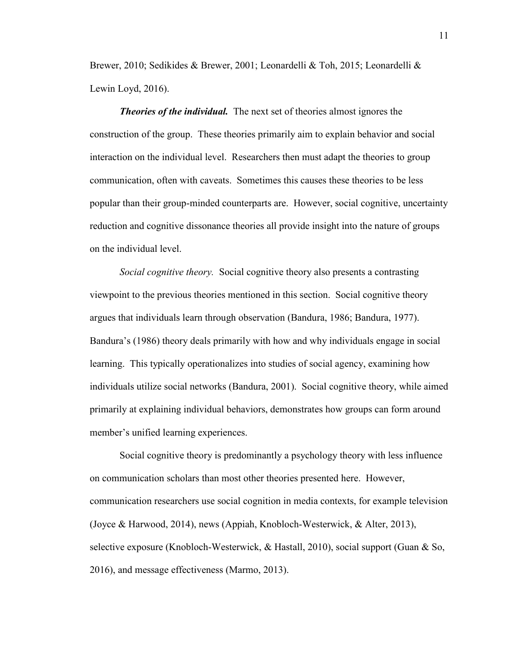Brewer, 2010; Sedikides & Brewer, 2001; Leonardelli & Toh, 2015; Leonardelli & Lewin Loyd, 2016).

*Theories of the individual.* The next set of theories almost ignores the construction of the group. These theories primarily aim to explain behavior and social interaction on the individual level. Researchers then must adapt the theories to group communication, often with caveats. Sometimes this causes these theories to be less popular than their group-minded counterparts are. However, social cognitive, uncertainty reduction and cognitive dissonance theories all provide insight into the nature of groups on the individual level.

*Social cognitive theory.* Social cognitive theory also presents a contrasting viewpoint to the previous theories mentioned in this section. Social cognitive theory argues that individuals learn through observation (Bandura, 1986; Bandura, 1977). Bandura's (1986) theory deals primarily with how and why individuals engage in social learning. This typically operationalizes into studies of social agency, examining how individuals utilize social networks (Bandura, 2001). Social cognitive theory, while aimed primarily at explaining individual behaviors, demonstrates how groups can form around member's unified learning experiences.

Social cognitive theory is predominantly a psychology theory with less influence on communication scholars than most other theories presented here. However, communication researchers use social cognition in media contexts, for example television (Joyce & Harwood, 2014), news (Appiah, Knobloch-Westerwick, & Alter, 2013), selective exposure (Knobloch-Westerwick, & Hastall, 2010), social support (Guan & So, 2016), and message effectiveness (Marmo, 2013).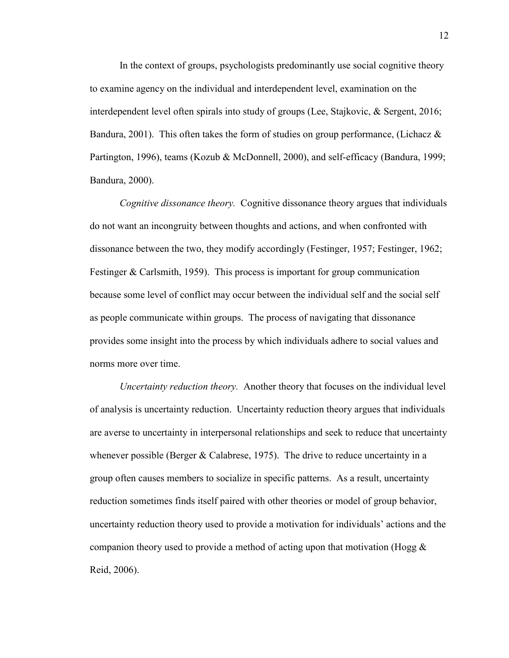In the context of groups, psychologists predominantly use social cognitive theory to examine agency on the individual and interdependent level, examination on the interdependent level often spirals into study of groups (Lee, Stajkovic, & Sergent, 2016; Bandura, 2001). This often takes the form of studies on group performance, (Lichacz  $\&$ Partington, 1996), teams (Kozub & McDonnell, 2000), and self-efficacy (Bandura, 1999; Bandura, 2000).

*Cognitive dissonance theory.* Cognitive dissonance theory argues that individuals do not want an incongruity between thoughts and actions, and when confronted with dissonance between the two, they modify accordingly (Festinger, 1957; Festinger, 1962; Festinger & Carlsmith, 1959). This process is important for group communication because some level of conflict may occur between the individual self and the social self as people communicate within groups. The process of navigating that dissonance provides some insight into the process by which individuals adhere to social values and norms more over time.

*Uncertainty reduction theory.* Another theory that focuses on the individual level of analysis is uncertainty reduction. Uncertainty reduction theory argues that individuals are averse to uncertainty in interpersonal relationships and seek to reduce that uncertainty whenever possible (Berger  $&$  Calabrese, 1975). The drive to reduce uncertainty in a group often causes members to socialize in specific patterns. As a result, uncertainty reduction sometimes finds itself paired with other theories or model of group behavior, uncertainty reduction theory used to provide a motivation for individuals' actions and the companion theory used to provide a method of acting upon that motivation (Hogg  $\&$ Reid, 2006).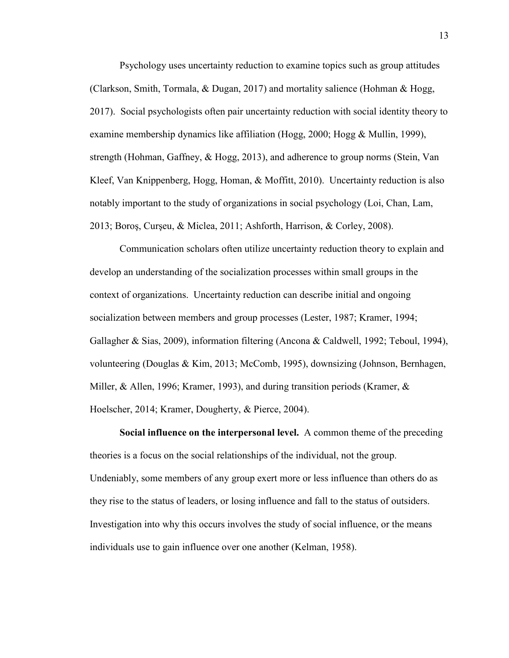Psychology uses uncertainty reduction to examine topics such as group attitudes (Clarkson, Smith, Tormala, & Dugan, 2017) and mortality salience (Hohman & Hogg, 2017). Social psychologists often pair uncertainty reduction with social identity theory to examine membership dynamics like affiliation (Hogg, 2000; Hogg & Mullin, 1999), strength (Hohman, Gaffney, & Hogg, 2013), and adherence to group norms (Stein, Van Kleef, Van Knippenberg, Hogg, Homan, & Moffitt, 2010). Uncertainty reduction is also notably important to the study of organizations in social psychology (Loi, Chan, Lam, 2013; Boroş, Curşeu, & Miclea, 2011; Ashforth, Harrison, & Corley, 2008).

Communication scholars often utilize uncertainty reduction theory to explain and develop an understanding of the socialization processes within small groups in the context of organizations. Uncertainty reduction can describe initial and ongoing socialization between members and group processes (Lester, 1987; Kramer, 1994; Gallagher & Sias, 2009), information filtering (Ancona & Caldwell, 1992; Teboul, 1994), volunteering (Douglas & Kim, 2013; McComb, 1995), downsizing (Johnson, Bernhagen, Miller,  $\&$  Allen, 1996; Kramer, 1993), and during transition periods (Kramer,  $\&$ Hoelscher, 2014; Kramer, Dougherty, & Pierce, 2004).

**Social influence on the interpersonal level.**A common theme of the preceding theories is a focus on the social relationships of the individual, not the group. Undeniably, some members of any group exert more or less influence than others do as they rise to the status of leaders, or losing influence and fall to the status of outsiders. Investigation into why this occurs involves the study of social influence, or the means individuals use to gain influence over one another (Kelman, 1958).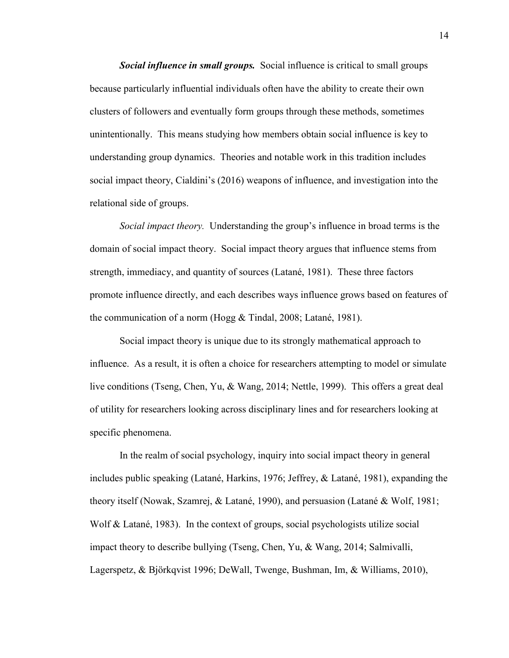*Social influence in small groups.* Social influence is critical to small groups because particularly influential individuals often have the ability to create their own clusters of followers and eventually form groups through these methods, sometimes unintentionally. This means studying how members obtain social influence is key to understanding group dynamics. Theories and notable work in this tradition includes social impact theory, Cialdini's (2016) weapons of influence, and investigation into the relational side of groups.

*Social impact theory.* Understanding the group's influence in broad terms is the domain of social impact theory. Social impact theory argues that influence stems from strength, immediacy, and quantity of sources (Latané, 1981). These three factors promote influence directly, and each describes ways influence grows based on features of the communication of a norm (Hogg & Tindal, 2008; Latané, 1981).

 Social impact theory is unique due to its strongly mathematical approach to influence. As a result, it is often a choice for researchers attempting to model or simulate live conditions (Tseng, Chen, Yu, & Wang, 2014; Nettle, 1999). This offers a great deal of utility for researchers looking across disciplinary lines and for researchers looking at specific phenomena.

 In the realm of social psychology, inquiry into social impact theory in general includes public speaking (Latané, Harkins, 1976; Jeffrey, & Latané, 1981), expanding the theory itself (Nowak, Szamrej, & Latané, 1990), and persuasion (Latané & Wolf, 1981; Wolf  $\&$  Latané, 1983). In the context of groups, social psychologists utilize social impact theory to describe bullying (Tseng, Chen, Yu, & Wang, 2014; Salmivalli, Lagerspetz, & Björkqvist 1996; DeWall, Twenge, Bushman, Im, & Williams, 2010),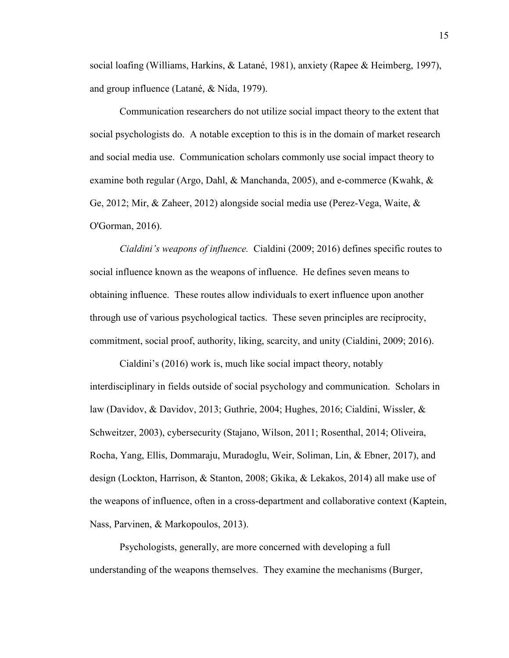social loafing (Williams, Harkins, & Latané, 1981), anxiety (Rapee & Heimberg, 1997), and group influence (Latané, & Nida, 1979).

 Communication researchers do not utilize social impact theory to the extent that social psychologists do. A notable exception to this is in the domain of market research and social media use. Communication scholars commonly use social impact theory to examine both regular (Argo, Dahl, & Manchanda, 2005), and e-commerce (Kwahk, & Ge, 2012; Mir, & Zaheer, 2012) alongside social media use (Perez-Vega, Waite, & O'Gorman, 2016).

*Cialdini's weapons of influence.* Cialdini (2009; 2016) defines specific routes to social influence known as the weapons of influence. He defines seven means to obtaining influence. These routes allow individuals to exert influence upon another through use of various psychological tactics. These seven principles are reciprocity, commitment, social proof, authority, liking, scarcity, and unity (Cialdini, 2009; 2016).

 Cialdini's (2016) work is, much like social impact theory, notably interdisciplinary in fields outside of social psychology and communication. Scholars in law (Davidov, & Davidov, 2013; Guthrie, 2004; Hughes, 2016; Cialdini, Wissler, & Schweitzer, 2003), cybersecurity (Stajano, Wilson, 2011; Rosenthal, 2014; Oliveira, Rocha, Yang, Ellis, Dommaraju, Muradoglu, Weir, Soliman, Lin, & Ebner, 2017), and design (Lockton, Harrison, & Stanton, 2008; Gkika, & Lekakos, 2014) all make use of the weapons of influence, often in a cross-department and collaborative context (Kaptein, Nass, Parvinen, & Markopoulos, 2013).

 Psychologists, generally, are more concerned with developing a full understanding of the weapons themselves. They examine the mechanisms (Burger,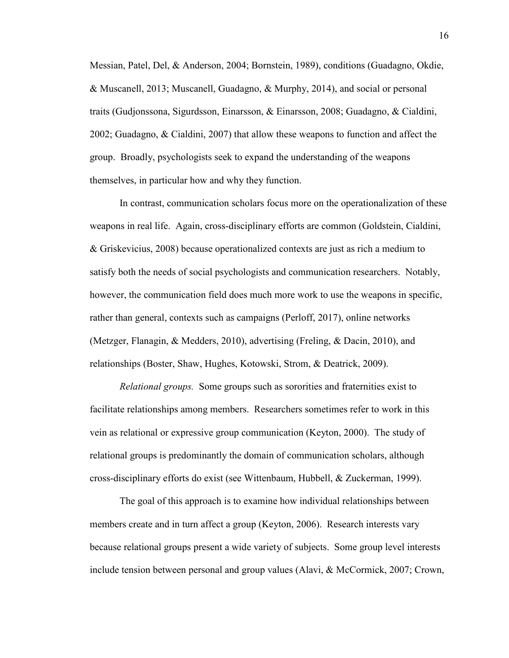Messian, Patel, Del, & Anderson, 2004; Bornstein, 1989), conditions (Guadagno, Okdie, & Muscanell, 2013; Muscanell, Guadagno, & Murphy, 2014), and social or personal traits (Gudjonssona, Sigurdsson, Einarsson, & Einarsson, 2008; Guadagno, & Cialdini, 2002; Guadagno, & Cialdini, 2007) that allow these weapons to function and affect the group. Broadly, psychologists seek to expand the understanding of the weapons themselves, in particular how and why they function.

 In contrast, communication scholars focus more on the operationalization of these weapons in real life. Again, cross-disciplinary efforts are common (Goldstein, Cialdini, & Griskevicius, 2008) because operationalized contexts are just as rich a medium to satisfy both the needs of social psychologists and communication researchers. Notably, however, the communication field does much more work to use the weapons in specific, rather than general, contexts such as campaigns (Perloff, 2017), online networks (Metzger, Flanagin, & Medders, 2010), advertising (Freling, & Dacin, 2010), and relationships (Boster, Shaw, Hughes, Kotowski, Strom, & Deatrick, 2009).

*Relational groups.* Some groups such as sororities and fraternities exist to facilitate relationships among members. Researchers sometimes refer to work in this vein as relational or expressive group communication (Keyton, 2000). The study of relational groups is predominantly the domain of communication scholars, although cross-disciplinary efforts do exist (see Wittenbaum, Hubbell, & Zuckerman, 1999).

 The goal of this approach is to examine how individual relationships between members create and in turn affect a group (Keyton, 2006). Research interests vary because relational groups present a wide variety of subjects. Some group level interests include tension between personal and group values (Alavi, & McCormick, 2007; Crown,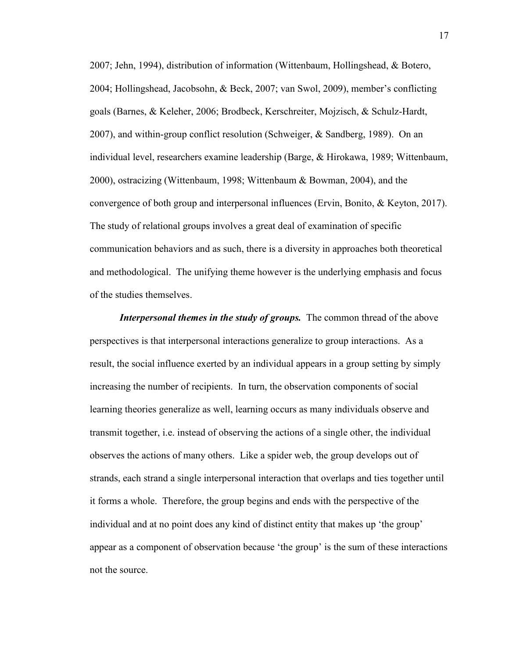2007; Jehn, 1994), distribution of information (Wittenbaum, Hollingshead, & Botero, 2004; Hollingshead, Jacobsohn, & Beck, 2007; van Swol, 2009), member's conflicting goals (Barnes, & Keleher, 2006; Brodbeck, Kerschreiter, Mojzisch, & Schulz-Hardt, 2007), and within-group conflict resolution (Schweiger, & Sandberg, 1989). On an individual level, researchers examine leadership (Barge, & Hirokawa, 1989; Wittenbaum, 2000), ostracizing (Wittenbaum, 1998; Wittenbaum & Bowman, 2004), and the convergence of both group and interpersonal influences (Ervin, Bonito, & Keyton, 2017). The study of relational groups involves a great deal of examination of specific communication behaviors and as such, there is a diversity in approaches both theoretical and methodological. The unifying theme however is the underlying emphasis and focus of the studies themselves.

*Interpersonal themes in the study of groups.* The common thread of the above perspectives is that interpersonal interactions generalize to group interactions. As a result, the social influence exerted by an individual appears in a group setting by simply increasing the number of recipients. In turn, the observation components of social learning theories generalize as well, learning occurs as many individuals observe and transmit together, i.e. instead of observing the actions of a single other, the individual observes the actions of many others. Like a spider web, the group develops out of strands, each strand a single interpersonal interaction that overlaps and ties together until it forms a whole. Therefore, the group begins and ends with the perspective of the individual and at no point does any kind of distinct entity that makes up 'the group' appear as a component of observation because 'the group' is the sum of these interactions not the source.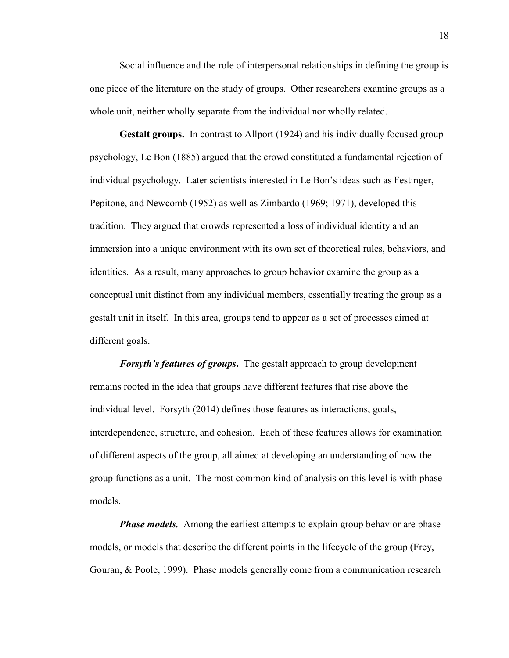Social influence and the role of interpersonal relationships in defining the group is one piece of the literature on the study of groups. Other researchers examine groups as a whole unit, neither wholly separate from the individual nor wholly related.

**Gestalt groups.** In contrast to Allport (1924) and his individually focused group psychology, Le Bon (1885) argued that the crowd constituted a fundamental rejection of individual psychology. Later scientists interested in Le Bon's ideas such as Festinger, Pepitone, and Newcomb (1952) as well as Zimbardo (1969; 1971), developed this tradition. They argued that crowds represented a loss of individual identity and an immersion into a unique environment with its own set of theoretical rules, behaviors, and identities. As a result, many approaches to group behavior examine the group as a conceptual unit distinct from any individual members, essentially treating the group as a gestalt unit in itself. In this area, groups tend to appear as a set of processes aimed at different goals.

*Forsyth's features of groups***.** The gestalt approach to group development remains rooted in the idea that groups have different features that rise above the individual level. Forsyth (2014) defines those features as interactions, goals, interdependence, structure, and cohesion. Each of these features allows for examination of different aspects of the group, all aimed at developing an understanding of how the group functions as a unit. The most common kind of analysis on this level is with phase models.

*Phase models.* Among the earliest attempts to explain group behavior are phase models, or models that describe the different points in the lifecycle of the group (Frey, Gouran, & Poole, 1999). Phase models generally come from a communication research

18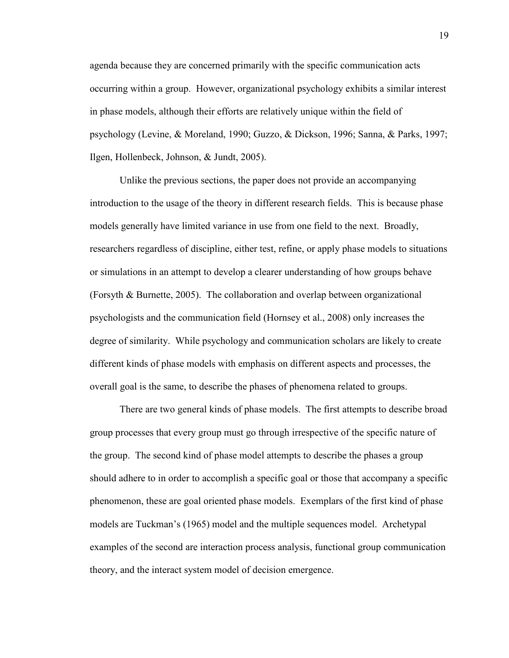agenda because they are concerned primarily with the specific communication acts occurring within a group. However, organizational psychology exhibits a similar interest in phase models, although their efforts are relatively unique within the field of psychology (Levine, & Moreland, 1990; Guzzo, & Dickson, 1996; Sanna, & Parks, 1997; Ilgen, Hollenbeck, Johnson, & Jundt, 2005).

 Unlike the previous sections, the paper does not provide an accompanying introduction to the usage of the theory in different research fields. This is because phase models generally have limited variance in use from one field to the next. Broadly, researchers regardless of discipline, either test, refine, or apply phase models to situations or simulations in an attempt to develop a clearer understanding of how groups behave (Forsyth & Burnette, 2005). The collaboration and overlap between organizational psychologists and the communication field (Hornsey et al., 2008) only increases the degree of similarity. While psychology and communication scholars are likely to create different kinds of phase models with emphasis on different aspects and processes, the overall goal is the same, to describe the phases of phenomena related to groups.

There are two general kinds of phase models. The first attempts to describe broad group processes that every group must go through irrespective of the specific nature of the group. The second kind of phase model attempts to describe the phases a group should adhere to in order to accomplish a specific goal or those that accompany a specific phenomenon, these are goal oriented phase models. Exemplars of the first kind of phase models are Tuckman's (1965) model and the multiple sequences model. Archetypal examples of the second are interaction process analysis, functional group communication theory, and the interact system model of decision emergence.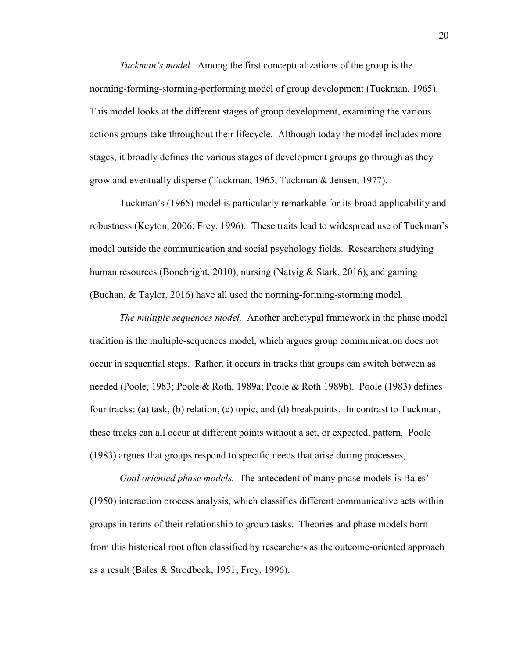*Tuckman's model.* Among the first conceptualizations of the group is the norming-forming-storming-performing model of group development (Tuckman, 1965). This model looks at the different stages of group development, examining the various actions groups take throughout their lifecycle. Although today the model includes more stages, it broadly defines the various stages of development groups go through as they grow and eventually disperse (Tuckman, 1965; Tuckman & Jensen, 1977).

Tuckman's (1965) model is particularly remarkable for its broad applicability and robustness (Keyton, 2006; Frey, 1996). These traits lead to widespread use of Tuckman's model outside the communication and social psychology fields. Researchers studying human resources (Bonebright, 2010), nursing (Natvig & Stark, 2016), and gaming (Buchan, & Taylor, 2016) have all used the norming-forming-storming model.

*The multiple sequences model.* Another archetypal framework in the phase model tradition is the multiple-sequences model, which argues group communication does not occur in sequential steps. Rather, it occurs in tracks that groups can switch between as needed (Poole, 1983; Poole & Roth, 1989a; Poole & Roth 1989b). Poole (1983) defines four tracks: (a) task, (b) relation, (c) topic, and (d) breakpoints. In contrast to Tuckman, these tracks can all occur at different points without a set, or expected, pattern. Poole (1983) argues that groups respond to specific needs that arise during processes,

*Goal oriented phase models.* The antecedent of many phase models is Bales' (1950) interaction process analysis, which classifies different communicative acts within groups in terms of their relationship to group tasks. Theories and phase models born from this historical root often classified by researchers as the outcome-oriented approach as a result (Bales & Strodbeck, 1951; Frey, 1996).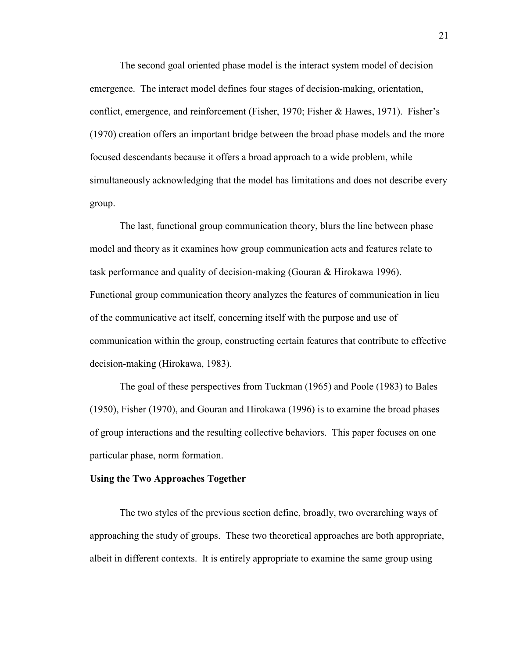The second goal oriented phase model is the interact system model of decision emergence. The interact model defines four stages of decision-making, orientation, conflict, emergence, and reinforcement (Fisher, 1970; Fisher & Hawes, 1971). Fisher's (1970) creation offers an important bridge between the broad phase models and the more focused descendants because it offers a broad approach to a wide problem, while simultaneously acknowledging that the model has limitations and does not describe every group.

The last, functional group communication theory, blurs the line between phase model and theory as it examines how group communication acts and features relate to task performance and quality of decision-making (Gouran & Hirokawa 1996). Functional group communication theory analyzes the features of communication in lieu of the communicative act itself, concerning itself with the purpose and use of communication within the group, constructing certain features that contribute to effective decision-making (Hirokawa, 1983).

The goal of these perspectives from Tuckman (1965) and Poole (1983) to Bales (1950), Fisher (1970), and Gouran and Hirokawa (1996) is to examine the broad phases of group interactions and the resulting collective behaviors. This paper focuses on one particular phase, norm formation.

#### **Using the Two Approaches Together**

 The two styles of the previous section define, broadly, two overarching ways of approaching the study of groups. These two theoretical approaches are both appropriate, albeit in different contexts. It is entirely appropriate to examine the same group using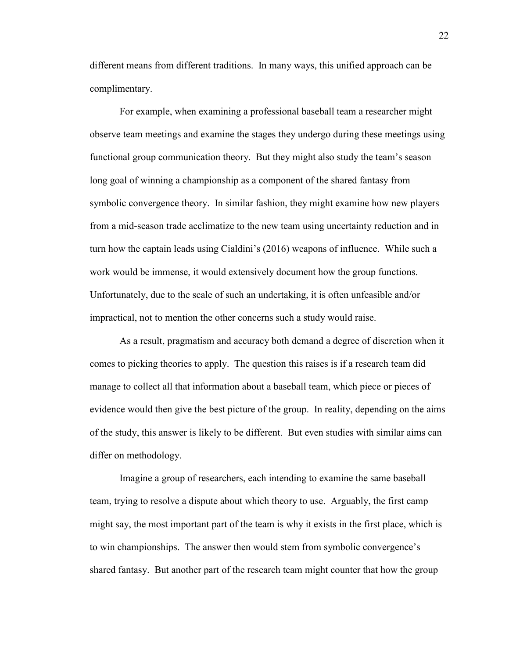different means from different traditions. In many ways, this unified approach can be complimentary.

For example, when examining a professional baseball team a researcher might observe team meetings and examine the stages they undergo during these meetings using functional group communication theory. But they might also study the team's season long goal of winning a championship as a component of the shared fantasy from symbolic convergence theory. In similar fashion, they might examine how new players from a mid-season trade acclimatize to the new team using uncertainty reduction and in turn how the captain leads using Cialdini's (2016) weapons of influence. While such a work would be immense, it would extensively document how the group functions. Unfortunately, due to the scale of such an undertaking, it is often unfeasible and/or impractical, not to mention the other concerns such a study would raise.

As a result, pragmatism and accuracy both demand a degree of discretion when it comes to picking theories to apply. The question this raises is if a research team did manage to collect all that information about a baseball team, which piece or pieces of evidence would then give the best picture of the group. In reality, depending on the aims of the study, this answer is likely to be different. But even studies with similar aims can differ on methodology.

Imagine a group of researchers, each intending to examine the same baseball team, trying to resolve a dispute about which theory to use. Arguably, the first camp might say, the most important part of the team is why it exists in the first place, which is to win championships. The answer then would stem from symbolic convergence's shared fantasy. But another part of the research team might counter that how the group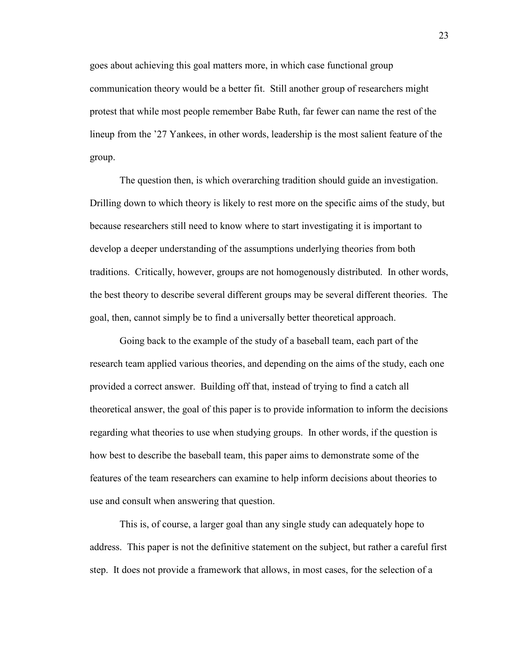goes about achieving this goal matters more, in which case functional group communication theory would be a better fit. Still another group of researchers might protest that while most people remember Babe Ruth, far fewer can name the rest of the lineup from the '27 Yankees, in other words, leadership is the most salient feature of the group.

The question then, is which overarching tradition should guide an investigation. Drilling down to which theory is likely to rest more on the specific aims of the study, but because researchers still need to know where to start investigating it is important to develop a deeper understanding of the assumptions underlying theories from both traditions. Critically, however, groups are not homogenously distributed. In other words, the best theory to describe several different groups may be several different theories. The goal, then, cannot simply be to find a universally better theoretical approach.

Going back to the example of the study of a baseball team, each part of the research team applied various theories, and depending on the aims of the study, each one provided a correct answer. Building off that, instead of trying to find a catch all theoretical answer, the goal of this paper is to provide information to inform the decisions regarding what theories to use when studying groups. In other words, if the question is how best to describe the baseball team, this paper aims to demonstrate some of the features of the team researchers can examine to help inform decisions about theories to use and consult when answering that question.

This is, of course, a larger goal than any single study can adequately hope to address. This paper is not the definitive statement on the subject, but rather a careful first step. It does not provide a framework that allows, in most cases, for the selection of a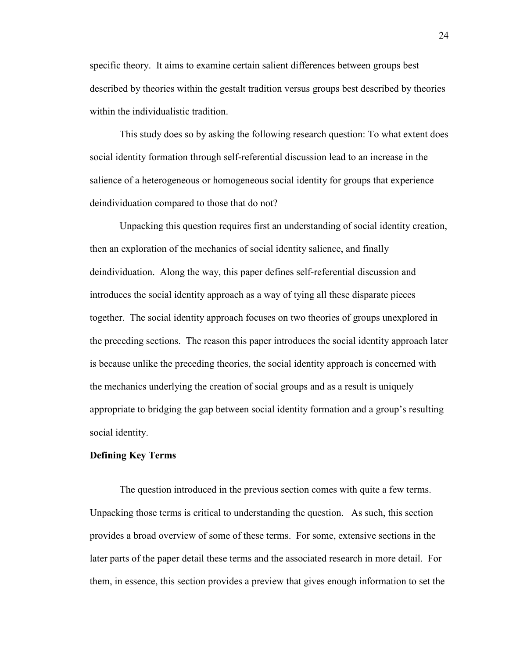specific theory. It aims to examine certain salient differences between groups best described by theories within the gestalt tradition versus groups best described by theories within the individualistic tradition.

This study does so by asking the following research question: To what extent does social identity formation through self-referential discussion lead to an increase in the salience of a heterogeneous or homogeneous social identity for groups that experience deindividuation compared to those that do not?

Unpacking this question requires first an understanding of social identity creation, then an exploration of the mechanics of social identity salience, and finally deindividuation. Along the way, this paper defines self-referential discussion and introduces the social identity approach as a way of tying all these disparate pieces together. The social identity approach focuses on two theories of groups unexplored in the preceding sections. The reason this paper introduces the social identity approach later is because unlike the preceding theories, the social identity approach is concerned with the mechanics underlying the creation of social groups and as a result is uniquely appropriate to bridging the gap between social identity formation and a group's resulting social identity.

#### **Defining Key Terms**

 The question introduced in the previous section comes with quite a few terms. Unpacking those terms is critical to understanding the question. As such, this section provides a broad overview of some of these terms. For some, extensive sections in the later parts of the paper detail these terms and the associated research in more detail. For them, in essence, this section provides a preview that gives enough information to set the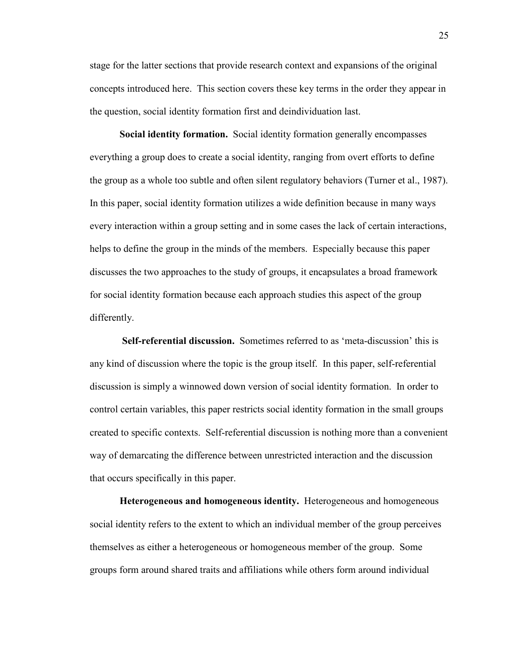stage for the latter sections that provide research context and expansions of the original concepts introduced here. This section covers these key terms in the order they appear in the question, social identity formation first and deindividuation last.

**Social identity formation.** Social identity formation generally encompasses everything a group does to create a social identity, ranging from overt efforts to define the group as a whole too subtle and often silent regulatory behaviors (Turner et al., 1987). In this paper, social identity formation utilizes a wide definition because in many ways every interaction within a group setting and in some cases the lack of certain interactions, helps to define the group in the minds of the members. Especially because this paper discusses the two approaches to the study of groups, it encapsulates a broad framework for social identity formation because each approach studies this aspect of the group differently.

 **Self-referential discussion.** Sometimes referred to as 'meta-discussion' this is any kind of discussion where the topic is the group itself. In this paper, self-referential discussion is simply a winnowed down version of social identity formation. In order to control certain variables, this paper restricts social identity formation in the small groups created to specific contexts. Self-referential discussion is nothing more than a convenient way of demarcating the difference between unrestricted interaction and the discussion that occurs specifically in this paper.

**Heterogeneous and homogeneous identity.** Heterogeneous and homogeneous social identity refers to the extent to which an individual member of the group perceives themselves as either a heterogeneous or homogeneous member of the group. Some groups form around shared traits and affiliations while others form around individual

25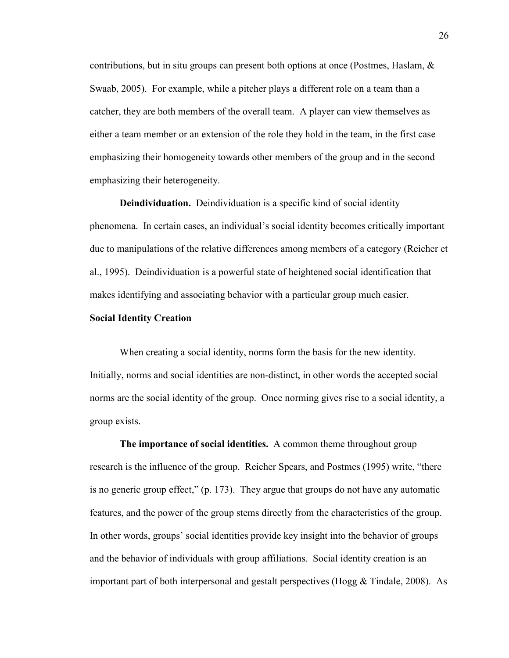contributions, but in situ groups can present both options at once (Postmes, Haslam, & Swaab, 2005). For example, while a pitcher plays a different role on a team than a catcher, they are both members of the overall team. A player can view themselves as either a team member or an extension of the role they hold in the team, in the first case emphasizing their homogeneity towards other members of the group and in the second emphasizing their heterogeneity.

**Deindividuation.** Deindividuation is a specific kind of social identity phenomena. In certain cases, an individual's social identity becomes critically important due to manipulations of the relative differences among members of a category (Reicher et al., 1995). Deindividuation is a powerful state of heightened social identification that makes identifying and associating behavior with a particular group much easier.

#### **Social Identity Creation**

When creating a social identity, norms form the basis for the new identity. Initially, norms and social identities are non-distinct, in other words the accepted social norms are the social identity of the group. Once norming gives rise to a social identity, a group exists.

**The importance of social identities.** A common theme throughout group research is the influence of the group. Reicher Spears, and Postmes (1995) write, "there is no generic group effect," (p. 173). They argue that groups do not have any automatic features, and the power of the group stems directly from the characteristics of the group. In other words, groups' social identities provide key insight into the behavior of groups and the behavior of individuals with group affiliations. Social identity creation is an important part of both interpersonal and gestalt perspectives (Hogg  $&$  Tindale, 2008). As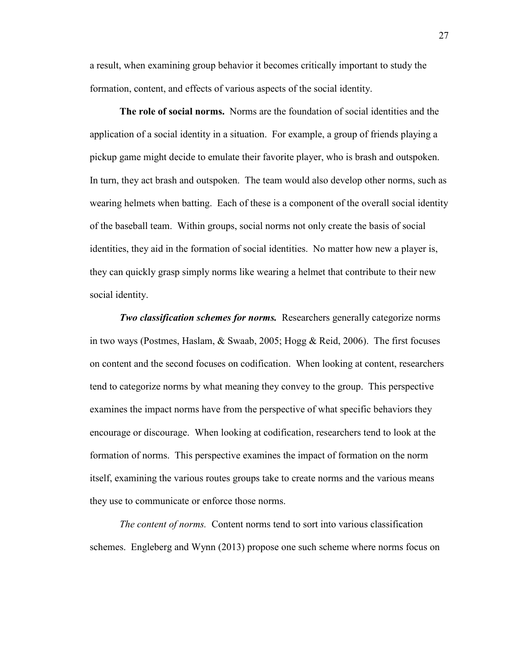a result, when examining group behavior it becomes critically important to study the formation, content, and effects of various aspects of the social identity.

**The role of social norms.** Norms are the foundation of social identities and the application of a social identity in a situation. For example, a group of friends playing a pickup game might decide to emulate their favorite player, who is brash and outspoken. In turn, they act brash and outspoken. The team would also develop other norms, such as wearing helmets when batting. Each of these is a component of the overall social identity of the baseball team. Within groups, social norms not only create the basis of social identities, they aid in the formation of social identities. No matter how new a player is, they can quickly grasp simply norms like wearing a helmet that contribute to their new social identity.

*Two classification schemes for norms.* Researchers generally categorize norms in two ways (Postmes, Haslam, & Swaab, 2005; Hogg & Reid, 2006). The first focuses on content and the second focuses on codification. When looking at content, researchers tend to categorize norms by what meaning they convey to the group. This perspective examines the impact norms have from the perspective of what specific behaviors they encourage or discourage. When looking at codification, researchers tend to look at the formation of norms. This perspective examines the impact of formation on the norm itself, examining the various routes groups take to create norms and the various means they use to communicate or enforce those norms.

*The content of norms.* Content norms tend to sort into various classification schemes. Engleberg and Wynn (2013) propose one such scheme where norms focus on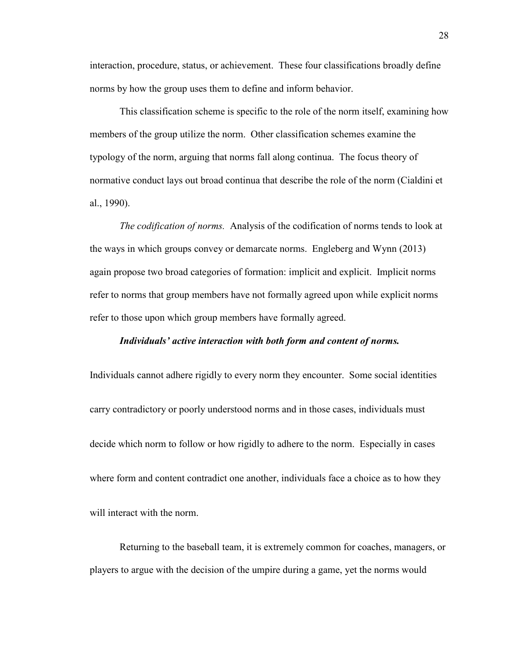interaction, procedure, status, or achievement. These four classifications broadly define norms by how the group uses them to define and inform behavior.

This classification scheme is specific to the role of the norm itself, examining how members of the group utilize the norm. Other classification schemes examine the typology of the norm, arguing that norms fall along continua. The focus theory of normative conduct lays out broad continua that describe the role of the norm (Cialdini et al., 1990).

*The codification of norms.* Analysis of the codification of norms tends to look at the ways in which groups convey or demarcate norms. Engleberg and Wynn (2013) again propose two broad categories of formation: implicit and explicit. Implicit norms refer to norms that group members have not formally agreed upon while explicit norms refer to those upon which group members have formally agreed.

### *Individuals' active interaction with both form and content of norms.*

Individuals cannot adhere rigidly to every norm they encounter. Some social identities carry contradictory or poorly understood norms and in those cases, individuals must decide which norm to follow or how rigidly to adhere to the norm. Especially in cases where form and content contradict one another, individuals face a choice as to how they will interact with the norm.

Returning to the baseball team, it is extremely common for coaches, managers, or players to argue with the decision of the umpire during a game, yet the norms would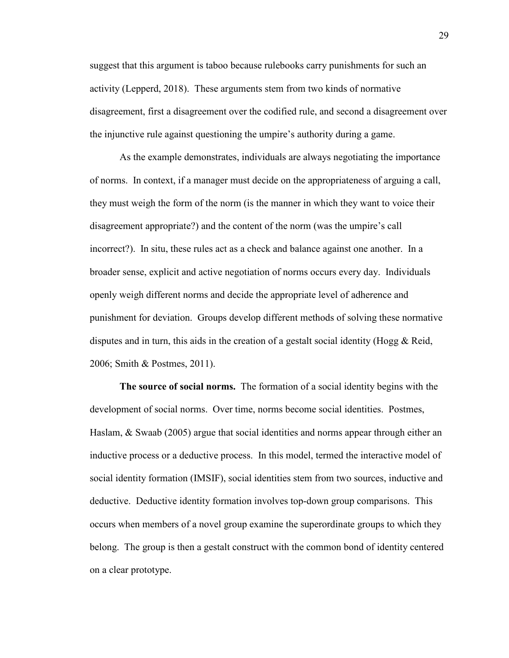suggest that this argument is taboo because rulebooks carry punishments for such an activity (Lepperd, 2018). These arguments stem from two kinds of normative disagreement, first a disagreement over the codified rule, and second a disagreement over the injunctive rule against questioning the umpire's authority during a game.

As the example demonstrates, individuals are always negotiating the importance of norms. In context, if a manager must decide on the appropriateness of arguing a call, they must weigh the form of the norm (is the manner in which they want to voice their disagreement appropriate?) and the content of the norm (was the umpire's call incorrect?). In situ, these rules act as a check and balance against one another. In a broader sense, explicit and active negotiation of norms occurs every day. Individuals openly weigh different norms and decide the appropriate level of adherence and punishment for deviation. Groups develop different methods of solving these normative disputes and in turn, this aids in the creation of a gestalt social identity (Hogg & Reid, 2006; Smith & Postmes, 2011).

**The source of social norms.** The formation of a social identity begins with the development of social norms. Over time, norms become social identities. Postmes, Haslam, & Swaab (2005) argue that social identities and norms appear through either an inductive process or a deductive process. In this model, termed the interactive model of social identity formation (IMSIF), social identities stem from two sources, inductive and deductive. Deductive identity formation involves top-down group comparisons. This occurs when members of a novel group examine the superordinate groups to which they belong. The group is then a gestalt construct with the common bond of identity centered on a clear prototype.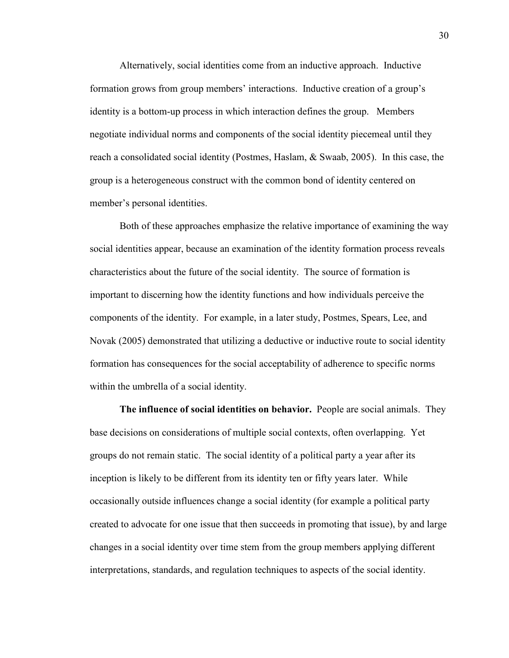Alternatively, social identities come from an inductive approach. Inductive formation grows from group members' interactions. Inductive creation of a group's identity is a bottom-up process in which interaction defines the group. Members negotiate individual norms and components of the social identity piecemeal until they reach a consolidated social identity (Postmes, Haslam, & Swaab, 2005). In this case, the group is a heterogeneous construct with the common bond of identity centered on member's personal identities.

Both of these approaches emphasize the relative importance of examining the way social identities appear, because an examination of the identity formation process reveals characteristics about the future of the social identity. The source of formation is important to discerning how the identity functions and how individuals perceive the components of the identity. For example, in a later study, Postmes, Spears, Lee, and Novak (2005) demonstrated that utilizing a deductive or inductive route to social identity formation has consequences for the social acceptability of adherence to specific norms within the umbrella of a social identity.

**The influence of social identities on behavior.** People are social animals. They base decisions on considerations of multiple social contexts, often overlapping. Yet groups do not remain static. The social identity of a political party a year after its inception is likely to be different from its identity ten or fifty years later. While occasionally outside influences change a social identity (for example a political party created to advocate for one issue that then succeeds in promoting that issue), by and large changes in a social identity over time stem from the group members applying different interpretations, standards, and regulation techniques to aspects of the social identity.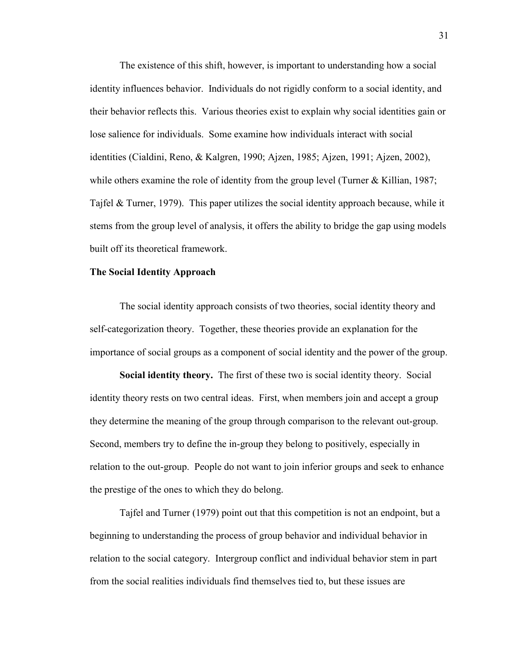The existence of this shift, however, is important to understanding how a social identity influences behavior. Individuals do not rigidly conform to a social identity, and their behavior reflects this. Various theories exist to explain why social identities gain or lose salience for individuals. Some examine how individuals interact with social identities (Cialdini, Reno, & Kalgren, 1990; Ajzen, 1985; Ajzen, 1991; Ajzen, 2002), while others examine the role of identity from the group level (Turner & Killian, 1987; Tajfel & Turner, 1979). This paper utilizes the social identity approach because, while it stems from the group level of analysis, it offers the ability to bridge the gap using models built off its theoretical framework.

#### **The Social Identity Approach**

The social identity approach consists of two theories, social identity theory and self-categorization theory. Together, these theories provide an explanation for the importance of social groups as a component of social identity and the power of the group.

**Social identity theory.** The first of these two is social identity theory. Social identity theory rests on two central ideas. First, when members join and accept a group they determine the meaning of the group through comparison to the relevant out-group. Second, members try to define the in-group they belong to positively, especially in relation to the out-group. People do not want to join inferior groups and seek to enhance the prestige of the ones to which they do belong.

Tajfel and Turner (1979) point out that this competition is not an endpoint, but a beginning to understanding the process of group behavior and individual behavior in relation to the social category. Intergroup conflict and individual behavior stem in part from the social realities individuals find themselves tied to, but these issues are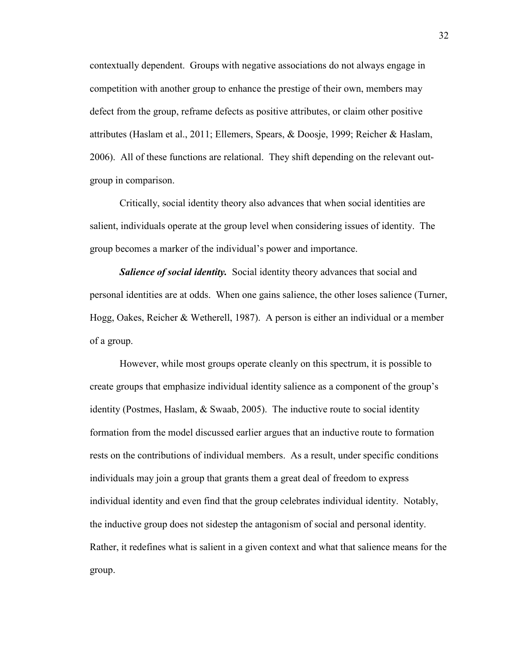contextually dependent. Groups with negative associations do not always engage in competition with another group to enhance the prestige of their own, members may defect from the group, reframe defects as positive attributes, or claim other positive attributes (Haslam et al., 2011; Ellemers, Spears, & Doosje, 1999; Reicher & Haslam, 2006). All of these functions are relational. They shift depending on the relevant outgroup in comparison.

Critically, social identity theory also advances that when social identities are salient, individuals operate at the group level when considering issues of identity. The group becomes a marker of the individual's power and importance.

**Salience of social identity.** Social identity theory advances that social and personal identities are at odds. When one gains salience, the other loses salience (Turner, Hogg, Oakes, Reicher & Wetherell, 1987). A person is either an individual or a member of a group.

However, while most groups operate cleanly on this spectrum, it is possible to create groups that emphasize individual identity salience as a component of the group's identity (Postmes, Haslam, & Swaab, 2005). The inductive route to social identity formation from the model discussed earlier argues that an inductive route to formation rests on the contributions of individual members. As a result, under specific conditions individuals may join a group that grants them a great deal of freedom to express individual identity and even find that the group celebrates individual identity. Notably, the inductive group does not sidestep the antagonism of social and personal identity. Rather, it redefines what is salient in a given context and what that salience means for the group.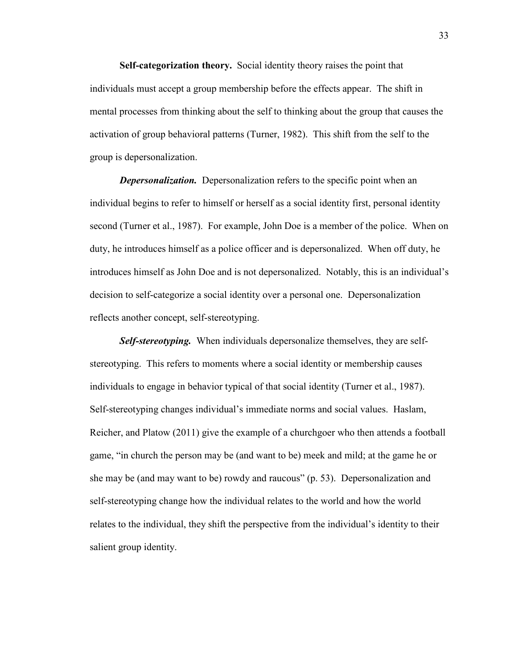**Self-categorization theory.** Social identity theory raises the point that individuals must accept a group membership before the effects appear. The shift in mental processes from thinking about the self to thinking about the group that causes the activation of group behavioral patterns (Turner, 1982). This shift from the self to the group is depersonalization.

*Depersonalization.* Depersonalization refers to the specific point when an individual begins to refer to himself or herself as a social identity first, personal identity second (Turner et al., 1987). For example, John Doe is a member of the police. When on duty, he introduces himself as a police officer and is depersonalized. When off duty, he introduces himself as John Doe and is not depersonalized. Notably, this is an individual's decision to self-categorize a social identity over a personal one. Depersonalization reflects another concept, self-stereotyping.

*Self-stereotyping.* When individuals depersonalize themselves, they are selfstereotyping. This refers to moments where a social identity or membership causes individuals to engage in behavior typical of that social identity (Turner et al., 1987). Self-stereotyping changes individual's immediate norms and social values. Haslam, Reicher, and Platow (2011) give the example of a churchgoer who then attends a football game, "in church the person may be (and want to be) meek and mild; at the game he or she may be (and may want to be) rowdy and raucous" (p. 53). Depersonalization and self-stereotyping change how the individual relates to the world and how the world relates to the individual, they shift the perspective from the individual's identity to their salient group identity.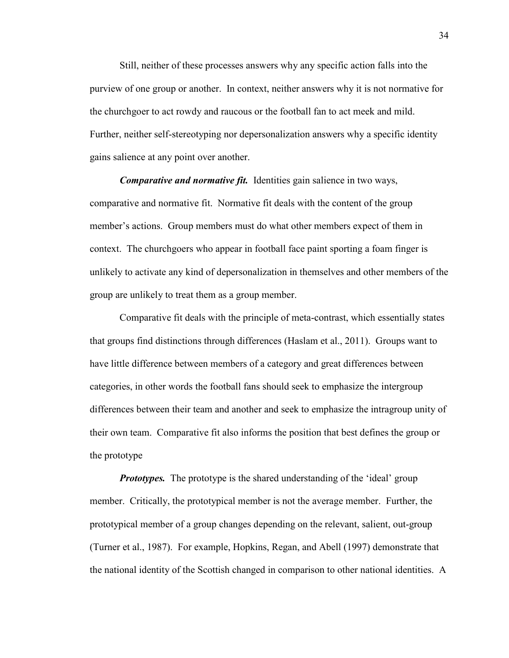Still, neither of these processes answers why any specific action falls into the purview of one group or another. In context, neither answers why it is not normative for the churchgoer to act rowdy and raucous or the football fan to act meek and mild. Further, neither self-stereotyping nor depersonalization answers why a specific identity gains salience at any point over another.

*Comparative and normative fit.* Identities gain salience in two ways, comparative and normative fit. Normative fit deals with the content of the group member's actions. Group members must do what other members expect of them in context. The churchgoers who appear in football face paint sporting a foam finger is unlikely to activate any kind of depersonalization in themselves and other members of the group are unlikely to treat them as a group member.

Comparative fit deals with the principle of meta-contrast, which essentially states that groups find distinctions through differences (Haslam et al., 2011). Groups want to have little difference between members of a category and great differences between categories, in other words the football fans should seek to emphasize the intergroup differences between their team and another and seek to emphasize the intragroup unity of their own team. Comparative fit also informs the position that best defines the group or the prototype

*Prototypes.* The prototype is the shared understanding of the 'ideal' group member. Critically, the prototypical member is not the average member. Further, the prototypical member of a group changes depending on the relevant, salient, out-group (Turner et al., 1987). For example, Hopkins, Regan, and Abell (1997) demonstrate that the national identity of the Scottish changed in comparison to other national identities. A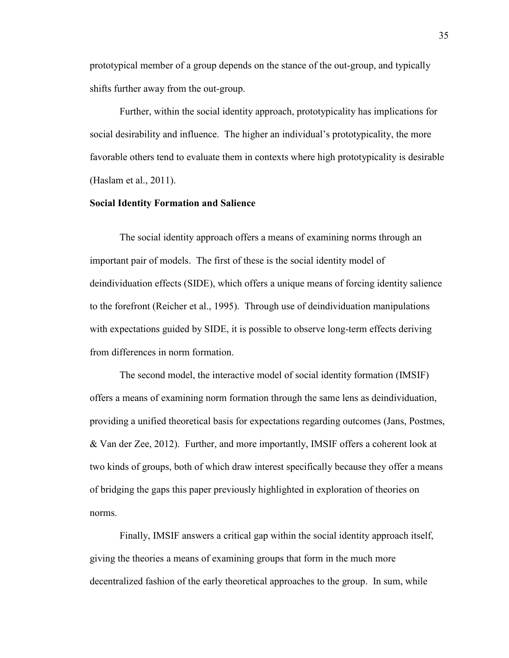prototypical member of a group depends on the stance of the out-group, and typically shifts further away from the out-group.

Further, within the social identity approach, prototypicality has implications for social desirability and influence. The higher an individual's prototypicality, the more favorable others tend to evaluate them in contexts where high prototypicality is desirable (Haslam et al., 2011).

### **Social Identity Formation and Salience**

The social identity approach offers a means of examining norms through an important pair of models. The first of these is the social identity model of deindividuation effects (SIDE), which offers a unique means of forcing identity salience to the forefront (Reicher et al., 1995). Through use of deindividuation manipulations with expectations guided by SIDE, it is possible to observe long-term effects deriving from differences in norm formation.

The second model, the interactive model of social identity formation (IMSIF) offers a means of examining norm formation through the same lens as deindividuation, providing a unified theoretical basis for expectations regarding outcomes (Jans, Postmes, & Van der Zee, 2012). Further, and more importantly, IMSIF offers a coherent look at two kinds of groups, both of which draw interest specifically because they offer a means of bridging the gaps this paper previously highlighted in exploration of theories on norms.

Finally, IMSIF answers a critical gap within the social identity approach itself, giving the theories a means of examining groups that form in the much more decentralized fashion of the early theoretical approaches to the group. In sum, while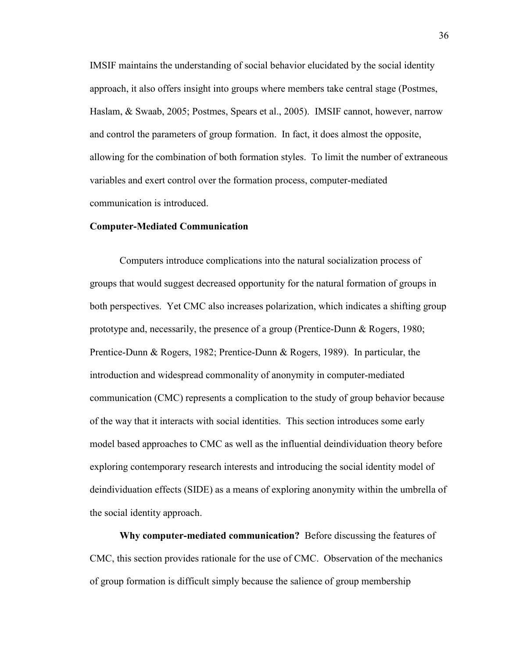IMSIF maintains the understanding of social behavior elucidated by the social identity approach, it also offers insight into groups where members take central stage (Postmes, Haslam, & Swaab, 2005; Postmes, Spears et al., 2005). IMSIF cannot, however, narrow and control the parameters of group formation. In fact, it does almost the opposite, allowing for the combination of both formation styles. To limit the number of extraneous variables and exert control over the formation process, computer-mediated communication is introduced.

#### **Computer-Mediated Communication**

Computers introduce complications into the natural socialization process of groups that would suggest decreased opportunity for the natural formation of groups in both perspectives. Yet CMC also increases polarization, which indicates a shifting group prototype and, necessarily, the presence of a group (Prentice-Dunn & Rogers, 1980; Prentice-Dunn & Rogers, 1982; Prentice-Dunn & Rogers, 1989). In particular, the introduction and widespread commonality of anonymity in computer-mediated communication (CMC) represents a complication to the study of group behavior because of the way that it interacts with social identities. This section introduces some early model based approaches to CMC as well as the influential deindividuation theory before exploring contemporary research interests and introducing the social identity model of deindividuation effects (SIDE) as a means of exploring anonymity within the umbrella of the social identity approach.

**Why computer-mediated communication?** Before discussing the features of CMC, this section provides rationale for the use of CMC. Observation of the mechanics of group formation is difficult simply because the salience of group membership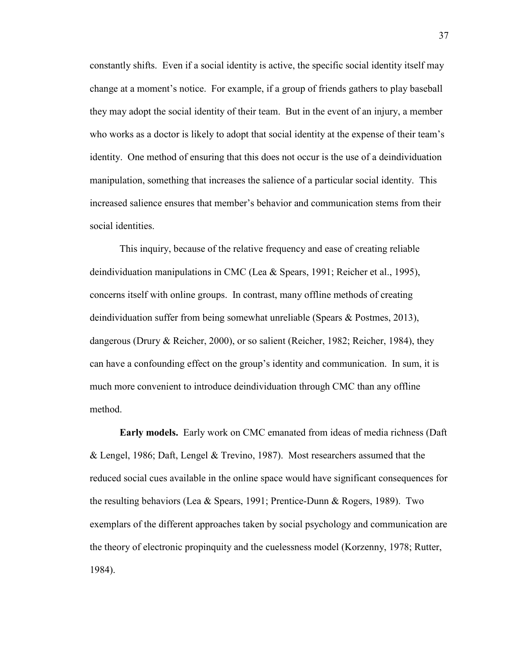constantly shifts. Even if a social identity is active, the specific social identity itself may change at a moment's notice. For example, if a group of friends gathers to play baseball they may adopt the social identity of their team. But in the event of an injury, a member who works as a doctor is likely to adopt that social identity at the expense of their team's identity. One method of ensuring that this does not occur is the use of a deindividuation manipulation, something that increases the salience of a particular social identity. This increased salience ensures that member's behavior and communication stems from their social identities.

This inquiry, because of the relative frequency and ease of creating reliable deindividuation manipulations in CMC (Lea & Spears, 1991; Reicher et al., 1995), concerns itself with online groups. In contrast, many offline methods of creating deindividuation suffer from being somewhat unreliable (Spears & Postmes, 2013), dangerous (Drury & Reicher, 2000), or so salient (Reicher, 1982; Reicher, 1984), they can have a confounding effect on the group's identity and communication. In sum, it is much more convenient to introduce deindividuation through CMC than any offline method.

**Early models.** Early work on CMC emanated from ideas of media richness (Daft & Lengel, 1986; Daft, Lengel & Trevino, 1987). Most researchers assumed that the reduced social cues available in the online space would have significant consequences for the resulting behaviors (Lea & Spears, 1991; Prentice-Dunn & Rogers, 1989). Two exemplars of the different approaches taken by social psychology and communication are the theory of electronic propinquity and the cuelessness model (Korzenny, 1978; Rutter, 1984).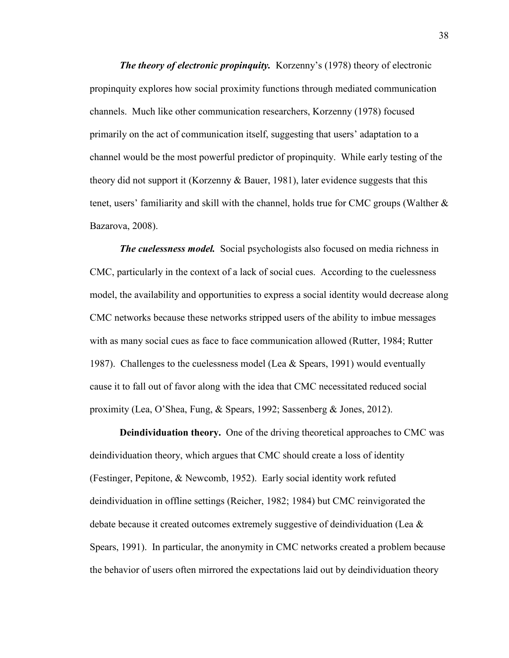*The theory of electronic propinquity.* Korzenny's (1978) theory of electronic propinquity explores how social proximity functions through mediated communication channels. Much like other communication researchers, Korzenny (1978) focused primarily on the act of communication itself, suggesting that users' adaptation to a channel would be the most powerful predictor of propinquity. While early testing of the theory did not support it (Korzenny & Bauer, 1981), later evidence suggests that this tenet, users' familiarity and skill with the channel, holds true for CMC groups (Walther & Bazarova, 2008).

*The cuelessness model.* Social psychologists also focused on media richness in CMC, particularly in the context of a lack of social cues. According to the cuelessness model, the availability and opportunities to express a social identity would decrease along CMC networks because these networks stripped users of the ability to imbue messages with as many social cues as face to face communication allowed (Rutter, 1984; Rutter 1987). Challenges to the cuelessness model (Lea & Spears, 1991) would eventually cause it to fall out of favor along with the idea that CMC necessitated reduced social proximity (Lea, O'Shea, Fung, & Spears, 1992; Sassenberg & Jones, 2012).

**Deindividuation theory.** One of the driving theoretical approaches to CMC was deindividuation theory, which argues that CMC should create a loss of identity (Festinger, Pepitone, & Newcomb, 1952). Early social identity work refuted deindividuation in offline settings (Reicher, 1982; 1984) but CMC reinvigorated the debate because it created outcomes extremely suggestive of deindividuation (Lea  $\&$ Spears, 1991). In particular, the anonymity in CMC networks created a problem because the behavior of users often mirrored the expectations laid out by deindividuation theory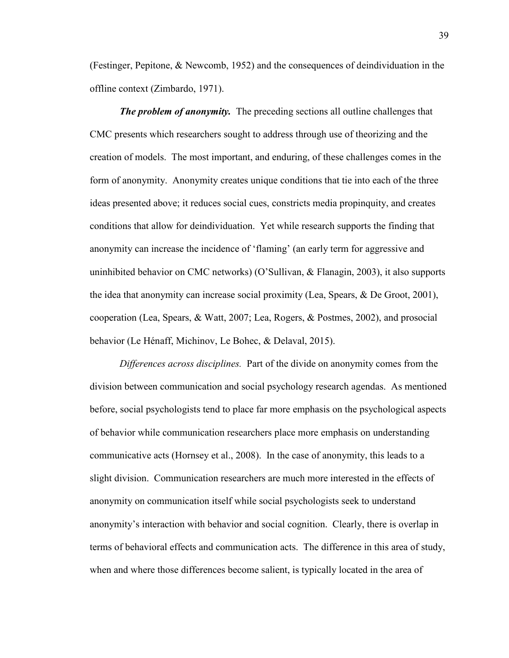(Festinger, Pepitone, & Newcomb, 1952) and the consequences of deindividuation in the offline context (Zimbardo, 1971).

*The problem of anonymity.* The preceding sections all outline challenges that CMC presents which researchers sought to address through use of theorizing and the creation of models. The most important, and enduring, of these challenges comes in the form of anonymity. Anonymity creates unique conditions that tie into each of the three ideas presented above; it reduces social cues, constricts media propinquity, and creates conditions that allow for deindividuation. Yet while research supports the finding that anonymity can increase the incidence of 'flaming' (an early term for aggressive and uninhibited behavior on CMC networks) (O'Sullivan, & Flanagin, 2003), it also supports the idea that anonymity can increase social proximity (Lea, Spears, & De Groot, 2001), cooperation (Lea, Spears, & Watt, 2007; Lea, Rogers, & Postmes, 2002), and prosocial behavior (Le Hénaff, Michinov, Le Bohec, & Delaval, 2015).

*Differences across disciplines.* Part of the divide on anonymity comes from the division between communication and social psychology research agendas. As mentioned before, social psychologists tend to place far more emphasis on the psychological aspects of behavior while communication researchers place more emphasis on understanding communicative acts (Hornsey et al., 2008). In the case of anonymity, this leads to a slight division. Communication researchers are much more interested in the effects of anonymity on communication itself while social psychologists seek to understand anonymity's interaction with behavior and social cognition. Clearly, there is overlap in terms of behavioral effects and communication acts. The difference in this area of study, when and where those differences become salient, is typically located in the area of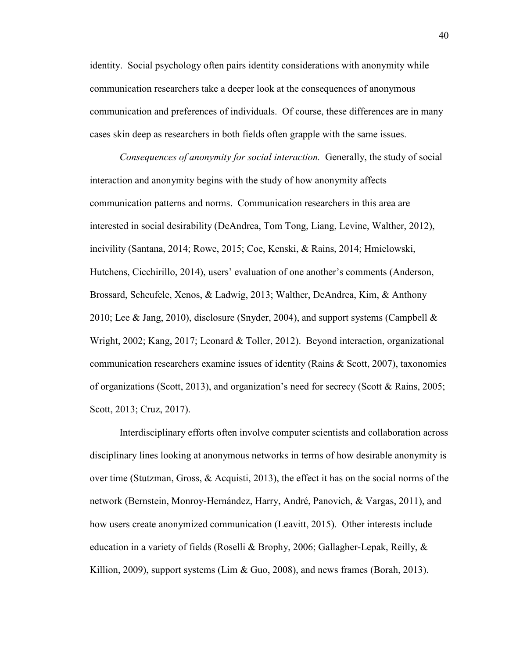identity. Social psychology often pairs identity considerations with anonymity while communication researchers take a deeper look at the consequences of anonymous communication and preferences of individuals. Of course, these differences are in many cases skin deep as researchers in both fields often grapple with the same issues.

*Consequences of anonymity for social interaction.* Generally, the study of social interaction and anonymity begins with the study of how anonymity affects communication patterns and norms. Communication researchers in this area are interested in social desirability (DeAndrea, Tom Tong, Liang, Levine, Walther, 2012), incivility (Santana, 2014; Rowe, 2015; Coe, Kenski, & Rains, 2014; Hmielowski, Hutchens, Cicchirillo, 2014), users' evaluation of one another's comments (Anderson, Brossard, Scheufele, Xenos, & Ladwig, 2013; Walther, DeAndrea, Kim, & Anthony 2010; Lee & Jang, 2010), disclosure (Snyder, 2004), and support systems (Campbell & Wright, 2002; Kang, 2017; Leonard & Toller, 2012). Beyond interaction, organizational communication researchers examine issues of identity (Rains & Scott, 2007), taxonomies of organizations (Scott, 2013), and organization's need for secrecy (Scott & Rains, 2005; Scott, 2013; Cruz, 2017).

Interdisciplinary efforts often involve computer scientists and collaboration across disciplinary lines looking at anonymous networks in terms of how desirable anonymity is over time (Stutzman, Gross, & Acquisti, 2013), the effect it has on the social norms of the network (Bernstein, Monroy-Hernández, Harry, André, Panovich, & Vargas, 2011), and how users create anonymized communication (Leavitt, 2015). Other interests include education in a variety of fields (Roselli & Brophy, 2006; Gallagher-Lepak, Reilly, & Killion, 2009), support systems (Lim  $\&$  Guo, 2008), and news frames (Borah, 2013).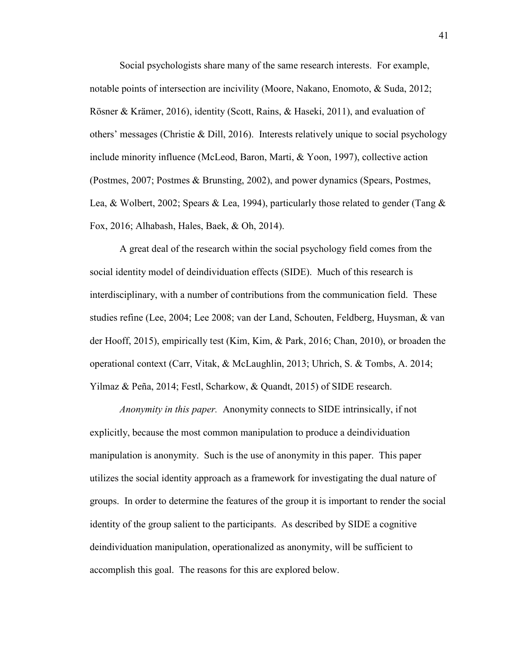Social psychologists share many of the same research interests. For example, notable points of intersection are incivility (Moore, Nakano, Enomoto, & Suda, 2012; Rösner & Krämer, 2016), identity (Scott, Rains, & Haseki, 2011), and evaluation of others' messages (Christie & Dill, 2016). Interests relatively unique to social psychology include minority influence (McLeod, Baron, Marti, & Yoon, 1997), collective action (Postmes, 2007; Postmes & Brunsting, 2002), and power dynamics (Spears, Postmes, Lea, & Wolbert, 2002; Spears & Lea, 1994), particularly those related to gender (Tang & Fox, 2016; Alhabash, Hales, Baek, & Oh, 2014).

A great deal of the research within the social psychology field comes from the social identity model of deindividuation effects (SIDE). Much of this research is interdisciplinary, with a number of contributions from the communication field. These studies refine (Lee, 2004; Lee 2008; van der Land, Schouten, Feldberg, Huysman, & van der Hooff, 2015), empirically test (Kim, Kim, & Park, 2016; Chan, 2010), or broaden the operational context (Carr, Vitak, & McLaughlin, 2013; Uhrich, S. & Tombs, A. 2014; Yilmaz & Peña, 2014; Festl, Scharkow, & Quandt, 2015) of SIDE research.

*Anonymity in this paper.* Anonymity connects to SIDE intrinsically, if not explicitly, because the most common manipulation to produce a deindividuation manipulation is anonymity. Such is the use of anonymity in this paper. This paper utilizes the social identity approach as a framework for investigating the dual nature of groups. In order to determine the features of the group it is important to render the social identity of the group salient to the participants. As described by SIDE a cognitive deindividuation manipulation, operationalized as anonymity, will be sufficient to accomplish this goal. The reasons for this are explored below.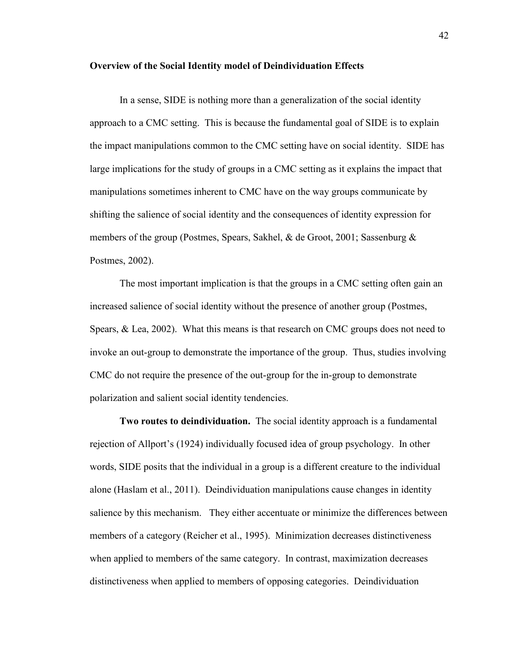#### **Overview of the Social Identity model of Deindividuation Effects**

In a sense, SIDE is nothing more than a generalization of the social identity approach to a CMC setting. This is because the fundamental goal of SIDE is to explain the impact manipulations common to the CMC setting have on social identity. SIDE has large implications for the study of groups in a CMC setting as it explains the impact that manipulations sometimes inherent to CMC have on the way groups communicate by shifting the salience of social identity and the consequences of identity expression for members of the group (Postmes, Spears, Sakhel, & de Groot, 2001; Sassenburg & Postmes, 2002).

The most important implication is that the groups in a CMC setting often gain an increased salience of social identity without the presence of another group (Postmes, Spears,  $\&$  Lea, 2002). What this means is that research on CMC groups does not need to invoke an out-group to demonstrate the importance of the group. Thus, studies involving CMC do not require the presence of the out-group for the in-group to demonstrate polarization and salient social identity tendencies.

**Two routes to deindividuation.** The social identity approach is a fundamental rejection of Allport's (1924) individually focused idea of group psychology. In other words, SIDE posits that the individual in a group is a different creature to the individual alone (Haslam et al., 2011). Deindividuation manipulations cause changes in identity salience by this mechanism. They either accentuate or minimize the differences between members of a category (Reicher et al., 1995). Minimization decreases distinctiveness when applied to members of the same category. In contrast, maximization decreases distinctiveness when applied to members of opposing categories. Deindividuation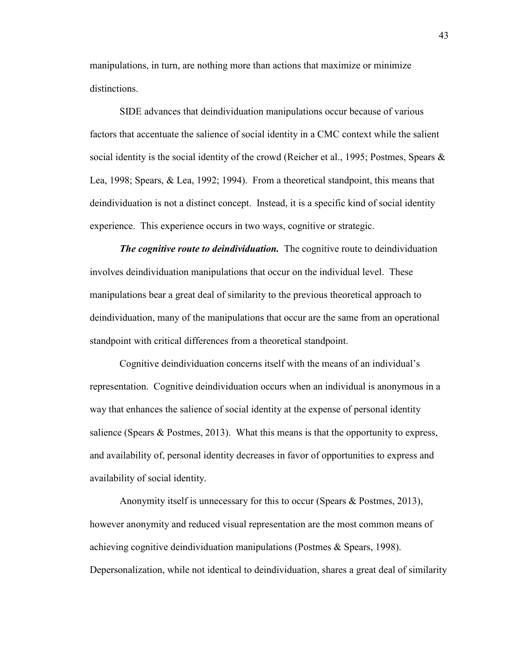manipulations, in turn, are nothing more than actions that maximize or minimize distinctions.

 SIDE advances that deindividuation manipulations occur because of various factors that accentuate the salience of social identity in a CMC context while the salient social identity is the social identity of the crowd (Reicher et al., 1995; Postmes, Spears  $\&$ Lea, 1998; Spears, & Lea, 1992; 1994). From a theoretical standpoint, this means that deindividuation is not a distinct concept. Instead, it is a specific kind of social identity experience. This experience occurs in two ways, cognitive or strategic.

*The cognitive route to deindividuation.* The cognitive route to deindividuation involves deindividuation manipulations that occur on the individual level. These manipulations bear a great deal of similarity to the previous theoretical approach to deindividuation, many of the manipulations that occur are the same from an operational standpoint with critical differences from a theoretical standpoint.

 Cognitive deindividuation concerns itself with the means of an individual's representation. Cognitive deindividuation occurs when an individual is anonymous in a way that enhances the salience of social identity at the expense of personal identity salience (Spears & Postmes, 2013). What this means is that the opportunity to express, and availability of, personal identity decreases in favor of opportunities to express and availability of social identity.

 Anonymity itself is unnecessary for this to occur (Spears & Postmes, 2013), however anonymity and reduced visual representation are the most common means of achieving cognitive deindividuation manipulations (Postmes & Spears, 1998). Depersonalization, while not identical to deindividuation, shares a great deal of similarity

43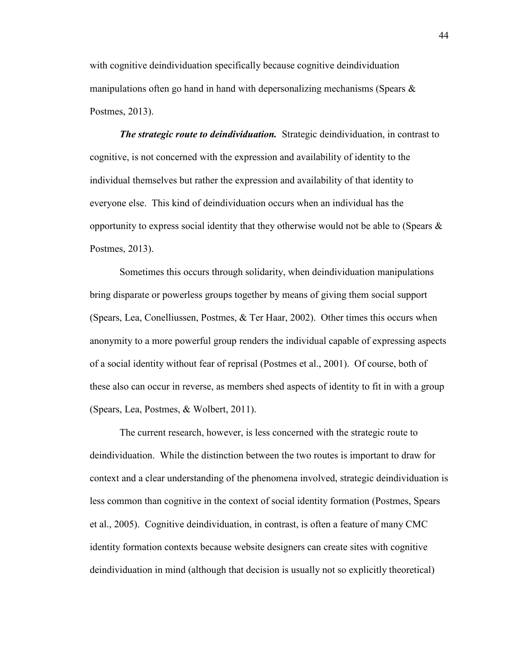with cognitive deindividuation specifically because cognitive deindividuation manipulations often go hand in hand with depersonalizing mechanisms (Spears  $\&$ Postmes, 2013).

*The strategic route to deindividuation.* Strategic deindividuation, in contrast to cognitive, is not concerned with the expression and availability of identity to the individual themselves but rather the expression and availability of that identity to everyone else. This kind of deindividuation occurs when an individual has the opportunity to express social identity that they otherwise would not be able to (Spears  $\&$ Postmes, 2013).

Sometimes this occurs through solidarity, when deindividuation manipulations bring disparate or powerless groups together by means of giving them social support (Spears, Lea, Conelliussen, Postmes, & Ter Haar, 2002). Other times this occurs when anonymity to a more powerful group renders the individual capable of expressing aspects of a social identity without fear of reprisal (Postmes et al., 2001). Of course, both of these also can occur in reverse, as members shed aspects of identity to fit in with a group (Spears, Lea, Postmes, & Wolbert, 2011).

The current research, however, is less concerned with the strategic route to deindividuation. While the distinction between the two routes is important to draw for context and a clear understanding of the phenomena involved, strategic deindividuation is less common than cognitive in the context of social identity formation (Postmes, Spears et al., 2005). Cognitive deindividuation, in contrast, is often a feature of many CMC identity formation contexts because website designers can create sites with cognitive deindividuation in mind (although that decision is usually not so explicitly theoretical)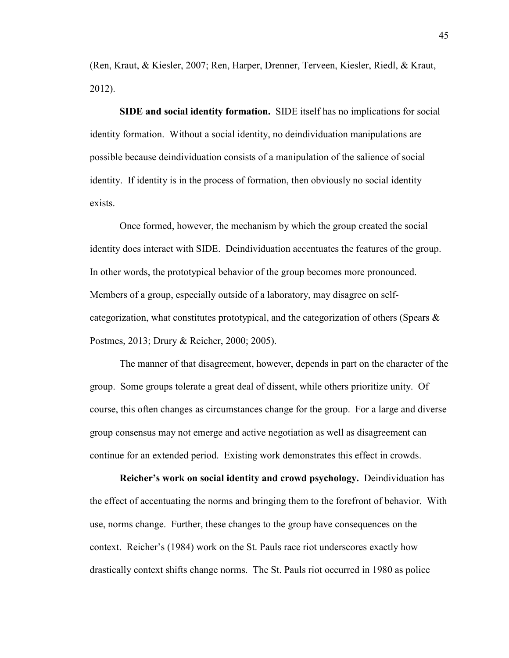(Ren, Kraut, & Kiesler, 2007; Ren, Harper, Drenner, Terveen, Kiesler, Riedl, & Kraut, 2012).

**SIDE and social identity formation.** SIDE itself has no implications for social identity formation. Without a social identity, no deindividuation manipulations are possible because deindividuation consists of a manipulation of the salience of social identity. If identity is in the process of formation, then obviously no social identity exists.

 Once formed, however, the mechanism by which the group created the social identity does interact with SIDE. Deindividuation accentuates the features of the group. In other words, the prototypical behavior of the group becomes more pronounced. Members of a group, especially outside of a laboratory, may disagree on selfcategorization, what constitutes prototypical, and the categorization of others (Spears  $\&$ Postmes, 2013; Drury & Reicher, 2000; 2005).

The manner of that disagreement, however, depends in part on the character of the group. Some groups tolerate a great deal of dissent, while others prioritize unity. Of course, this often changes as circumstances change for the group. For a large and diverse group consensus may not emerge and active negotiation as well as disagreement can continue for an extended period. Existing work demonstrates this effect in crowds.

**Reicher's work on social identity and crowd psychology.** Deindividuation has the effect of accentuating the norms and bringing them to the forefront of behavior. With use, norms change. Further, these changes to the group have consequences on the context. Reicher's (1984) work on the St. Pauls race riot underscores exactly how drastically context shifts change norms. The St. Pauls riot occurred in 1980 as police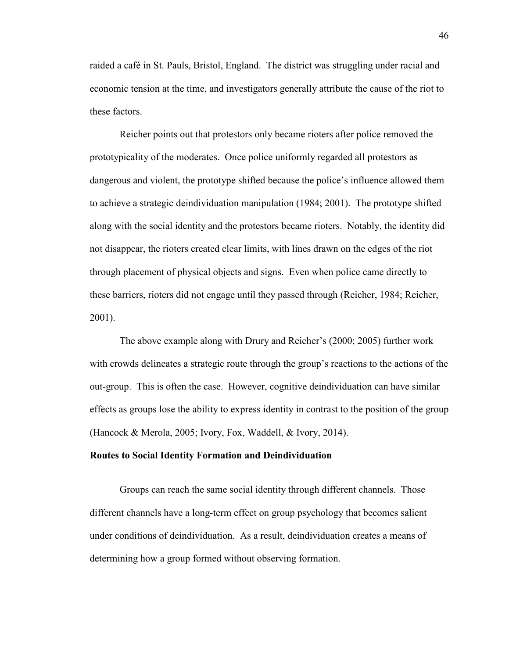raided a café in St. Pauls, Bristol, England. The district was struggling under racial and economic tension at the time, and investigators generally attribute the cause of the riot to these factors.

Reicher points out that protestors only became rioters after police removed the prototypicality of the moderates. Once police uniformly regarded all protestors as dangerous and violent, the prototype shifted because the police's influence allowed them to achieve a strategic deindividuation manipulation (1984; 2001). The prototype shifted along with the social identity and the protestors became rioters. Notably, the identity did not disappear, the rioters created clear limits, with lines drawn on the edges of the riot through placement of physical objects and signs. Even when police came directly to these barriers, rioters did not engage until they passed through (Reicher, 1984; Reicher, 2001).

The above example along with Drury and Reicher's (2000; 2005) further work with crowds delineates a strategic route through the group's reactions to the actions of the out-group. This is often the case. However, cognitive deindividuation can have similar effects as groups lose the ability to express identity in contrast to the position of the group (Hancock & Merola, 2005; Ivory, Fox, Waddell, & Ivory, 2014).

### **Routes to Social Identity Formation and Deindividuation**

Groups can reach the same social identity through different channels. Those different channels have a long-term effect on group psychology that becomes salient under conditions of deindividuation. As a result, deindividuation creates a means of determining how a group formed without observing formation.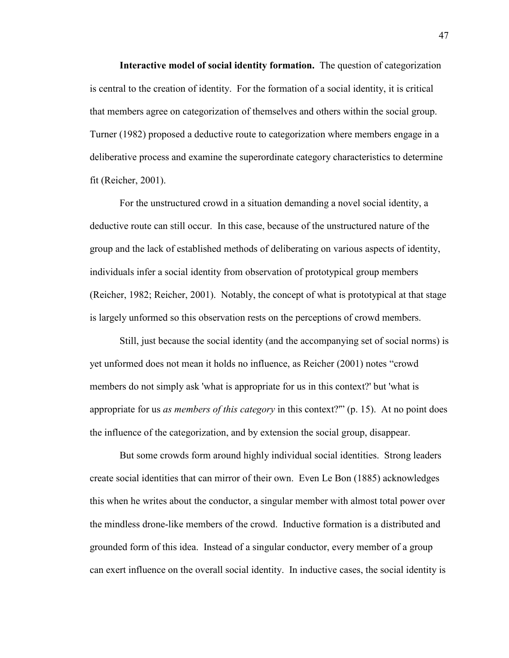**Interactive model of social identity formation.** The question of categorization is central to the creation of identity. For the formation of a social identity, it is critical that members agree on categorization of themselves and others within the social group. Turner (1982) proposed a deductive route to categorization where members engage in a deliberative process and examine the superordinate category characteristics to determine fit (Reicher, 2001).

For the unstructured crowd in a situation demanding a novel social identity, a deductive route can still occur. In this case, because of the unstructured nature of the group and the lack of established methods of deliberating on various aspects of identity, individuals infer a social identity from observation of prototypical group members (Reicher, 1982; Reicher, 2001). Notably, the concept of what is prototypical at that stage is largely unformed so this observation rests on the perceptions of crowd members.

Still, just because the social identity (and the accompanying set of social norms) is yet unformed does not mean it holds no influence, as Reicher (2001) notes "crowd members do not simply ask 'what is appropriate for us in this context?' but 'what is appropriate for us *as members of this category* in this context?'" (p. 15). At no point does the influence of the categorization, and by extension the social group, disappear.

But some crowds form around highly individual social identities. Strong leaders create social identities that can mirror of their own. Even Le Bon (1885) acknowledges this when he writes about the conductor, a singular member with almost total power over the mindless drone-like members of the crowd. Inductive formation is a distributed and grounded form of this idea. Instead of a singular conductor, every member of a group can exert influence on the overall social identity. In inductive cases, the social identity is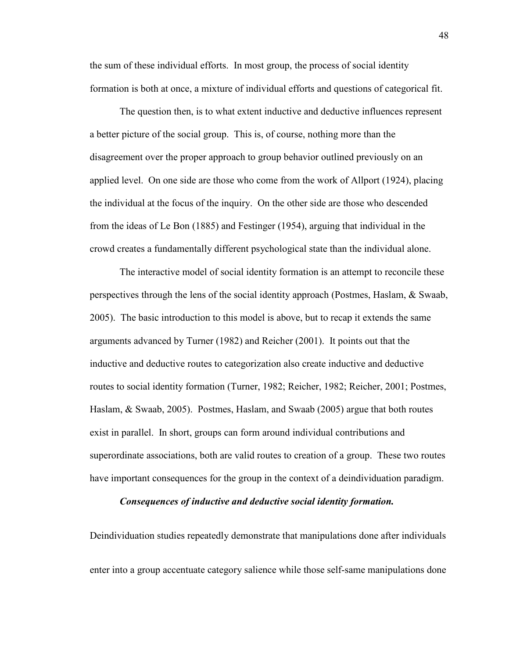the sum of these individual efforts. In most group, the process of social identity formation is both at once, a mixture of individual efforts and questions of categorical fit.

The question then, is to what extent inductive and deductive influences represent a better picture of the social group. This is, of course, nothing more than the disagreement over the proper approach to group behavior outlined previously on an applied level. On one side are those who come from the work of Allport (1924), placing the individual at the focus of the inquiry. On the other side are those who descended from the ideas of Le Bon (1885) and Festinger (1954), arguing that individual in the crowd creates a fundamentally different psychological state than the individual alone.

The interactive model of social identity formation is an attempt to reconcile these perspectives through the lens of the social identity approach (Postmes, Haslam, & Swaab, 2005). The basic introduction to this model is above, but to recap it extends the same arguments advanced by Turner (1982) and Reicher (2001). It points out that the inductive and deductive routes to categorization also create inductive and deductive routes to social identity formation (Turner, 1982; Reicher, 1982; Reicher, 2001; Postmes, Haslam, & Swaab, 2005). Postmes, Haslam, and Swaab (2005) argue that both routes exist in parallel. In short, groups can form around individual contributions and superordinate associations, both are valid routes to creation of a group. These two routes have important consequences for the group in the context of a deindividuation paradigm.

### *Consequences of inductive and deductive social identity formation.*

Deindividuation studies repeatedly demonstrate that manipulations done after individuals enter into a group accentuate category salience while those self-same manipulations done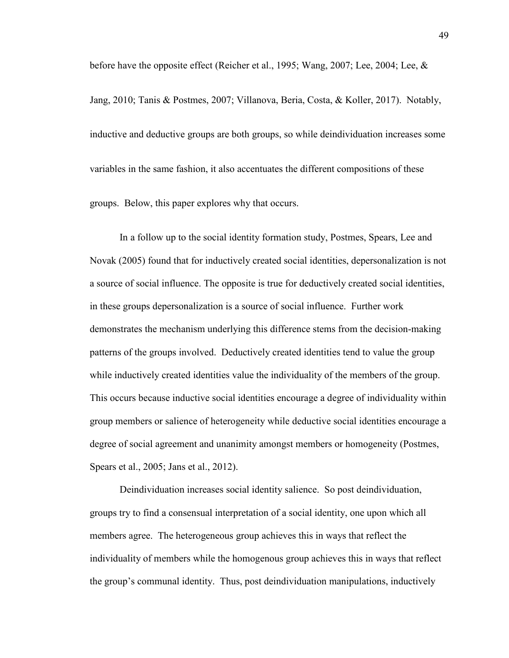before have the opposite effect (Reicher et al., 1995; Wang, 2007; Lee, 2004; Lee, &

Jang, 2010; Tanis & Postmes, 2007; Villanova, Beria, Costa, & Koller, 2017). Notably, inductive and deductive groups are both groups, so while deindividuation increases some variables in the same fashion, it also accentuates the different compositions of these groups. Below, this paper explores why that occurs.

In a follow up to the social identity formation study, Postmes, Spears, Lee and Novak (2005) found that for inductively created social identities, depersonalization is not a source of social influence. The opposite is true for deductively created social identities, in these groups depersonalization is a source of social influence. Further work demonstrates the mechanism underlying this difference stems from the decision-making patterns of the groups involved. Deductively created identities tend to value the group while inductively created identities value the individuality of the members of the group. This occurs because inductive social identities encourage a degree of individuality within group members or salience of heterogeneity while deductive social identities encourage a degree of social agreement and unanimity amongst members or homogeneity (Postmes, Spears et al., 2005; Jans et al., 2012).

 Deindividuation increases social identity salience. So post deindividuation, groups try to find a consensual interpretation of a social identity, one upon which all members agree. The heterogeneous group achieves this in ways that reflect the individuality of members while the homogenous group achieves this in ways that reflect the group's communal identity. Thus, post deindividuation manipulations, inductively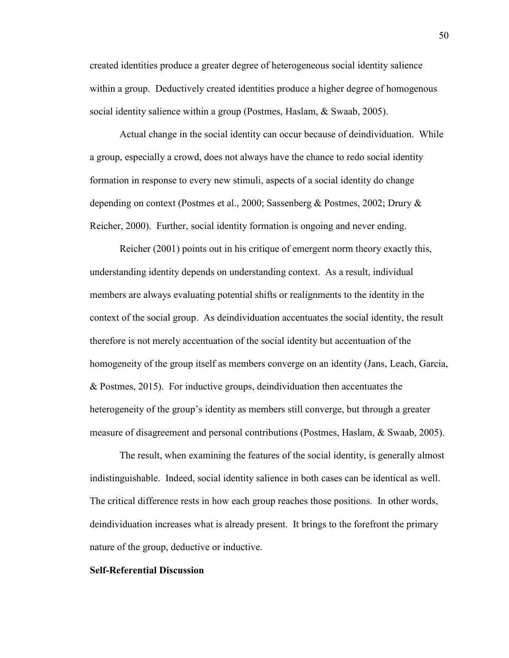created identities produce a greater degree of heterogeneous social identity salience within a group. Deductively created identities produce a higher degree of homogenous social identity salience within a group (Postmes, Haslam, & Swaab, 2005).

 Actual change in the social identity can occur because of deindividuation. While a group, especially a crowd, does not always have the chance to redo social identity formation in response to every new stimuli, aspects of a social identity do change depending on context (Postmes et al., 2000; Sassenberg & Postmes, 2002; Drury & Reicher, 2000). Further, social identity formation is ongoing and never ending.

 Reicher (2001) points out in his critique of emergent norm theory exactly this, understanding identity depends on understanding context. As a result, individual members are always evaluating potential shifts or realignments to the identity in the context of the social group. As deindividuation accentuates the social identity, the result therefore is not merely accentuation of the social identity but accentuation of the homogeneity of the group itself as members converge on an identity (Jans, Leach, Garcia, & Postmes, 2015). For inductive groups, deindividuation then accentuates the heterogeneity of the group's identity as members still converge, but through a greater measure of disagreement and personal contributions (Postmes, Haslam, & Swaab, 2005).

 The result, when examining the features of the social identity, is generally almost indistinguishable. Indeed, social identity salience in both cases can be identical as well. The critical difference rests in how each group reaches those positions. In other words, deindividuation increases what is already present. It brings to the forefront the primary nature of the group, deductive or inductive.

### **Self-Referential Discussion**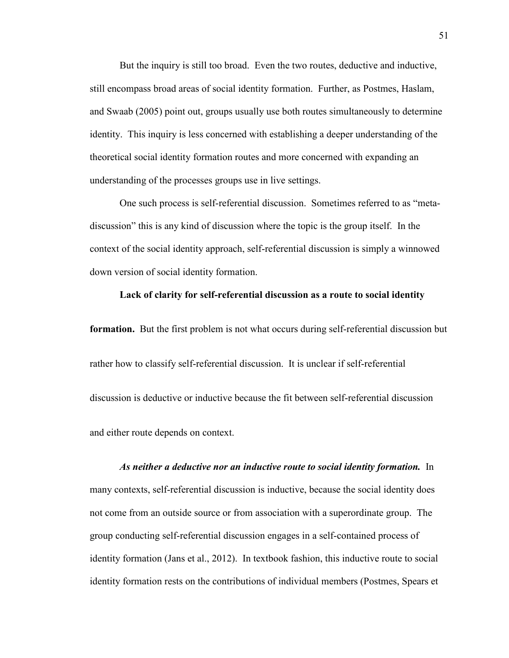But the inquiry is still too broad. Even the two routes, deductive and inductive, still encompass broad areas of social identity formation. Further, as Postmes, Haslam, and Swaab (2005) point out, groups usually use both routes simultaneously to determine identity. This inquiry is less concerned with establishing a deeper understanding of the theoretical social identity formation routes and more concerned with expanding an understanding of the processes groups use in live settings.

One such process is self-referential discussion. Sometimes referred to as "metadiscussion" this is any kind of discussion where the topic is the group itself. In the context of the social identity approach, self-referential discussion is simply a winnowed down version of social identity formation.

### **Lack of clarity for self-referential discussion as a route to social identity**

**formation.** But the first problem is not what occurs during self-referential discussion but rather how to classify self-referential discussion. It is unclear if self-referential discussion is deductive or inductive because the fit between self-referential discussion and either route depends on context.

*As neither a deductive nor an inductive route to social identity formation.* In many contexts, self-referential discussion is inductive, because the social identity does not come from an outside source or from association with a superordinate group. The group conducting self-referential discussion engages in a self-contained process of identity formation (Jans et al., 2012). In textbook fashion, this inductive route to social identity formation rests on the contributions of individual members (Postmes, Spears et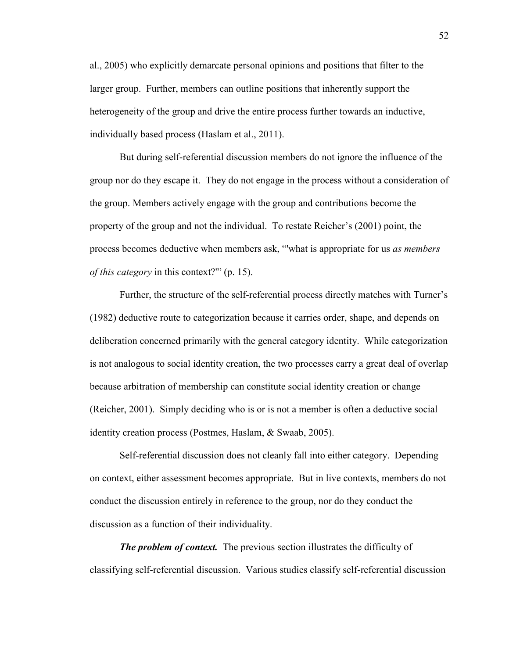al., 2005) who explicitly demarcate personal opinions and positions that filter to the larger group. Further, members can outline positions that inherently support the heterogeneity of the group and drive the entire process further towards an inductive, individually based process (Haslam et al., 2011).

But during self-referential discussion members do not ignore the influence of the group nor do they escape it. They do not engage in the process without a consideration of the group. Members actively engage with the group and contributions become the property of the group and not the individual. To restate Reicher's (2001) point, the process becomes deductive when members ask, "'what is appropriate for us *as members of this category* in this context?'" (p. 15).

Further, the structure of the self-referential process directly matches with Turner's (1982) deductive route to categorization because it carries order, shape, and depends on deliberation concerned primarily with the general category identity. While categorization is not analogous to social identity creation, the two processes carry a great deal of overlap because arbitration of membership can constitute social identity creation or change (Reicher, 2001). Simply deciding who is or is not a member is often a deductive social identity creation process (Postmes, Haslam, & Swaab, 2005).

Self-referential discussion does not cleanly fall into either category. Depending on context, either assessment becomes appropriate. But in live contexts, members do not conduct the discussion entirely in reference to the group, nor do they conduct the discussion as a function of their individuality.

*The problem of context.* The previous section illustrates the difficulty of classifying self-referential discussion. Various studies classify self-referential discussion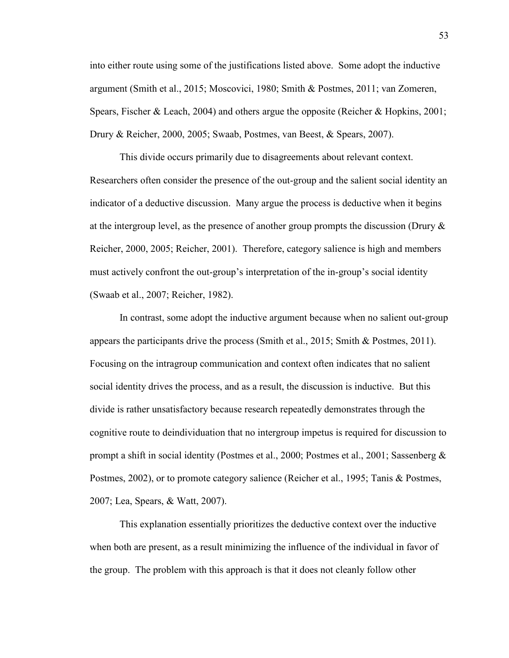into either route using some of the justifications listed above. Some adopt the inductive argument (Smith et al., 2015; Moscovici, 1980; Smith & Postmes, 2011; van Zomeren, Spears, Fischer & Leach, 2004) and others argue the opposite (Reicher & Hopkins, 2001; Drury & Reicher, 2000, 2005; Swaab, Postmes, van Beest, & Spears, 2007).

 This divide occurs primarily due to disagreements about relevant context. Researchers often consider the presence of the out-group and the salient social identity an indicator of a deductive discussion. Many argue the process is deductive when it begins at the intergroup level, as the presence of another group prompts the discussion (Drury & Reicher, 2000, 2005; Reicher, 2001). Therefore, category salience is high and members must actively confront the out-group's interpretation of the in-group's social identity (Swaab et al., 2007; Reicher, 1982).

In contrast, some adopt the inductive argument because when no salient out-group appears the participants drive the process (Smith et al., 2015; Smith & Postmes, 2011). Focusing on the intragroup communication and context often indicates that no salient social identity drives the process, and as a result, the discussion is inductive. But this divide is rather unsatisfactory because research repeatedly demonstrates through the cognitive route to deindividuation that no intergroup impetus is required for discussion to prompt a shift in social identity (Postmes et al., 2000; Postmes et al., 2001; Sassenberg & Postmes, 2002), or to promote category salience (Reicher et al., 1995; Tanis & Postmes, 2007; Lea, Spears, & Watt, 2007).

This explanation essentially prioritizes the deductive context over the inductive when both are present, as a result minimizing the influence of the individual in favor of the group. The problem with this approach is that it does not cleanly follow other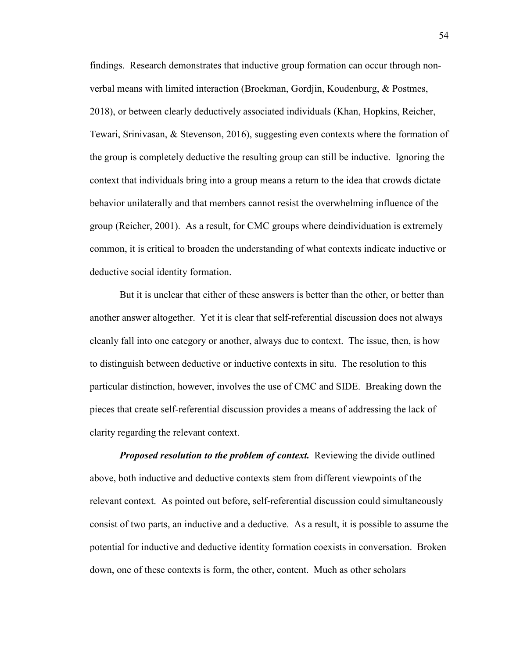findings. Research demonstrates that inductive group formation can occur through nonverbal means with limited interaction (Broekman, Gordjin, Koudenburg, & Postmes, 2018), or between clearly deductively associated individuals (Khan, Hopkins, Reicher, Tewari, Srinivasan, & Stevenson, 2016), suggesting even contexts where the formation of the group is completely deductive the resulting group can still be inductive. Ignoring the context that individuals bring into a group means a return to the idea that crowds dictate behavior unilaterally and that members cannot resist the overwhelming influence of the group (Reicher, 2001). As a result, for CMC groups where deindividuation is extremely common, it is critical to broaden the understanding of what contexts indicate inductive or deductive social identity formation.

But it is unclear that either of these answers is better than the other, or better than another answer altogether. Yet it is clear that self-referential discussion does not always cleanly fall into one category or another, always due to context. The issue, then, is how to distinguish between deductive or inductive contexts in situ. The resolution to this particular distinction, however, involves the use of CMC and SIDE. Breaking down the pieces that create self-referential discussion provides a means of addressing the lack of clarity regarding the relevant context.

*Proposed resolution to the problem of context.* Reviewing the divide outlined above, both inductive and deductive contexts stem from different viewpoints of the relevant context. As pointed out before, self-referential discussion could simultaneously consist of two parts, an inductive and a deductive. As a result, it is possible to assume the potential for inductive and deductive identity formation coexists in conversation. Broken down, one of these contexts is form, the other, content. Much as other scholars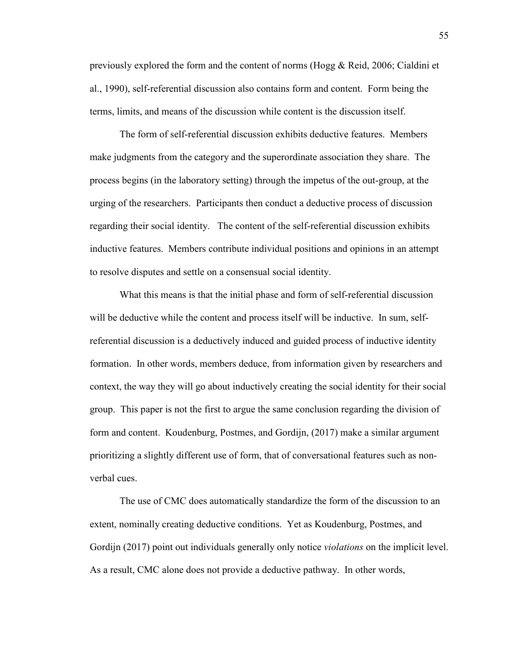previously explored the form and the content of norms (Hogg & Reid, 2006; Cialdini et al., 1990), self-referential discussion also contains form and content. Form being the terms, limits, and means of the discussion while content is the discussion itself.

The form of self-referential discussion exhibits deductive features. Members make judgments from the category and the superordinate association they share. The process begins (in the laboratory setting) through the impetus of the out-group, at the urging of the researchers. Participants then conduct a deductive process of discussion regarding their social identity. The content of the self-referential discussion exhibits inductive features. Members contribute individual positions and opinions in an attempt to resolve disputes and settle on a consensual social identity.

What this means is that the initial phase and form of self-referential discussion will be deductive while the content and process itself will be inductive. In sum, selfreferential discussion is a deductively induced and guided process of inductive identity formation. In other words, members deduce, from information given by researchers and context, the way they will go about inductively creating the social identity for their social group. This paper is not the first to argue the same conclusion regarding the division of form and content. Koudenburg, Postmes, and Gordijn, (2017) make a similar argument prioritizing a slightly different use of form, that of conversational features such as nonverbal cues.

The use of CMC does automatically standardize the form of the discussion to an extent, nominally creating deductive conditions. Yet as Koudenburg, Postmes, and Gordijn (2017) point out individuals generally only notice *violations* on the implicit level. As a result, CMC alone does not provide a deductive pathway. In other words,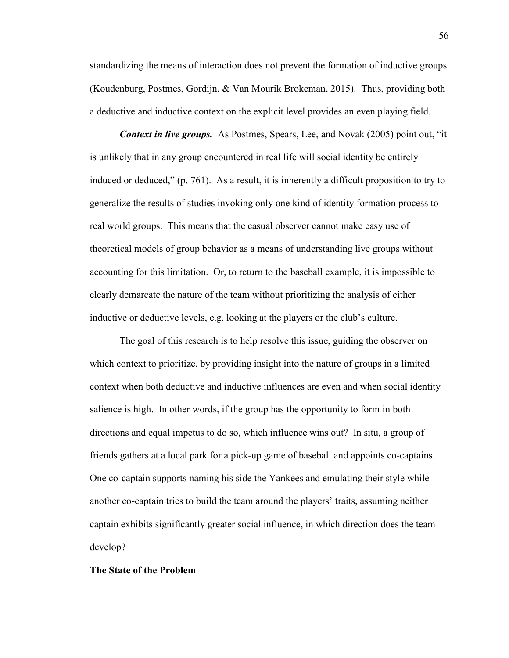standardizing the means of interaction does not prevent the formation of inductive groups (Koudenburg, Postmes, Gordijn, & Van Mourik Brokeman, 2015). Thus, providing both a deductive and inductive context on the explicit level provides an even playing field.

*Context in live groups.* As Postmes, Spears, Lee, and Novak (2005) point out, "it is unlikely that in any group encountered in real life will social identity be entirely induced or deduced," (p. 761). As a result, it is inherently a difficult proposition to try to generalize the results of studies invoking only one kind of identity formation process to real world groups. This means that the casual observer cannot make easy use of theoretical models of group behavior as a means of understanding live groups without accounting for this limitation. Or, to return to the baseball example, it is impossible to clearly demarcate the nature of the team without prioritizing the analysis of either inductive or deductive levels, e.g. looking at the players or the club's culture.

The goal of this research is to help resolve this issue, guiding the observer on which context to prioritize, by providing insight into the nature of groups in a limited context when both deductive and inductive influences are even and when social identity salience is high. In other words, if the group has the opportunity to form in both directions and equal impetus to do so, which influence wins out? In situ, a group of friends gathers at a local park for a pick-up game of baseball and appoints co-captains. One co-captain supports naming his side the Yankees and emulating their style while another co-captain tries to build the team around the players' traits, assuming neither captain exhibits significantly greater social influence, in which direction does the team develop?

### **The State of the Problem**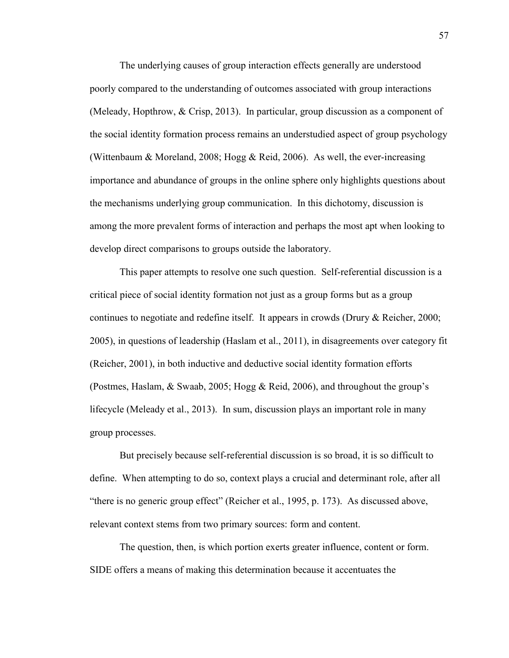The underlying causes of group interaction effects generally are understood poorly compared to the understanding of outcomes associated with group interactions (Meleady, Hopthrow, & Crisp, 2013). In particular, group discussion as a component of the social identity formation process remains an understudied aspect of group psychology (Wittenbaum & Moreland, 2008; Hogg & Reid, 2006). As well, the ever-increasing importance and abundance of groups in the online sphere only highlights questions about the mechanisms underlying group communication. In this dichotomy, discussion is among the more prevalent forms of interaction and perhaps the most apt when looking to develop direct comparisons to groups outside the laboratory.

This paper attempts to resolve one such question. Self-referential discussion is a critical piece of social identity formation not just as a group forms but as a group continues to negotiate and redefine itself. It appears in crowds (Drury & Reicher, 2000; 2005), in questions of leadership (Haslam et al., 2011), in disagreements over category fit (Reicher, 2001), in both inductive and deductive social identity formation efforts (Postmes, Haslam, & Swaab, 2005; Hogg & Reid, 2006), and throughout the group's lifecycle (Meleady et al., 2013). In sum, discussion plays an important role in many group processes.

But precisely because self-referential discussion is so broad, it is so difficult to define. When attempting to do so, context plays a crucial and determinant role, after all "there is no generic group effect" (Reicher et al., 1995, p. 173). As discussed above, relevant context stems from two primary sources: form and content.

The question, then, is which portion exerts greater influence, content or form. SIDE offers a means of making this determination because it accentuates the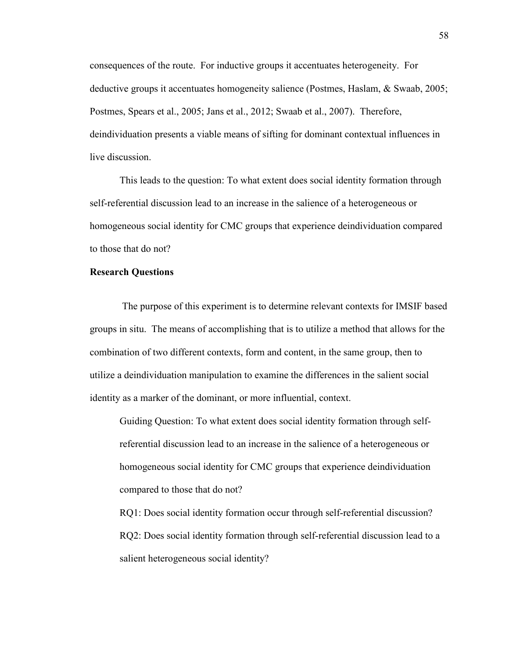consequences of the route. For inductive groups it accentuates heterogeneity. For deductive groups it accentuates homogeneity salience (Postmes, Haslam, & Swaab, 2005; Postmes, Spears et al., 2005; Jans et al., 2012; Swaab et al., 2007). Therefore, deindividuation presents a viable means of sifting for dominant contextual influences in live discussion.

This leads to the question: To what extent does social identity formation through self-referential discussion lead to an increase in the salience of a heterogeneous or homogeneous social identity for CMC groups that experience deindividuation compared to those that do not?

### **Research Questions**

 The purpose of this experiment is to determine relevant contexts for IMSIF based groups in situ. The means of accomplishing that is to utilize a method that allows for the combination of two different contexts, form and content, in the same group, then to utilize a deindividuation manipulation to examine the differences in the salient social identity as a marker of the dominant, or more influential, context.

Guiding Question: To what extent does social identity formation through selfreferential discussion lead to an increase in the salience of a heterogeneous or homogeneous social identity for CMC groups that experience deindividuation compared to those that do not?

 RQ1: Does social identity formation occur through self-referential discussion? RQ2: Does social identity formation through self-referential discussion lead to a salient heterogeneous social identity?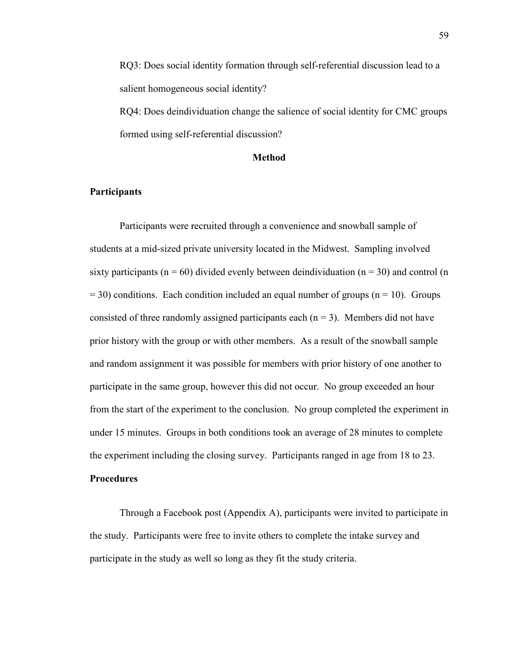RQ3: Does social identity formation through self-referential discussion lead to a salient homogeneous social identity?

RQ4: Does deindividuation change the salience of social identity for CMC groups formed using self-referential discussion?

### **Method**

## **Participants**

Participants were recruited through a convenience and snowball sample of students at a mid-sized private university located in the Midwest. Sampling involved sixty participants ( $n = 60$ ) divided evenly between deindividuation ( $n = 30$ ) and control (n  $= 30$ ) conditions. Each condition included an equal number of groups (n = 10). Groups consisted of three randomly assigned participants each  $(n = 3)$ . Members did not have prior history with the group or with other members. As a result of the snowball sample and random assignment it was possible for members with prior history of one another to participate in the same group, however this did not occur. No group exceeded an hour from the start of the experiment to the conclusion. No group completed the experiment in under 15 minutes. Groups in both conditions took an average of 28 minutes to complete the experiment including the closing survey. Participants ranged in age from 18 to 23.

# **Procedures**

 Through a Facebook post (Appendix A), participants were invited to participate in the study. Participants were free to invite others to complete the intake survey and participate in the study as well so long as they fit the study criteria.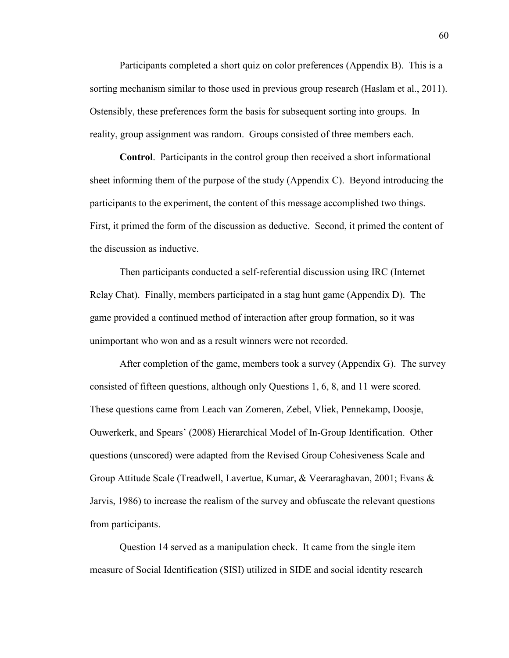Participants completed a short quiz on color preferences (Appendix B). This is a sorting mechanism similar to those used in previous group research (Haslam et al., 2011). Ostensibly, these preferences form the basis for subsequent sorting into groups. In reality, group assignment was random. Groups consisted of three members each.

**Control**. Participants in the control group then received a short informational sheet informing them of the purpose of the study (Appendix C). Beyond introducing the participants to the experiment, the content of this message accomplished two things. First, it primed the form of the discussion as deductive. Second, it primed the content of the discussion as inductive.

Then participants conducted a self-referential discussion using IRC (Internet Relay Chat). Finally, members participated in a stag hunt game (Appendix D). The game provided a continued method of interaction after group formation, so it was unimportant who won and as a result winners were not recorded.

After completion of the game, members took a survey (Appendix G). The survey consisted of fifteen questions, although only Questions 1, 6, 8, and 11 were scored. These questions came from Leach van Zomeren, Zebel, Vliek, Pennekamp, Doosje, Ouwerkerk, and Spears' (2008) Hierarchical Model of In-Group Identification. Other questions (unscored) were adapted from the Revised Group Cohesiveness Scale and Group Attitude Scale (Treadwell, Lavertue, Kumar, & Veeraraghavan, 2001; Evans & Jarvis, 1986) to increase the realism of the survey and obfuscate the relevant questions from participants.

Question 14 served as a manipulation check. It came from the single item measure of Social Identification (SISI) utilized in SIDE and social identity research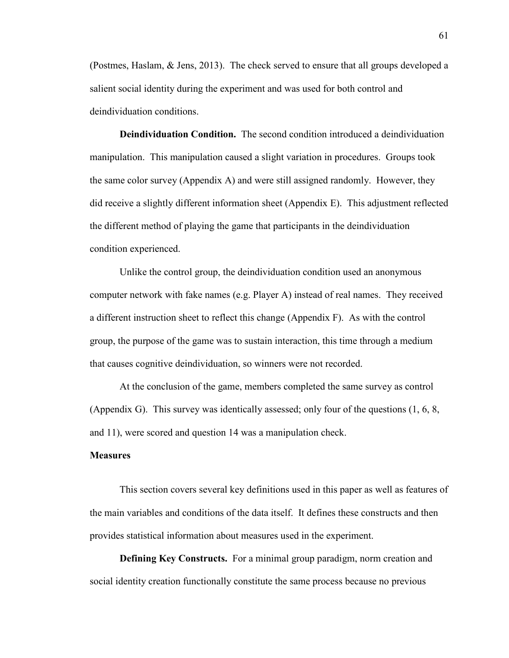(Postmes, Haslam, & Jens, 2013). The check served to ensure that all groups developed a salient social identity during the experiment and was used for both control and deindividuation conditions.

**Deindividuation Condition.** The second condition introduced a deindividuation manipulation. This manipulation caused a slight variation in procedures. Groups took the same color survey (Appendix A) and were still assigned randomly. However, they did receive a slightly different information sheet (Appendix E). This adjustment reflected the different method of playing the game that participants in the deindividuation condition experienced.

Unlike the control group, the deindividuation condition used an anonymous computer network with fake names (e.g. Player A) instead of real names. They received a different instruction sheet to reflect this change (Appendix F). As with the control group, the purpose of the game was to sustain interaction, this time through a medium that causes cognitive deindividuation, so winners were not recorded.

At the conclusion of the game, members completed the same survey as control (Appendix G). This survey was identically assessed; only four of the questions (1, 6, 8, and 11), were scored and question 14 was a manipulation check.

### **Measures**

This section covers several key definitions used in this paper as well as features of the main variables and conditions of the data itself. It defines these constructs and then provides statistical information about measures used in the experiment.

**Defining Key Constructs.** For a minimal group paradigm, norm creation and social identity creation functionally constitute the same process because no previous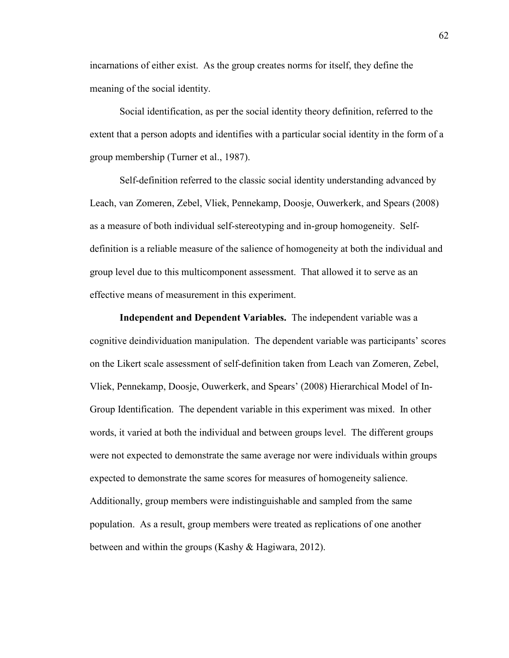incarnations of either exist. As the group creates norms for itself, they define the meaning of the social identity.

Social identification, as per the social identity theory definition, referred to the extent that a person adopts and identifies with a particular social identity in the form of a group membership (Turner et al., 1987).

Self-definition referred to the classic social identity understanding advanced by Leach, van Zomeren, Zebel, Vliek, Pennekamp, Doosje, Ouwerkerk, and Spears (2008) as a measure of both individual self-stereotyping and in-group homogeneity. Selfdefinition is a reliable measure of the salience of homogeneity at both the individual and group level due to this multicomponent assessment. That allowed it to serve as an effective means of measurement in this experiment.

**Independent and Dependent Variables.** The independent variable was a cognitive deindividuation manipulation. The dependent variable was participants' scores on the Likert scale assessment of self-definition taken from Leach van Zomeren, Zebel, Vliek, Pennekamp, Doosje, Ouwerkerk, and Spears' (2008) Hierarchical Model of In-Group Identification. The dependent variable in this experiment was mixed. In other words, it varied at both the individual and between groups level. The different groups were not expected to demonstrate the same average nor were individuals within groups expected to demonstrate the same scores for measures of homogeneity salience. Additionally, group members were indistinguishable and sampled from the same population. As a result, group members were treated as replications of one another between and within the groups (Kashy & Hagiwara, 2012).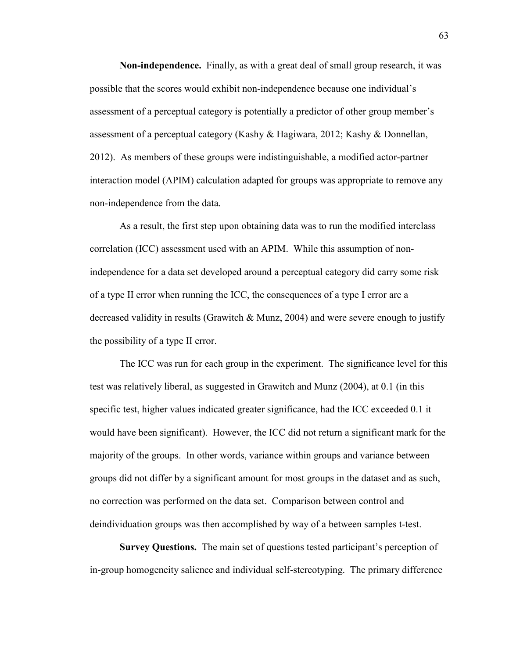**Non-independence.** Finally, as with a great deal of small group research, it was possible that the scores would exhibit non-independence because one individual's assessment of a perceptual category is potentially a predictor of other group member's assessment of a perceptual category (Kashy & Hagiwara, 2012; Kashy & Donnellan, 2012). As members of these groups were indistinguishable, a modified actor-partner interaction model (APIM) calculation adapted for groups was appropriate to remove any non-independence from the data.

As a result, the first step upon obtaining data was to run the modified interclass correlation (ICC) assessment used with an APIM. While this assumption of nonindependence for a data set developed around a perceptual category did carry some risk of a type II error when running the ICC, the consequences of a type I error are a decreased validity in results (Grawitch & Munz, 2004) and were severe enough to justify the possibility of a type II error.

The ICC was run for each group in the experiment. The significance level for this test was relatively liberal, as suggested in Grawitch and Munz (2004), at 0.1 (in this specific test, higher values indicated greater significance, had the ICC exceeded 0.1 it would have been significant). However, the ICC did not return a significant mark for the majority of the groups. In other words, variance within groups and variance between groups did not differ by a significant amount for most groups in the dataset and as such, no correction was performed on the data set. Comparison between control and deindividuation groups was then accomplished by way of a between samples t-test.

**Survey Questions.** The main set of questions tested participant's perception of in-group homogeneity salience and individual self-stereotyping. The primary difference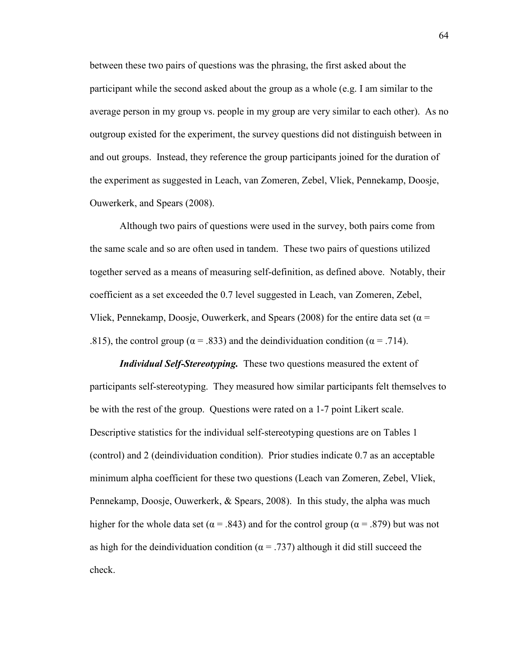between these two pairs of questions was the phrasing, the first asked about the participant while the second asked about the group as a whole (e.g. I am similar to the average person in my group vs. people in my group are very similar to each other). As no outgroup existed for the experiment, the survey questions did not distinguish between in and out groups. Instead, they reference the group participants joined for the duration of the experiment as suggested in Leach, van Zomeren, Zebel, Vliek, Pennekamp, Doosje, Ouwerkerk, and Spears (2008).

Although two pairs of questions were used in the survey, both pairs come from the same scale and so are often used in tandem. These two pairs of questions utilized together served as a means of measuring self-definition, as defined above. Notably, their coefficient as a set exceeded the 0.7 level suggested in Leach, van Zomeren, Zebel, Vliek, Pennekamp, Doosje, Ouwerkerk, and Spears (2008) for the entire data set ( $\alpha$  = .815), the control group ( $\alpha$  = .833) and the deindividuation condition ( $\alpha$  = .714).

*Individual Self-Stereotyping.* These two questions measured the extent of participants self-stereotyping. They measured how similar participants felt themselves to be with the rest of the group. Questions were rated on a 1-7 point Likert scale. Descriptive statistics for the individual self-stereotyping questions are on Tables 1 (control) and 2 (deindividuation condition). Prior studies indicate 0.7 as an acceptable minimum alpha coefficient for these two questions (Leach van Zomeren, Zebel, Vliek, Pennekamp, Doosje, Ouwerkerk, & Spears, 2008). In this study, the alpha was much higher for the whole data set ( $\alpha$  = .843) and for the control group ( $\alpha$  = .879) but was not as high for the deindividuation condition ( $\alpha$  = .737) although it did still succeed the check.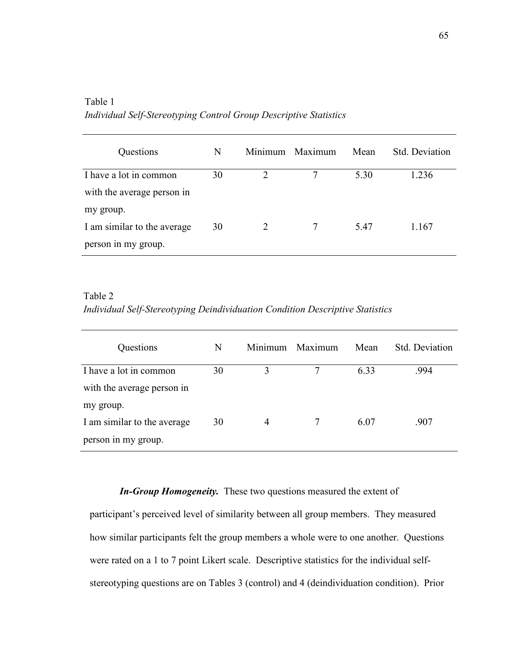| Questions                   | N  |               | Minimum Maximum | Mean | Std. Deviation |
|-----------------------------|----|---------------|-----------------|------|----------------|
| I have a lot in common      | 30 | $\mathcal{D}$ |                 | 5.30 | 1.236          |
| with the average person in  |    |               |                 |      |                |
| my group.                   |    |               |                 |      |                |
| I am similar to the average | 30 | 2             |                 | 5.47 | 1.167          |
| person in my group.         |    |               |                 |      |                |

Table 1 *Individual Self-Stereotyping Control Group Descriptive Statistics* 

Table 2 *Individual Self-Stereotyping Deindividuation Condition Descriptive Statistics* 

| Questions                   | N  |                | Minimum Maximum | Mean | Std. Deviation |
|-----------------------------|----|----------------|-----------------|------|----------------|
| I have a lot in common      | 30 | 3              |                 | 6.33 | .994           |
| with the average person in  |    |                |                 |      |                |
| my group.                   |    |                |                 |      |                |
| I am similar to the average | 30 | $\overline{4}$ |                 | 6.07 | .907           |
| person in my group.         |    |                |                 |      |                |

*In-Group Homogeneity.* These two questions measured the extent of

participant's perceived level of similarity between all group members. They measured how similar participants felt the group members a whole were to one another. Questions were rated on a 1 to 7 point Likert scale. Descriptive statistics for the individual selfstereotyping questions are on Tables 3 (control) and 4 (deindividuation condition). Prior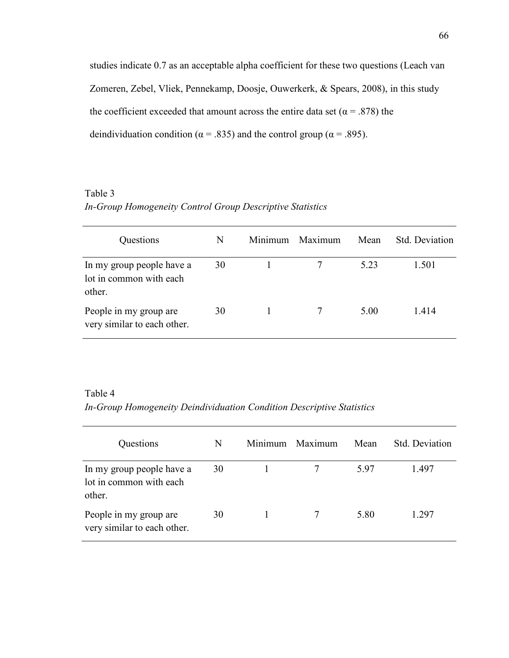studies indicate 0.7 as an acceptable alpha coefficient for these two questions (Leach van Zomeren, Zebel, Vliek, Pennekamp, Doosje, Ouwerkerk, & Spears, 2008), in this study the coefficient exceeded that amount across the entire data set ( $\alpha$  = .878) the deindividuation condition ( $\alpha$  = .835) and the control group ( $\alpha$  = .895).

## Table 3 *In-Group Homogeneity Control Group Descriptive Statistics*

| Questions                                                      | N  | Minimum Maximum | Mean | Std. Deviation |
|----------------------------------------------------------------|----|-----------------|------|----------------|
| In my group people have a<br>lot in common with each<br>other. | 30 |                 | 5.23 | 1.501          |
| People in my group are<br>very similar to each other.          | 30 |                 | 5.00 | 1414           |

### Table 4

*In-Group Homogeneity Deindividuation Condition Descriptive Statistics* 

| Questions                                                      | N  | Minimum | Maximum | Mean | Std. Deviation |
|----------------------------------------------------------------|----|---------|---------|------|----------------|
| In my group people have a<br>lot in common with each<br>other. | 30 |         |         | 597  | 1.497          |
| People in my group are<br>very similar to each other.          | 30 |         |         | 5.80 | 1.297          |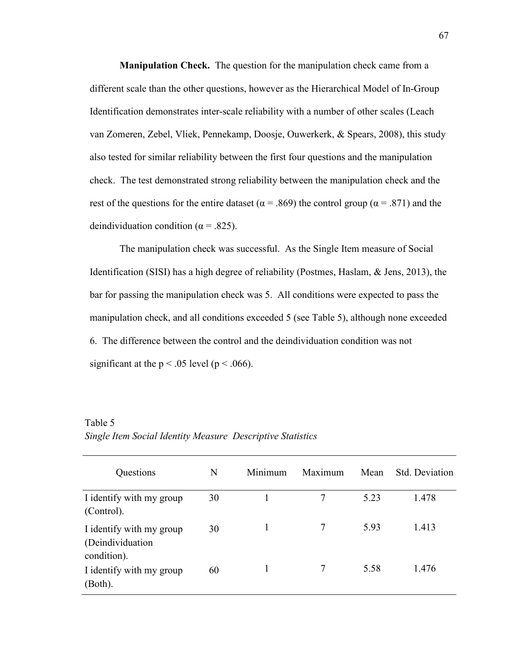**Manipulation Check.** The question for the manipulation check came from a different scale than the other questions, however as the Hierarchical Model of In-Group Identification demonstrates inter-scale reliability with a number of other scales (Leach van Zomeren, Zebel, Vliek, Pennekamp, Doosje, Ouwerkerk, & Spears, 2008), this study also tested for similar reliability between the first four questions and the manipulation check. The test demonstrated strong reliability between the manipulation check and the rest of the questions for the entire dataset ( $\alpha$  = .869) the control group ( $\alpha$  = .871) and the deindividuation condition ( $\alpha$  = .825).

The manipulation check was successful. As the Single Item measure of Social Identification (SISI) has a high degree of reliability (Postmes, Haslam, & Jens, 2013), the bar for passing the manipulation check was 5. All conditions were expected to pass the manipulation check, and all conditions exceeded 5 (see Table 5), although none exceeded 6. The difference between the control and the deindividuation condition was not significant at the  $p < .05$  level ( $p < .066$ ).

| Questions                                                    | N  | Minimum | Maximum | Mean | <b>Std.</b> Deviation |
|--------------------------------------------------------------|----|---------|---------|------|-----------------------|
| I identify with my group<br>(Control).                       | 30 |         |         | 5.23 | 1.478                 |
| I identify with my group<br>(Deindividuation)<br>condition). | 30 |         | 7       | 5.93 | 1.413                 |
| I identify with my group<br>(Both).                          | 60 |         | 7       | 5.58 | 1.476                 |

Table 5 *Single Item Social Identity Measure Descriptive Statistics*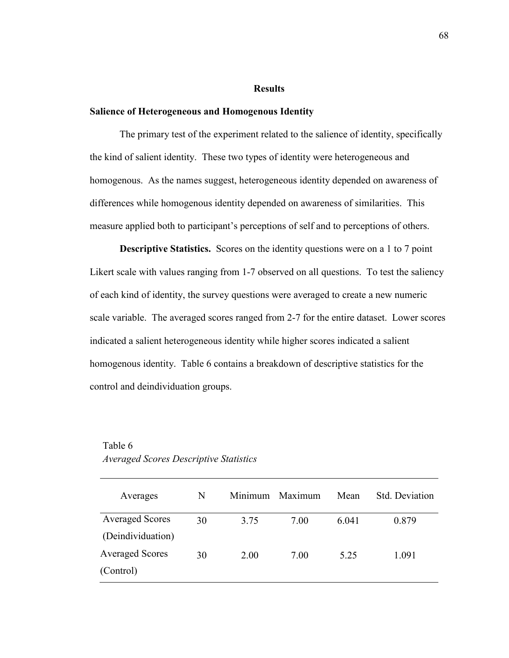### **Results**

### **Salience of Heterogeneous and Homogenous Identity**

The primary test of the experiment related to the salience of identity, specifically the kind of salient identity. These two types of identity were heterogeneous and homogenous. As the names suggest, heterogeneous identity depended on awareness of differences while homogenous identity depended on awareness of similarities. This measure applied both to participant's perceptions of self and to perceptions of others.

**Descriptive Statistics.** Scores on the identity questions were on a 1 to 7 point Likert scale with values ranging from 1-7 observed on all questions. To test the saliency of each kind of identity, the survey questions were averaged to create a new numeric scale variable. The averaged scores ranged from 2-7 for the entire dataset. Lower scores indicated a salient heterogeneous identity while higher scores indicated a salient homogenous identity. Table 6 contains a breakdown of descriptive statistics for the control and deindividuation groups.

| Averages               | N  | Minimum | Maximum | Mean  | Std. Deviation |
|------------------------|----|---------|---------|-------|----------------|
| <b>Averaged Scores</b> | 30 | 3.75    | 7.00    | 6 041 | 0.879          |
| (Deindividuation)      |    |         |         |       |                |
| <b>Averaged Scores</b> | 30 | 2.00    | 7.00    | 5.25  | 1.091          |
| (Control)              |    |         |         |       |                |

### Table 6 *Averaged Scores Descriptive Statistics*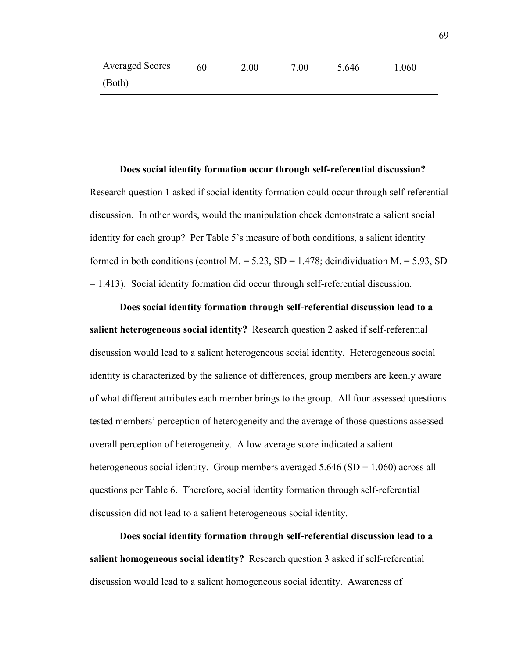**Does social identity formation occur through self-referential discussion?**  Research question 1 asked if social identity formation could occur through self-referential discussion. In other words, would the manipulation check demonstrate a salient social identity for each group? Per Table 5's measure of both conditions, a salient identity formed in both conditions (control M. = 5.23, SD = 1.478; deindividuation M. = 5.93, SD = 1.413). Social identity formation did occur through self-referential discussion.

**Does social identity formation through self-referential discussion lead to a salient heterogeneous social identity?** Research question 2 asked if self-referential discussion would lead to a salient heterogeneous social identity. Heterogeneous social identity is characterized by the salience of differences, group members are keenly aware of what different attributes each member brings to the group. All four assessed questions tested members' perception of heterogeneity and the average of those questions assessed overall perception of heterogeneity. A low average score indicated a salient heterogeneous social identity. Group members averaged 5.646 (SD = 1.060) across all questions per Table 6. Therefore, social identity formation through self-referential discussion did not lead to a salient heterogeneous social identity.

**Does social identity formation through self-referential discussion lead to a salient homogeneous social identity?** Research question 3 asked if self-referential discussion would lead to a salient homogeneous social identity. Awareness of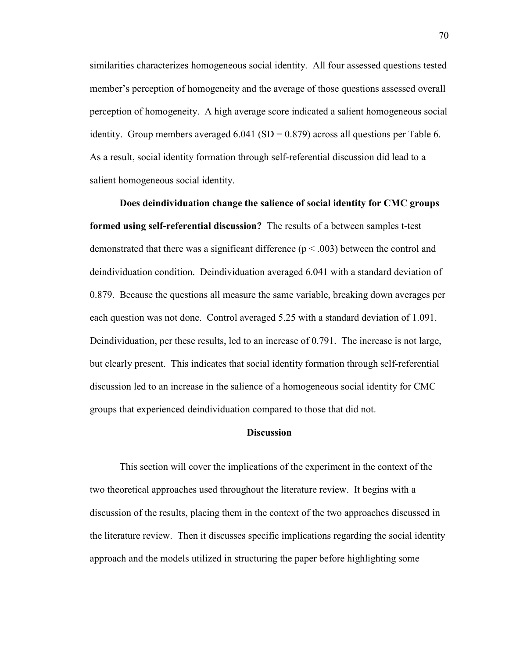similarities characterizes homogeneous social identity. All four assessed questions tested member's perception of homogeneity and the average of those questions assessed overall perception of homogeneity. A high average score indicated a salient homogeneous social identity. Group members averaged  $6.041$  (SD = 0.879) across all questions per Table 6. As a result, social identity formation through self-referential discussion did lead to a salient homogeneous social identity.

**Does deindividuation change the salience of social identity for CMC groups formed using self-referential discussion?**The results of a between samples t-test demonstrated that there was a significant difference  $(p < .003)$  between the control and deindividuation condition. Deindividuation averaged 6.041 with a standard deviation of 0.879. Because the questions all measure the same variable, breaking down averages per each question was not done. Control averaged 5.25 with a standard deviation of 1.091. Deindividuation, per these results, led to an increase of 0.791. The increase is not large, but clearly present. This indicates that social identity formation through self-referential discussion led to an increase in the salience of a homogeneous social identity for CMC groups that experienced deindividuation compared to those that did not.

### **Discussion**

This section will cover the implications of the experiment in the context of the two theoretical approaches used throughout the literature review. It begins with a discussion of the results, placing them in the context of the two approaches discussed in the literature review. Then it discusses specific implications regarding the social identity approach and the models utilized in structuring the paper before highlighting some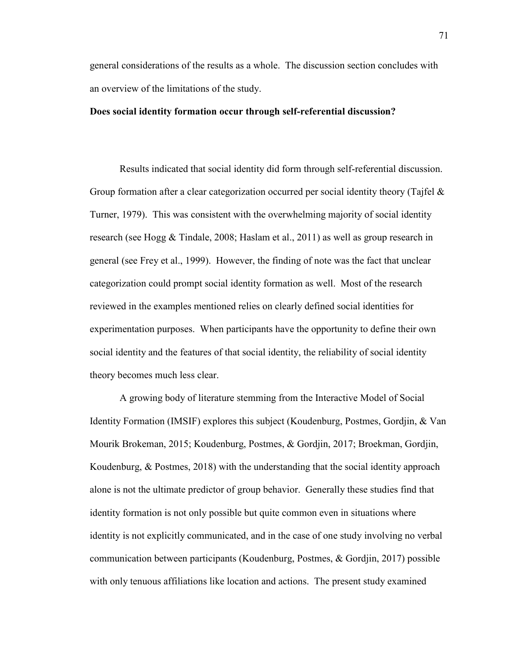general considerations of the results as a whole. The discussion section concludes with an overview of the limitations of the study.

### **Does social identity formation occur through self-referential discussion?**

Results indicated that social identity did form through self-referential discussion. Group formation after a clear categorization occurred per social identity theory (Tajfel & Turner, 1979). This was consistent with the overwhelming majority of social identity research (see Hogg & Tindale, 2008; Haslam et al., 2011) as well as group research in general (see Frey et al., 1999). However, the finding of note was the fact that unclear categorization could prompt social identity formation as well. Most of the research reviewed in the examples mentioned relies on clearly defined social identities for experimentation purposes. When participants have the opportunity to define their own social identity and the features of that social identity, the reliability of social identity theory becomes much less clear.

A growing body of literature stemming from the Interactive Model of Social Identity Formation (IMSIF) explores this subject (Koudenburg, Postmes, Gordjin, & Van Mourik Brokeman, 2015; Koudenburg, Postmes, & Gordjin, 2017; Broekman, Gordjin, Koudenburg, & Postmes, 2018) with the understanding that the social identity approach alone is not the ultimate predictor of group behavior. Generally these studies find that identity formation is not only possible but quite common even in situations where identity is not explicitly communicated, and in the case of one study involving no verbal communication between participants (Koudenburg, Postmes, & Gordjin, 2017) possible with only tenuous affiliations like location and actions. The present study examined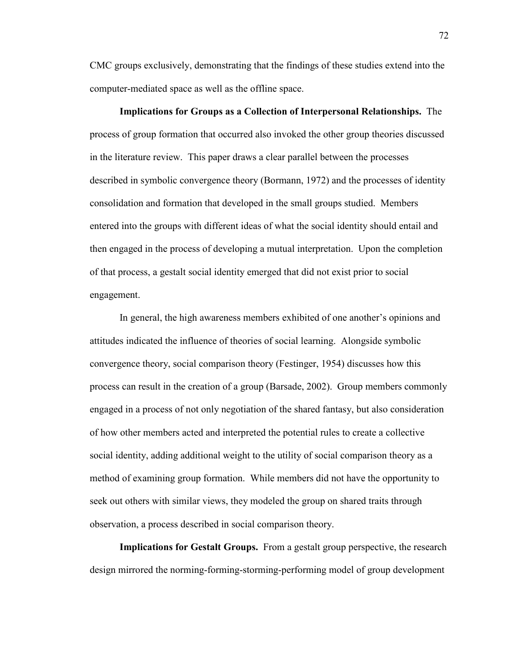CMC groups exclusively, demonstrating that the findings of these studies extend into the computer-mediated space as well as the offline space.

**Implications for Groups as a Collection of Interpersonal Relationships.** The process of group formation that occurred also invoked the other group theories discussed in the literature review. This paper draws a clear parallel between the processes described in symbolic convergence theory (Bormann, 1972) and the processes of identity consolidation and formation that developed in the small groups studied. Members entered into the groups with different ideas of what the social identity should entail and then engaged in the process of developing a mutual interpretation. Upon the completion of that process, a gestalt social identity emerged that did not exist prior to social engagement.

In general, the high awareness members exhibited of one another's opinions and attitudes indicated the influence of theories of social learning. Alongside symbolic convergence theory, social comparison theory (Festinger, 1954) discusses how this process can result in the creation of a group (Barsade, 2002). Group members commonly engaged in a process of not only negotiation of the shared fantasy, but also consideration of how other members acted and interpreted the potential rules to create a collective social identity, adding additional weight to the utility of social comparison theory as a method of examining group formation. While members did not have the opportunity to seek out others with similar views, they modeled the group on shared traits through observation, a process described in social comparison theory.

**Implications for Gestalt Groups.** From a gestalt group perspective, the research design mirrored the norming-forming-storming-performing model of group development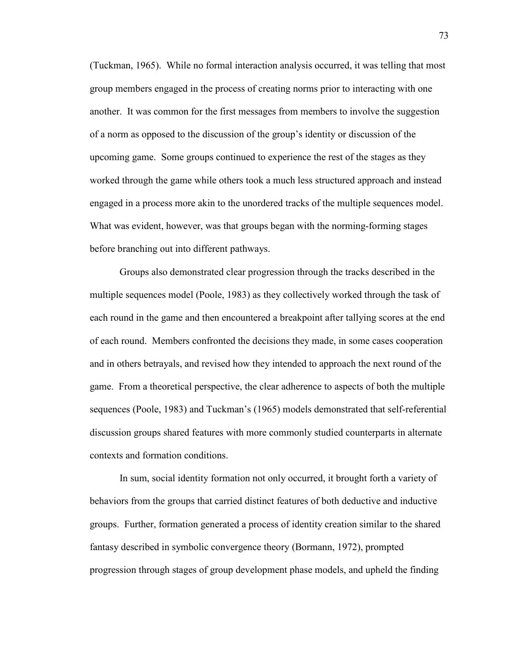(Tuckman, 1965). While no formal interaction analysis occurred, it was telling that most group members engaged in the process of creating norms prior to interacting with one another. It was common for the first messages from members to involve the suggestion of a norm as opposed to the discussion of the group's identity or discussion of the upcoming game. Some groups continued to experience the rest of the stages as they worked through the game while others took a much less structured approach and instead engaged in a process more akin to the unordered tracks of the multiple sequences model. What was evident, however, was that groups began with the norming-forming stages before branching out into different pathways.

Groups also demonstrated clear progression through the tracks described in the multiple sequences model (Poole, 1983) as they collectively worked through the task of each round in the game and then encountered a breakpoint after tallying scores at the end of each round. Members confronted the decisions they made, in some cases cooperation and in others betrayals, and revised how they intended to approach the next round of the game. From a theoretical perspective, the clear adherence to aspects of both the multiple sequences (Poole, 1983) and Tuckman's (1965) models demonstrated that self-referential discussion groups shared features with more commonly studied counterparts in alternate contexts and formation conditions.

In sum, social identity formation not only occurred, it brought forth a variety of behaviors from the groups that carried distinct features of both deductive and inductive groups. Further, formation generated a process of identity creation similar to the shared fantasy described in symbolic convergence theory (Bormann, 1972), prompted progression through stages of group development phase models, and upheld the finding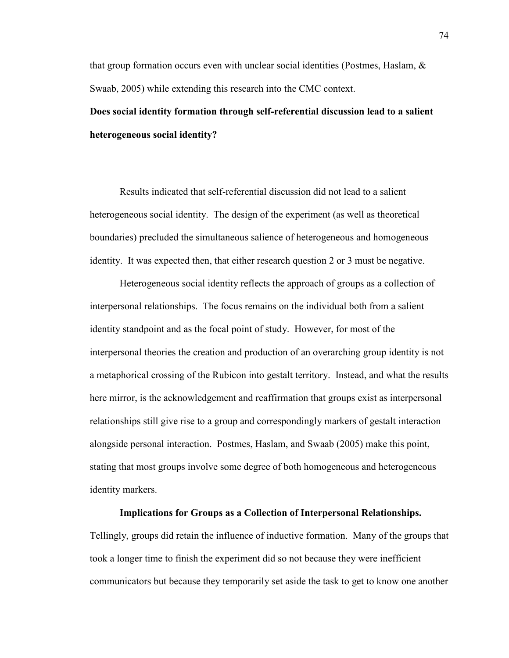that group formation occurs even with unclear social identities (Postmes, Haslam,  $\&$ Swaab, 2005) while extending this research into the CMC context.

# **Does social identity formation through self-referential discussion lead to a salient heterogeneous social identity?**

Results indicated that self-referential discussion did not lead to a salient heterogeneous social identity. The design of the experiment (as well as theoretical boundaries) precluded the simultaneous salience of heterogeneous and homogeneous identity. It was expected then, that either research question 2 or 3 must be negative.

 Heterogeneous social identity reflects the approach of groups as a collection of interpersonal relationships. The focus remains on the individual both from a salient identity standpoint and as the focal point of study. However, for most of the interpersonal theories the creation and production of an overarching group identity is not a metaphorical crossing of the Rubicon into gestalt territory. Instead, and what the results here mirror, is the acknowledgement and reaffirmation that groups exist as interpersonal relationships still give rise to a group and correspondingly markers of gestalt interaction alongside personal interaction. Postmes, Haslam, and Swaab (2005) make this point, stating that most groups involve some degree of both homogeneous and heterogeneous identity markers.

### **Implications for Groups as a Collection of Interpersonal Relationships.**

Tellingly, groups did retain the influence of inductive formation. Many of the groups that took a longer time to finish the experiment did so not because they were inefficient communicators but because they temporarily set aside the task to get to know one another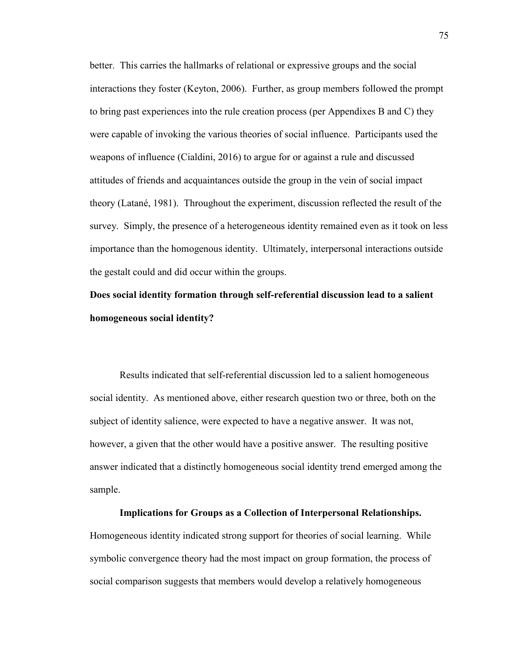better. This carries the hallmarks of relational or expressive groups and the social interactions they foster (Keyton, 2006). Further, as group members followed the prompt to bring past experiences into the rule creation process (per Appendixes B and C) they were capable of invoking the various theories of social influence. Participants used the weapons of influence (Cialdini, 2016) to argue for or against a rule and discussed attitudes of friends and acquaintances outside the group in the vein of social impact theory (Latané, 1981). Throughout the experiment, discussion reflected the result of the survey. Simply, the presence of a heterogeneous identity remained even as it took on less importance than the homogenous identity. Ultimately, interpersonal interactions outside the gestalt could and did occur within the groups.

## **Does social identity formation through self-referential discussion lead to a salient homogeneous social identity?**

Results indicated that self-referential discussion led to a salient homogeneous social identity. As mentioned above, either research question two or three, both on the subject of identity salience, were expected to have a negative answer. It was not, however, a given that the other would have a positive answer. The resulting positive answer indicated that a distinctly homogeneous social identity trend emerged among the sample.

## **Implications for Groups as a Collection of Interpersonal Relationships.**

Homogeneous identity indicated strong support for theories of social learning. While symbolic convergence theory had the most impact on group formation, the process of social comparison suggests that members would develop a relatively homogeneous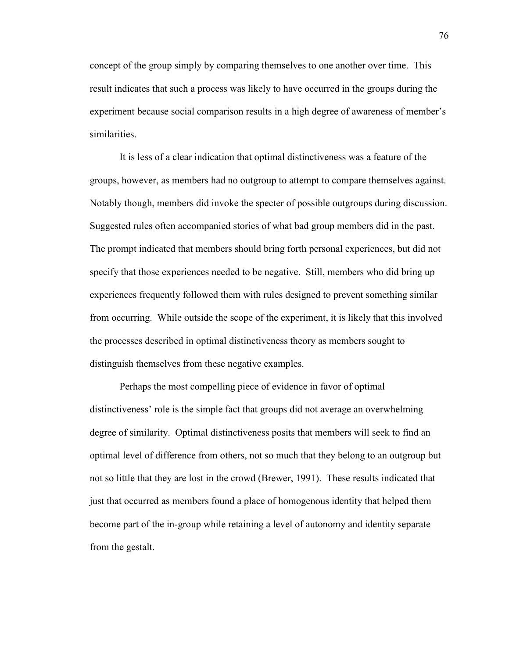concept of the group simply by comparing themselves to one another over time. This result indicates that such a process was likely to have occurred in the groups during the experiment because social comparison results in a high degree of awareness of member's similarities.

It is less of a clear indication that optimal distinctiveness was a feature of the groups, however, as members had no outgroup to attempt to compare themselves against. Notably though, members did invoke the specter of possible outgroups during discussion. Suggested rules often accompanied stories of what bad group members did in the past. The prompt indicated that members should bring forth personal experiences, but did not specify that those experiences needed to be negative. Still, members who did bring up experiences frequently followed them with rules designed to prevent something similar from occurring. While outside the scope of the experiment, it is likely that this involved the processes described in optimal distinctiveness theory as members sought to distinguish themselves from these negative examples.

Perhaps the most compelling piece of evidence in favor of optimal distinctiveness' role is the simple fact that groups did not average an overwhelming degree of similarity. Optimal distinctiveness posits that members will seek to find an optimal level of difference from others, not so much that they belong to an outgroup but not so little that they are lost in the crowd (Brewer, 1991). These results indicated that just that occurred as members found a place of homogenous identity that helped them become part of the in-group while retaining a level of autonomy and identity separate from the gestalt.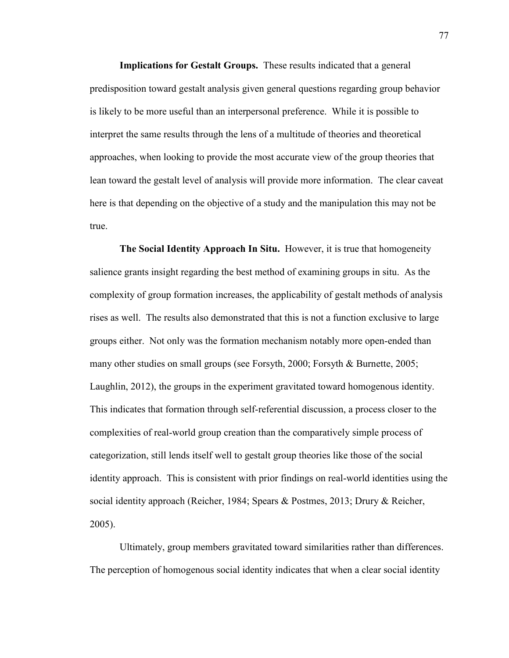**Implications for Gestalt Groups.** These results indicated that a general predisposition toward gestalt analysis given general questions regarding group behavior is likely to be more useful than an interpersonal preference. While it is possible to interpret the same results through the lens of a multitude of theories and theoretical approaches, when looking to provide the most accurate view of the group theories that lean toward the gestalt level of analysis will provide more information. The clear caveat here is that depending on the objective of a study and the manipulation this may not be true.

**The Social Identity Approach In Situ.** However, it is true that homogeneity salience grants insight regarding the best method of examining groups in situ. As the complexity of group formation increases, the applicability of gestalt methods of analysis rises as well. The results also demonstrated that this is not a function exclusive to large groups either. Not only was the formation mechanism notably more open-ended than many other studies on small groups (see Forsyth, 2000; Forsyth & Burnette, 2005; Laughlin, 2012), the groups in the experiment gravitated toward homogenous identity. This indicates that formation through self-referential discussion, a process closer to the complexities of real-world group creation than the comparatively simple process of categorization, still lends itself well to gestalt group theories like those of the social identity approach. This is consistent with prior findings on real-world identities using the social identity approach (Reicher, 1984; Spears & Postmes, 2013; Drury & Reicher, 2005).

Ultimately, group members gravitated toward similarities rather than differences. The perception of homogenous social identity indicates that when a clear social identity

77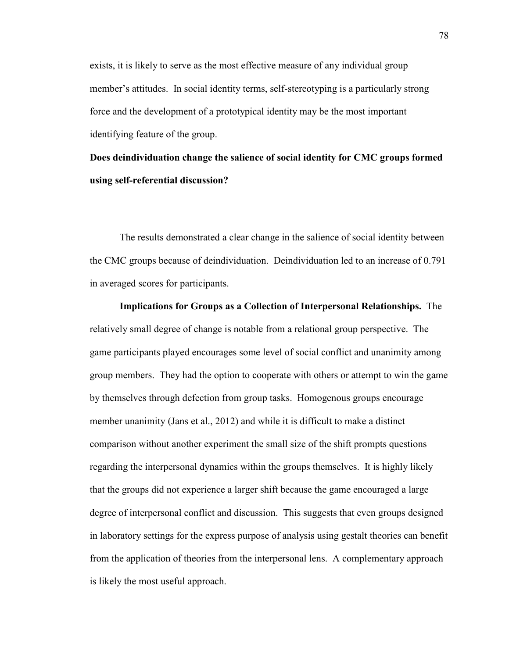exists, it is likely to serve as the most effective measure of any individual group member's attitudes. In social identity terms, self-stereotyping is a particularly strong force and the development of a prototypical identity may be the most important identifying feature of the group.

**Does deindividuation change the salience of social identity for CMC groups formed using self-referential discussion?**

The results demonstrated a clear change in the salience of social identity between the CMC groups because of deindividuation. Deindividuation led to an increase of 0.791 in averaged scores for participants.

**Implications for Groups as a Collection of Interpersonal Relationships.** The relatively small degree of change is notable from a relational group perspective. The game participants played encourages some level of social conflict and unanimity among group members. They had the option to cooperate with others or attempt to win the game by themselves through defection from group tasks. Homogenous groups encourage member unanimity (Jans et al., 2012) and while it is difficult to make a distinct comparison without another experiment the small size of the shift prompts questions regarding the interpersonal dynamics within the groups themselves. It is highly likely that the groups did not experience a larger shift because the game encouraged a large degree of interpersonal conflict and discussion. This suggests that even groups designed in laboratory settings for the express purpose of analysis using gestalt theories can benefit from the application of theories from the interpersonal lens. A complementary approach is likely the most useful approach.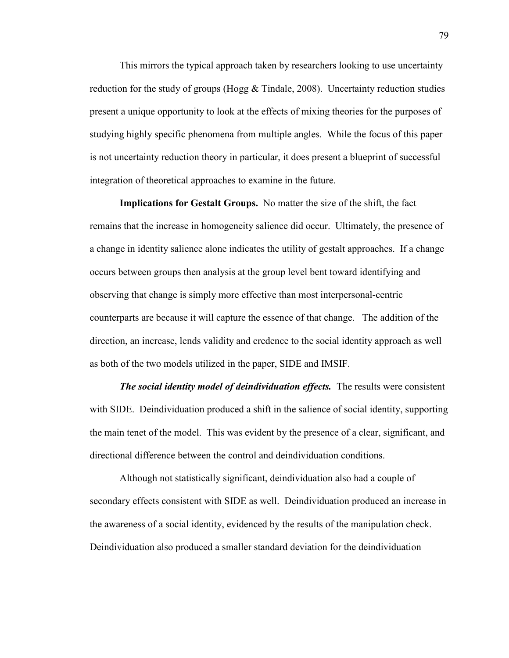This mirrors the typical approach taken by researchers looking to use uncertainty reduction for the study of groups (Hogg  $&$  Tindale, 2008). Uncertainty reduction studies present a unique opportunity to look at the effects of mixing theories for the purposes of studying highly specific phenomena from multiple angles. While the focus of this paper is not uncertainty reduction theory in particular, it does present a blueprint of successful integration of theoretical approaches to examine in the future.

**Implications for Gestalt Groups.** No matter the size of the shift, the fact remains that the increase in homogeneity salience did occur. Ultimately, the presence of a change in identity salience alone indicates the utility of gestalt approaches. If a change occurs between groups then analysis at the group level bent toward identifying and observing that change is simply more effective than most interpersonal-centric counterparts are because it will capture the essence of that change. The addition of the direction, an increase, lends validity and credence to the social identity approach as well as both of the two models utilized in the paper, SIDE and IMSIF.

*The social identity model of deindividuation effects.* The results were consistent with SIDE. Deindividuation produced a shift in the salience of social identity, supporting the main tenet of the model. This was evident by the presence of a clear, significant, and directional difference between the control and deindividuation conditions.

 Although not statistically significant, deindividuation also had a couple of secondary effects consistent with SIDE as well. Deindividuation produced an increase in the awareness of a social identity, evidenced by the results of the manipulation check. Deindividuation also produced a smaller standard deviation for the deindividuation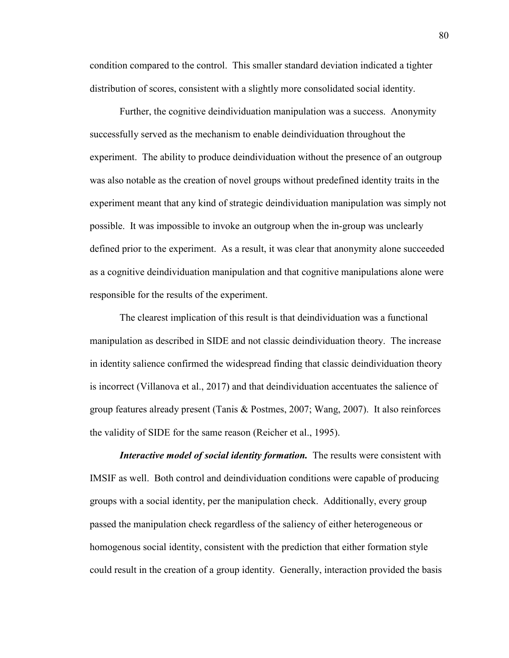condition compared to the control. This smaller standard deviation indicated a tighter distribution of scores, consistent with a slightly more consolidated social identity.

 Further, the cognitive deindividuation manipulation was a success. Anonymity successfully served as the mechanism to enable deindividuation throughout the experiment. The ability to produce deindividuation without the presence of an outgroup was also notable as the creation of novel groups without predefined identity traits in the experiment meant that any kind of strategic deindividuation manipulation was simply not possible. It was impossible to invoke an outgroup when the in-group was unclearly defined prior to the experiment. As a result, it was clear that anonymity alone succeeded as a cognitive deindividuation manipulation and that cognitive manipulations alone were responsible for the results of the experiment.

The clearest implication of this result is that deindividuation was a functional manipulation as described in SIDE and not classic deindividuation theory. The increase in identity salience confirmed the widespread finding that classic deindividuation theory is incorrect (Villanova et al., 2017) and that deindividuation accentuates the salience of group features already present (Tanis & Postmes, 2007; Wang, 2007). It also reinforces the validity of SIDE for the same reason (Reicher et al., 1995).

*Interactive model of social identity formation.* The results were consistent with IMSIF as well. Both control and deindividuation conditions were capable of producing groups with a social identity, per the manipulation check. Additionally, every group passed the manipulation check regardless of the saliency of either heterogeneous or homogenous social identity, consistent with the prediction that either formation style could result in the creation of a group identity. Generally, interaction provided the basis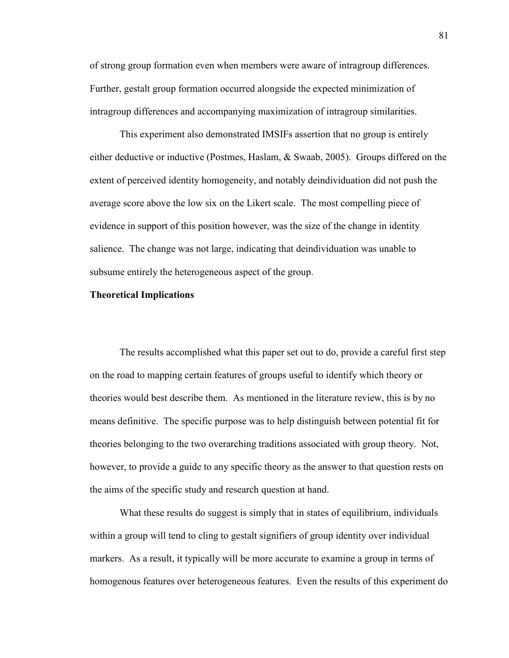of strong group formation even when members were aware of intragroup differences. Further, gestalt group formation occurred alongside the expected minimization of intragroup differences and accompanying maximization of intragroup similarities.

This experiment also demonstrated IMSIFs assertion that no group is entirely either deductive or inductive (Postmes, Haslam, & Swaab, 2005). Groups differed on the extent of perceived identity homogeneity, and notably deindividuation did not push the average score above the low six on the Likert scale. The most compelling piece of evidence in support of this position however, was the size of the change in identity salience. The change was not large, indicating that deindividuation was unable to subsume entirely the heterogeneous aspect of the group.

### **Theoretical Implications**

The results accomplished what this paper set out to do, provide a careful first step on the road to mapping certain features of groups useful to identify which theory or theories would best describe them. As mentioned in the literature review, this is by no means definitive. The specific purpose was to help distinguish between potential fit for theories belonging to the two overarching traditions associated with group theory. Not, however, to provide a guide to any specific theory as the answer to that question rests on the aims of the specific study and research question at hand.

What these results do suggest is simply that in states of equilibrium, individuals within a group will tend to cling to gestalt signifiers of group identity over individual markers. As a result, it typically will be more accurate to examine a group in terms of homogenous features over heterogeneous features. Even the results of this experiment do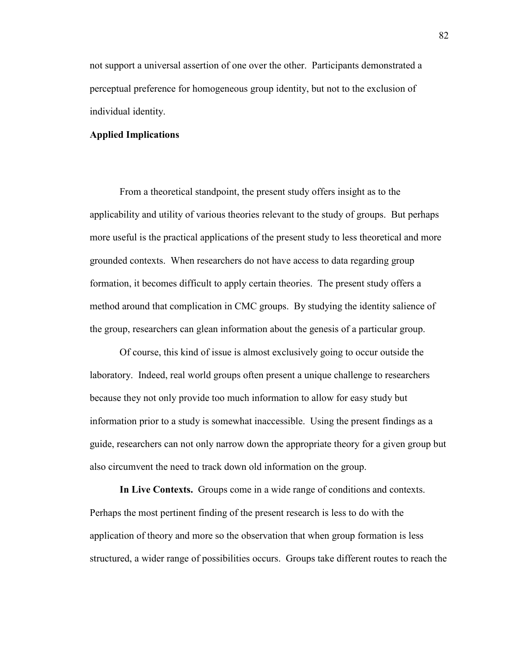not support a universal assertion of one over the other. Participants demonstrated a perceptual preference for homogeneous group identity, but not to the exclusion of individual identity.

### **Applied Implications**

From a theoretical standpoint, the present study offers insight as to the applicability and utility of various theories relevant to the study of groups. But perhaps more useful is the practical applications of the present study to less theoretical and more grounded contexts. When researchers do not have access to data regarding group formation, it becomes difficult to apply certain theories. The present study offers a method around that complication in CMC groups. By studying the identity salience of the group, researchers can glean information about the genesis of a particular group.

 Of course, this kind of issue is almost exclusively going to occur outside the laboratory. Indeed, real world groups often present a unique challenge to researchers because they not only provide too much information to allow for easy study but information prior to a study is somewhat inaccessible. Using the present findings as a guide, researchers can not only narrow down the appropriate theory for a given group but also circumvent the need to track down old information on the group.

**In Live Contexts.** Groups come in a wide range of conditions and contexts. Perhaps the most pertinent finding of the present research is less to do with the application of theory and more so the observation that when group formation is less structured, a wider range of possibilities occurs. Groups take different routes to reach the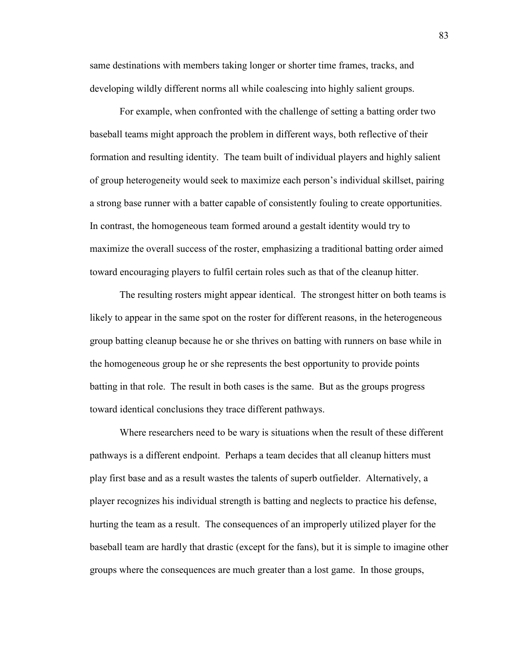same destinations with members taking longer or shorter time frames, tracks, and developing wildly different norms all while coalescing into highly salient groups.

 For example, when confronted with the challenge of setting a batting order two baseball teams might approach the problem in different ways, both reflective of their formation and resulting identity. The team built of individual players and highly salient of group heterogeneity would seek to maximize each person's individual skillset, pairing a strong base runner with a batter capable of consistently fouling to create opportunities. In contrast, the homogeneous team formed around a gestalt identity would try to maximize the overall success of the roster, emphasizing a traditional batting order aimed toward encouraging players to fulfil certain roles such as that of the cleanup hitter.

 The resulting rosters might appear identical. The strongest hitter on both teams is likely to appear in the same spot on the roster for different reasons, in the heterogeneous group batting cleanup because he or she thrives on batting with runners on base while in the homogeneous group he or she represents the best opportunity to provide points batting in that role. The result in both cases is the same. But as the groups progress toward identical conclusions they trace different pathways.

 Where researchers need to be wary is situations when the result of these different pathways is a different endpoint. Perhaps a team decides that all cleanup hitters must play first base and as a result wastes the talents of superb outfielder. Alternatively, a player recognizes his individual strength is batting and neglects to practice his defense, hurting the team as a result. The consequences of an improperly utilized player for the baseball team are hardly that drastic (except for the fans), but it is simple to imagine other groups where the consequences are much greater than a lost game. In those groups,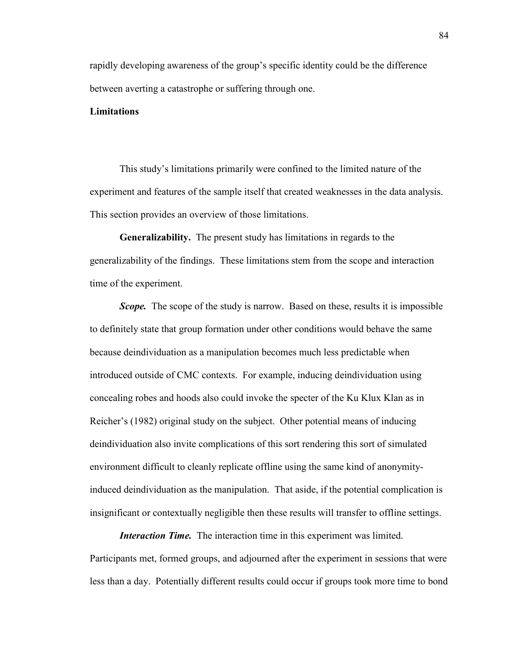rapidly developing awareness of the group's specific identity could be the difference between averting a catastrophe or suffering through one.

### **Limitations**

This study's limitations primarily were confined to the limited nature of the experiment and features of the sample itself that created weaknesses in the data analysis. This section provides an overview of those limitations.

 **Generalizability.** The present study has limitations in regards to the generalizability of the findings. These limitations stem from the scope and interaction time of the experiment.

*Scope.* The scope of the study is narrow. Based on these, results it is impossible to definitely state that group formation under other conditions would behave the same because deindividuation as a manipulation becomes much less predictable when introduced outside of CMC contexts. For example, inducing deindividuation using concealing robes and hoods also could invoke the specter of the Ku Klux Klan as in Reicher's (1982) original study on the subject. Other potential means of inducing deindividuation also invite complications of this sort rendering this sort of simulated environment difficult to cleanly replicate offline using the same kind of anonymityinduced deindividuation as the manipulation. That aside, if the potential complication is insignificant or contextually negligible then these results will transfer to offline settings.

*Interaction Time.* The interaction time in this experiment was limited. Participants met, formed groups, and adjourned after the experiment in sessions that were less than a day. Potentially different results could occur if groups took more time to bond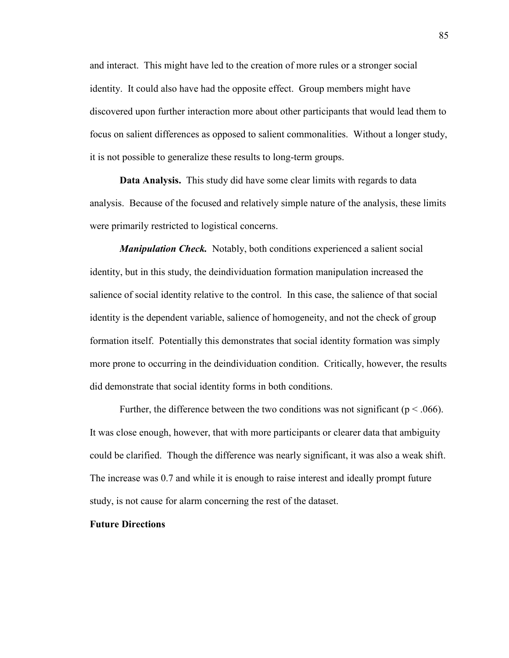and interact. This might have led to the creation of more rules or a stronger social identity. It could also have had the opposite effect. Group members might have discovered upon further interaction more about other participants that would lead them to focus on salient differences as opposed to salient commonalities. Without a longer study, it is not possible to generalize these results to long-term groups.

**Data Analysis.** This study did have some clear limits with regards to data analysis. Because of the focused and relatively simple nature of the analysis, these limits were primarily restricted to logistical concerns.

*Manipulation Check.* Notably, both conditions experienced a salient social identity, but in this study, the deindividuation formation manipulation increased the salience of social identity relative to the control. In this case, the salience of that social identity is the dependent variable, salience of homogeneity, and not the check of group formation itself. Potentially this demonstrates that social identity formation was simply more prone to occurring in the deindividuation condition. Critically, however, the results did demonstrate that social identity forms in both conditions.

Further, the difference between the two conditions was not significant ( $p < .066$ ). It was close enough, however, that with more participants or clearer data that ambiguity could be clarified. Though the difference was nearly significant, it was also a weak shift. The increase was 0.7 and while it is enough to raise interest and ideally prompt future study, is not cause for alarm concerning the rest of the dataset.

### **Future Directions**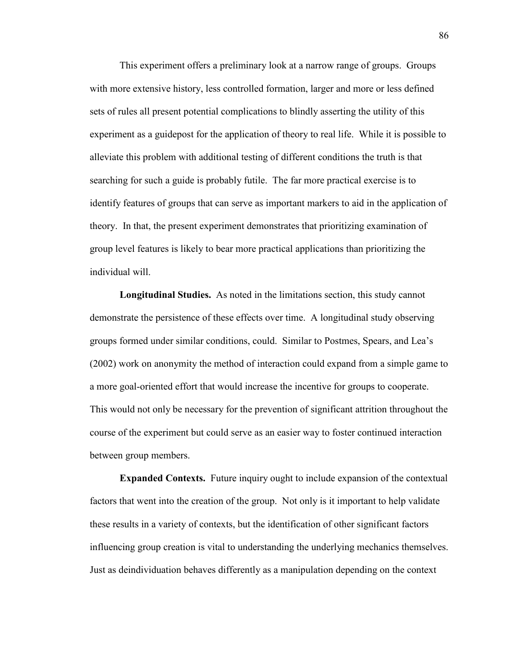This experiment offers a preliminary look at a narrow range of groups. Groups with more extensive history, less controlled formation, larger and more or less defined sets of rules all present potential complications to blindly asserting the utility of this experiment as a guidepost for the application of theory to real life. While it is possible to alleviate this problem with additional testing of different conditions the truth is that searching for such a guide is probably futile. The far more practical exercise is to identify features of groups that can serve as important markers to aid in the application of theory. In that, the present experiment demonstrates that prioritizing examination of group level features is likely to bear more practical applications than prioritizing the individual will.

**Longitudinal Studies.** As noted in the limitations section, this study cannot demonstrate the persistence of these effects over time. A longitudinal study observing groups formed under similar conditions, could. Similar to Postmes, Spears, and Lea's (2002) work on anonymity the method of interaction could expand from a simple game to a more goal-oriented effort that would increase the incentive for groups to cooperate. This would not only be necessary for the prevention of significant attrition throughout the course of the experiment but could serve as an easier way to foster continued interaction between group members.

**Expanded Contexts.** Future inquiry ought to include expansion of the contextual factors that went into the creation of the group. Not only is it important to help validate these results in a variety of contexts, but the identification of other significant factors influencing group creation is vital to understanding the underlying mechanics themselves. Just as deindividuation behaves differently as a manipulation depending on the context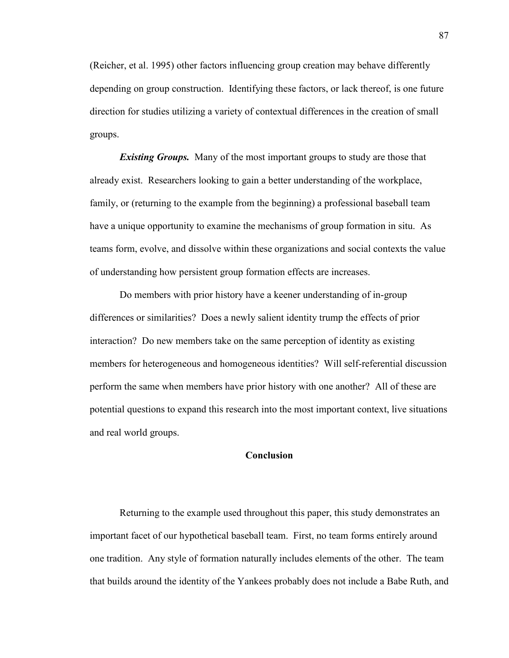(Reicher, et al. 1995) other factors influencing group creation may behave differently depending on group construction. Identifying these factors, or lack thereof, is one future direction for studies utilizing a variety of contextual differences in the creation of small groups.

*Existing Groups.* Many of the most important groups to study are those that already exist. Researchers looking to gain a better understanding of the workplace, family, or (returning to the example from the beginning) a professional baseball team have a unique opportunity to examine the mechanisms of group formation in situ. As teams form, evolve, and dissolve within these organizations and social contexts the value of understanding how persistent group formation effects are increases.

Do members with prior history have a keener understanding of in-group differences or similarities? Does a newly salient identity trump the effects of prior interaction? Do new members take on the same perception of identity as existing members for heterogeneous and homogeneous identities? Will self-referential discussion perform the same when members have prior history with one another? All of these are potential questions to expand this research into the most important context, live situations and real world groups.

### **Conclusion**

Returning to the example used throughout this paper, this study demonstrates an important facet of our hypothetical baseball team. First, no team forms entirely around one tradition. Any style of formation naturally includes elements of the other. The team that builds around the identity of the Yankees probably does not include a Babe Ruth, and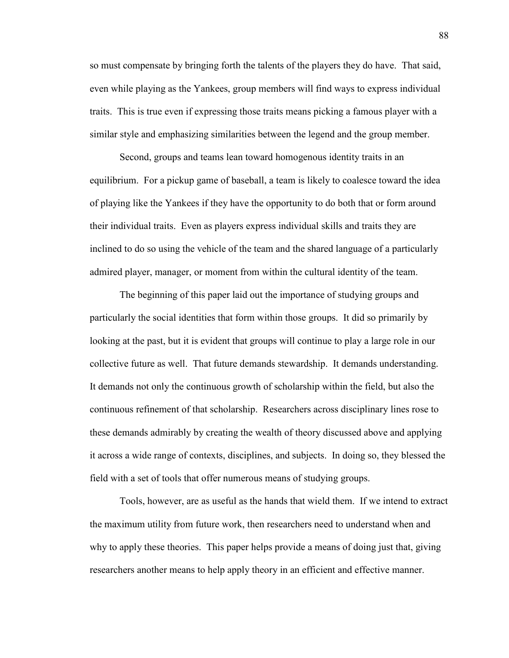so must compensate by bringing forth the talents of the players they do have. That said, even while playing as the Yankees, group members will find ways to express individual traits. This is true even if expressing those traits means picking a famous player with a similar style and emphasizing similarities between the legend and the group member.

 Second, groups and teams lean toward homogenous identity traits in an equilibrium. For a pickup game of baseball, a team is likely to coalesce toward the idea of playing like the Yankees if they have the opportunity to do both that or form around their individual traits. Even as players express individual skills and traits they are inclined to do so using the vehicle of the team and the shared language of a particularly admired player, manager, or moment from within the cultural identity of the team.

The beginning of this paper laid out the importance of studying groups and particularly the social identities that form within those groups. It did so primarily by looking at the past, but it is evident that groups will continue to play a large role in our collective future as well. That future demands stewardship. It demands understanding. It demands not only the continuous growth of scholarship within the field, but also the continuous refinement of that scholarship. Researchers across disciplinary lines rose to these demands admirably by creating the wealth of theory discussed above and applying it across a wide range of contexts, disciplines, and subjects. In doing so, they blessed the field with a set of tools that offer numerous means of studying groups.

Tools, however, are as useful as the hands that wield them. If we intend to extract the maximum utility from future work, then researchers need to understand when and why to apply these theories. This paper helps provide a means of doing just that, giving researchers another means to help apply theory in an efficient and effective manner.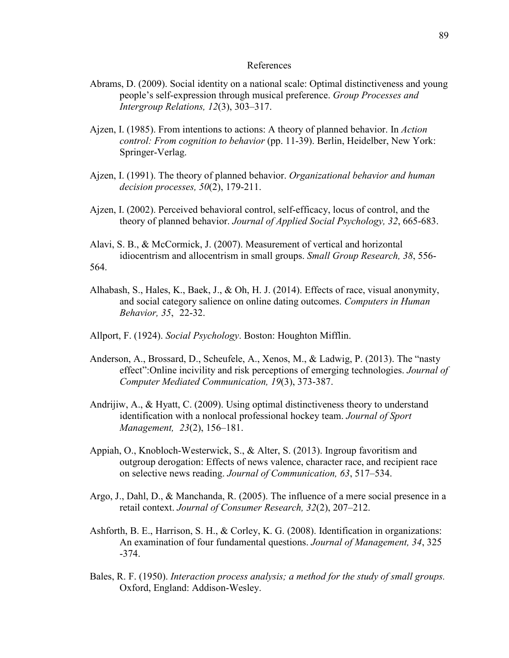### References

- Abrams, D. (2009). Social identity on a national scale: Optimal distinctiveness and young people's self-expression through musical preference. *Group Processes and Intergroup Relations, 12*(3), 303–317.
- Ajzen, I. (1985). From intentions to actions: A theory of planned behavior. In *Action control: From cognition to behavior* (pp. 11-39). Berlin, Heidelber, New York: Springer-Verlag.
- Ajzen, I. (1991). The theory of planned behavior. *Organizational behavior and human decision processes, 50*(2), 179-211.
- Ajzen, I. (2002). Perceived behavioral control, self-efficacy, locus of control, and the theory of planned behavior. *Journal of Applied Social Psychology, 32*, 665-683.
- Alavi, S. B., & McCormick, J. (2007). Measurement of vertical and horizontal idiocentrism and allocentrism in small groups. *Small Group Research, 38*, 556- 564.
- Alhabash, S., Hales, K., Baek, J., & Oh, H. J. (2014). Effects of race, visual anonymity, and social category salience on online dating outcomes. *Computers in Human Behavior, 35*, 22-32.
- Allport, F. (1924). *Social Psychology*. Boston: Houghton Mifflin.
- Anderson, A., Brossard, D., Scheufele, A., Xenos, M., & Ladwig, P. (2013). The "nasty effect":Online incivility and risk perceptions of emerging technologies. *Journal of Computer Mediated Communication, 19*(3), 373-387.
- Andrijiw, A., & Hyatt, C. (2009). Using optimal distinctiveness theory to understand identification with a nonlocal professional hockey team. *Journal of Sport Management, 23*(2), 156–181.
- Appiah, O., Knobloch-Westerwick, S., & Alter, S. (2013). Ingroup favoritism and outgroup derogation: Effects of news valence, character race, and recipient race on selective news reading. *Journal of Communication, 63*, 517–534.
- Argo, J., Dahl, D., & Manchanda, R. (2005). The influence of a mere social presence in a retail context. *Journal of Consumer Research, 32*(2), 207–212.
- Ashforth, B. E., Harrison, S. H., & Corley, K. G. (2008). Identification in organizations: An examination of four fundamental questions. *Journal of Management, 34*, 325 -374.
- Bales, R. F. (1950). *Interaction process analysis; a method for the study of small groups.* Oxford, England: Addison-Wesley.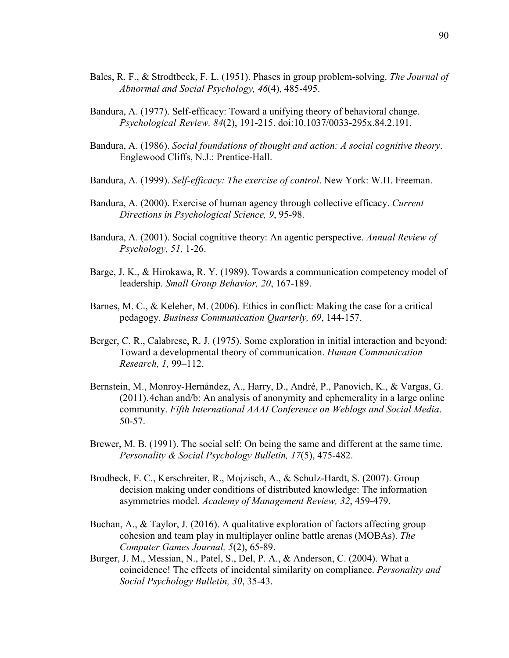- Bales, R. F., & Strodtbeck, F. L. (1951). Phases in group problem-solving. *The Journal of Abnormal and Social Psychology, 46*(4), 485-495.
- Bandura, A. (1977). Self-efficacy: Toward a unifying theory of behavioral change. *Psychological Review. 84*(2), 191-215. doi:10.1037/0033-295x.84.2.191.
- Bandura, A. (1986). *Social foundations of thought and action: A social cognitive theory*. Englewood Cliffs, N.J.: Prentice-Hall.
- Bandura, A. (1999). *Self-efficacy: The exercise of control*. New York: W.H. Freeman.
- Bandura, A. (2000). Exercise of human agency through collective efficacy. *Current Directions in Psychological Science, 9*, 95-98.
- Bandura, A. (2001). Social cognitive theory: An agentic perspective. *Annual Review of Psychology, 51,* 1-26.
- Barge, J. K., & Hirokawa, R. Y. (1989). Towards a communication competency model of leadership. *Small Group Behavior, 20*, 167-189.
- Barnes, M. C., & Keleher, M. (2006). Ethics in conflict: Making the case for a critical pedagogy. *Business Communication Quarterly, 69*, 144-157.
- Berger, C. R., Calabrese, R. J. (1975). Some exploration in initial interaction and beyond: Toward a developmental theory of communication. *Human Communication Research, 1,* 99–112.
- Bernstein, M., Monroy-Hernández, A., Harry, D., André, P., Panovich, K., & Vargas, G. (2011). 4chan and/b: An analysis of anonymity and ephemerality in a large online community. *Fifth International AAAI Conference on Weblogs and Social Media*. 50-57.
- Brewer, M. B. (1991). The social self: On being the same and different at the same time. *Personality & Social Psychology Bulletin, 17*(5), 475-482.
- Brodbeck, F. C., Kerschreiter, R., Mojzisch, A., & Schulz-Hardt, S. (2007). Group decision making under conditions of distributed knowledge: The information asymmetries model. *Academy of Management Review, 32*, 459-479.
- Buchan, A., & Taylor, J. (2016). A qualitative exploration of factors affecting group cohesion and team play in multiplayer online battle arenas (MOBAs). *The Computer Games Journal, 5*(2), 65-89.
- Burger, J. M., Messian, N., Patel, S., Del, P. A., & Anderson, C. (2004). What a coincidence! The effects of incidental similarity on compliance. *Personality and Social Psychology Bulletin, 30*, 35-43.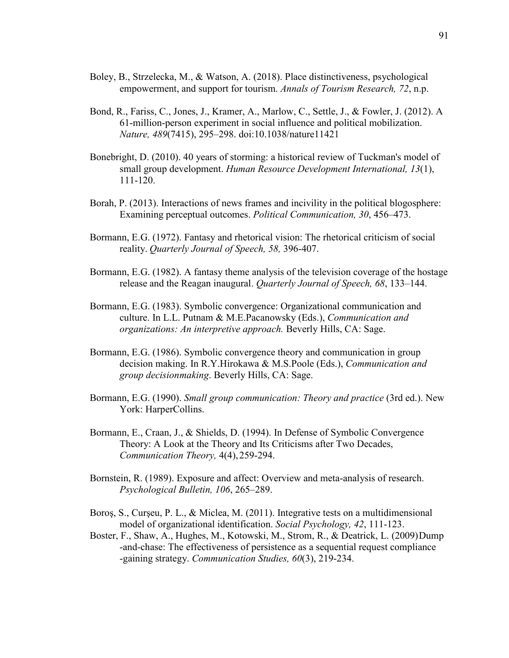- Boley, B., Strzelecka, M., & Watson, A. (2018). Place distinctiveness, psychological empowerment, and support for tourism. *Annals of Tourism Research, 72*, n.p.
- Bond, R., Fariss, C., Jones, J., Kramer, A., Marlow, C., Settle, J., & Fowler, J. (2012). A 61-million-person experiment in social influence and political mobilization. *Nature, 489*(7415), 295–298. doi:10.1038/nature11421
- Bonebright, D. (2010). 40 years of storming: a historical review of Tuckman's model of small group development. *Human Resource Development International, 13*(1), 111-120.
- Borah, P. (2013). Interactions of news frames and incivility in the political blogosphere: Examining perceptual outcomes. *Political Communication, 30*, 456–473.
- Bormann, E.G. (1972). Fantasy and rhetorical vision: The rhetorical criticism of social reality. *Quarterly Journal of Speech, 58,* 396-407.
- Bormann, E.G. (1982). A fantasy theme analysis of the television coverage of the hostage release and the Reagan inaugural. *Quarterly Journal of Speech, 68*, 133–144.
- Bormann, E.G. (1983). Symbolic convergence: Organizational communication and culture. In L.L. Putnam & M.E.Pacanowsky (Eds.), *Communication and organizations: An interpretive approach.* Beverly Hills, CA: Sage.
- Bormann, E.G. (1986). Symbolic convergence theory and communication in group decision making. In R.Y.Hirokawa & M.S.Poole (Eds.), *Communication and group decision making*. Beverly Hills, CA: Sage.
- Bormann, E.G. (1990). *Small group communication: Theory and practice* (3rd ed.). New York: HarperCollins.
- Bormann, E., Craan, J., & Shields, D. (1994). In Defense of Symbolic Convergence Theory: A Look at the Theory and Its Criticisms after Two Decades, *Communication Theory,* 4(4), 259-294.
- Bornstein, R. (1989). Exposure and affect: Overview and meta-analysis of research. *Psychological Bulletin, 106*, 265–289.
- Boroş, S., Curşeu, P. L., & Miclea, M. (2011). Integrative tests on a multidimensional model of organizational identification. *Social Psychology, 42*, 111-123.
- Boster, F., Shaw, A., Hughes, M., Kotowski, M., Strom, R., & Deatrick, L. (2009) Dump -and-chase: The effectiveness of persistence as a sequential request compliance -gaining strategy. *Communication Studies, 60*(3), 219-234.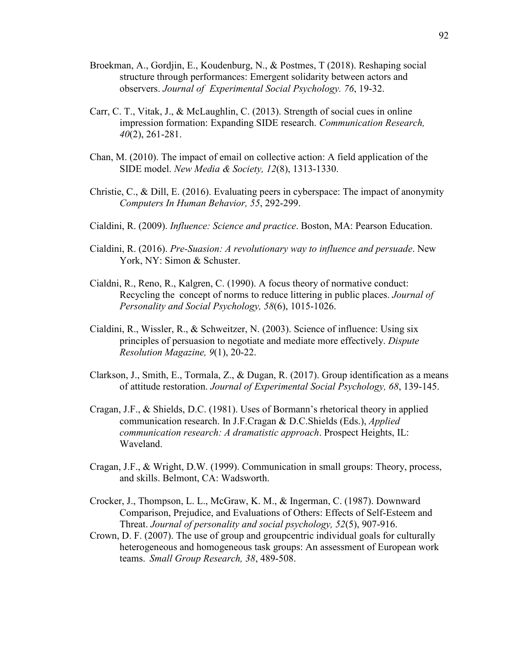- Broekman, A., Gordjin, E., Koudenburg, N., & Postmes, T (2018). Reshaping social structure through performances: Emergent solidarity between actors and observers. *Journal of Experimental Social Psychology. 76*, 19-32.
- Carr, C. T., Vitak, J., & McLaughlin, C. (2013). Strength of social cues in online impression formation: Expanding SIDE research. *Communication Research, 40*(2), 261-281.
- Chan, M. (2010). The impact of email on collective action: A field application of the SIDE model. *New Media & Society, 12*(8), 1313-1330.
- Christie, C., & Dill, E. (2016). Evaluating peers in cyberspace: The impact of anonymity *Computers In Human Behavior, 55*, 292-299.
- Cialdini, R. (2009). *Influence: Science and practice*. Boston, MA: Pearson Education.
- Cialdini, R. (2016). *Pre-Suasion: A revolutionary way to influence and persuade*. New York, NY: Simon & Schuster.
- Cialdni, R., Reno, R., Kalgren, C. (1990). A focus theory of normative conduct: Recycling the concept of norms to reduce littering in public places. *Journal of Personality and Social Psychology, 58*(6), 1015-1026.
- Cialdini, R., Wissler, R., & Schweitzer, N. (2003). Science of influence: Using six principles of persuasion to negotiate and mediate more effectively. *Dispute Resolution Magazine, 9*(1), 20-22.
- Clarkson, J., Smith, E., Tormala, Z., & Dugan, R. (2017). Group identification as a means of attitude restoration. *Journal of Experimental Social Psychology, 68*, 139-145.
- Cragan, J.F., & Shields, D.C. (1981). Uses of Bormann's rhetorical theory in applied communication research. In J.F.Cragan & D.C.Shields (Eds.), *Applied communication research: A dramatistic approach*. Prospect Heights, IL: Waveland.
- Cragan, J.F., & Wright, D.W. (1999). Communication in small groups: Theory, process, and skills. Belmont, CA: Wadsworth.
- Crocker, J., Thompson, L. L., McGraw, K. M., & Ingerman, C. (1987). Downward Comparison, Prejudice, and Evaluations of Others: Effects of Self-Esteem and Threat. *Journal of personality and social psychology, 52*(5), 907-916.
- Crown, D. F. (2007). The use of group and groupcentric individual goals for culturally heterogeneous and homogeneous task groups: An assessment of European work teams. *Small Group Research, 38*, 489-508.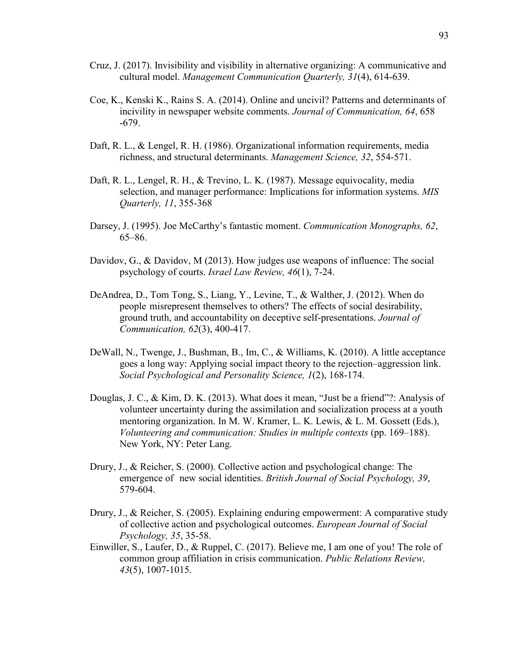- Cruz, J. (2017). Invisibility and visibility in alternative organizing: A communicative and cultural model. *Management Communication Quarterly, 31*(4), 614-639.
- Coe, K., Kenski K., Rains S. A. (2014). Online and uncivil? Patterns and determinants of incivility in newspaper website comments. *Journal of Communication, 64*, 658 -679.
- Daft, R. L., & Lengel, R. H. (1986). Organizational information requirements, media richness, and structural determinants. *Management Science, 32*, 554-571.
- Daft, R. L., Lengel, R. H., & Trevino, L. K. (1987). Message equivocality, media selection, and manager performance: Implications for information systems. *MIS Quarterly, 11*, 355-368
- Darsey, J. (1995). Joe McCarthy's fantastic moment. *Communication Monographs, 62*, 65–86.
- Davidov, G., & Davidov, M (2013). How judges use weapons of influence: The social psychology of courts. *Israel Law Review, 46*(1), 7-24.
- DeAndrea, D., Tom Tong, S., Liang, Y., Levine, T., & Walther, J. (2012). When do people misrepresent themselves to others? The effects of social desirability, ground truth, and accountability on deceptive self-presentations. *Journal of Communication, 62*(3), 400-417.
- DeWall, N., Twenge, J., Bushman, B., Im, C., & Williams, K. (2010). A little acceptance goes a long way: Applying social impact theory to the rejection–aggression link. *Social Psychological and Personality Science, 1*(2), 168-174.
- Douglas, J. C., & Kim, D. K. (2013). What does it mean, "Just be a friend"?: Analysis of volunteer uncertainty during the assimilation and socialization process at a youth mentoring organization. In M. W. Kramer, L. K. Lewis, & L. M. Gossett (Eds.), *Volunteering and communication: Studies in multiple contexts* (pp. 169–188). New York, NY: Peter Lang.
- Drury, J., & Reicher, S. (2000). Collective action and psychological change: The emergence of new social identities. *British Journal of Social Psychology, 39*, 579-604.
- Drury, J., & Reicher, S. (2005). Explaining enduring empowerment: A comparative study of collective action and psychological outcomes. *European Journal of Social Psychology, 35*, 35-58.
- Einwiller, S., Laufer, D., & Ruppel, C. (2017). Believe me, I am one of you! The role of common group affiliation in crisis communication. *Public Relations Review, 43*(5), 1007-1015.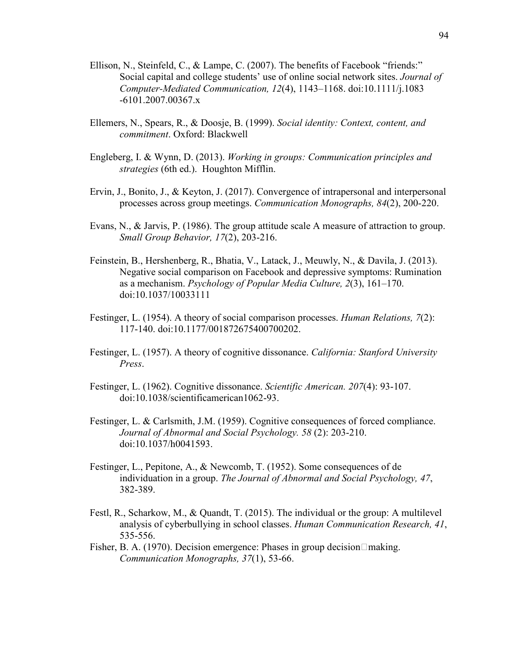- Ellison, N., Steinfeld, C., & Lampe, C. (2007). The benefits of Facebook "friends:" Social capital and college students' use of online social network sites. *Journal of Computer-Mediated Communication, 12*(4), 1143–1168. doi:10.1111/j.1083 -6101.2007.00367.x
- Ellemers, N., Spears, R., & Doosje, B. (1999). *Social identity: Context, content, and commitment*. Oxford: Blackwell
- Engleberg, I. & Wynn, D. (2013). *Working in groups: Communication principles and strategies* (6th ed.). Houghton Mifflin.
- Ervin, J., Bonito, J., & Keyton, J. (2017). Convergence of intrapersonal and interpersonal processes across group meetings. *Communication Monographs, 84*(2), 200-220.
- Evans, N., & Jarvis, P. (1986). The group attitude scale A measure of attraction to group. *Small Group Behavior, 17*(2), 203-216.
- Feinstein, B., Hershenberg, R., Bhatia, V., Latack, J., Meuwly, N., & Davila, J. (2013). Negative social comparison on Facebook and depressive symptoms: Rumination as a mechanism. *Psychology of Popular Media Culture, 2*(3), 161–170. doi:10.1037/10033111
- Festinger, L. (1954). A theory of social comparison processes. *Human Relations, 7*(2): 117-140. doi:10.1177/001872675400700202.
- Festinger, L. (1957). A theory of cognitive dissonance. *California: Stanford University Press*.
- Festinger, L. (1962). Cognitive dissonance. *Scientific American. 207*(4): 93-107. doi:10.1038/scientificamerican1062-93.
- Festinger, L. & Carlsmith, J.M. (1959). Cognitive consequences of forced compliance. *Journal of Abnormal and Social Psychology. 58* (2): 203-210. doi:10.1037/h0041593.
- Festinger, L., Pepitone, A., & Newcomb, T. (1952). Some consequences of de individuation in a group. *The Journal of Abnormal and Social Psychology, 47*, 382-389.
- Festl, R., Scharkow, M., & Quandt, T. (2015). The individual or the group: A multilevel analysis of cyberbullying in school classes. *Human Communication Research, 41*, 535-556.
- Fisher, B. A. (1970). Decision emergence: Phases in group decision  $\Box$  making. *Communication Monographs, 37*(1), 53-66.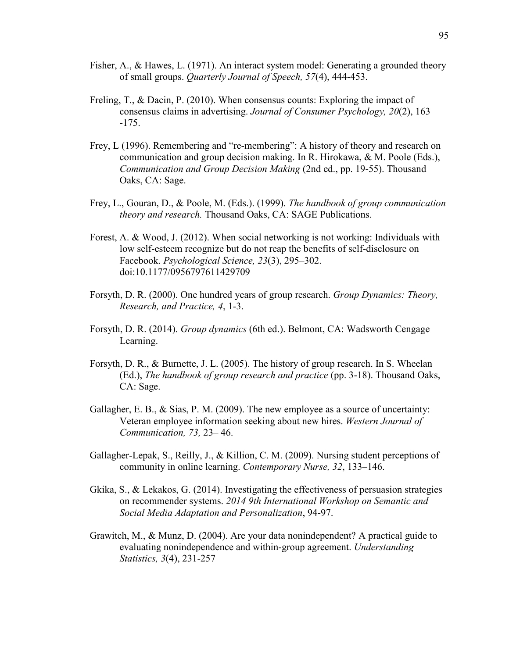- Fisher, A., & Hawes, L. (1971). An interact system model: Generating a grounded theory of small groups. *Quarterly Journal of Speech, 57*(4), 444-453.
- Freling, T., & Dacin, P. (2010). When consensus counts: Exploring the impact of consensus claims in advertising. *Journal of Consumer Psychology, 20*(2), 163 -175.
- Frey, L (1996). Remembering and "re-membering": A history of theory and research on communication and group decision making. In R. Hirokawa, & M. Poole (Eds.), *Communication and Group Decision Making* (2nd ed., pp. 19-55). Thousand Oaks, CA: Sage.
- Frey, L., Gouran, D., & Poole, M. (Eds.). (1999). *The handbook of group communication theory and research.* Thousand Oaks, CA: SAGE Publications.
- Forest, A. & Wood, J. (2012). When social networking is not working: Individuals with low self-esteem recognize but do not reap the benefits of self-disclosure on Facebook. *Psychological Science, 23*(3), 295–302. doi:10.1177/0956797611429709
- Forsyth, D. R. (2000). One hundred years of group research. *Group Dynamics: Theory, Research, and Practice, 4*, 1-3.
- Forsyth, D. R. (2014). *Group dynamics* (6th ed.). Belmont, CA: Wadsworth Cengage Learning.
- Forsyth, D. R., & Burnette, J. L. (2005). The history of group research. In S. Wheelan (Ed.), *The handbook of group research and practice* (pp. 3-18). Thousand Oaks, CA: Sage.
- Gallagher, E. B., & Sias, P. M. (2009). The new employee as a source of uncertainty: Veteran employee information seeking about new hires. *Western Journal of Communication, 73,* 23– 46.
- Gallagher-Lepak, S., Reilly, J., & Killion, C. M. (2009). Nursing student perceptions of community in online learning. *Contemporary Nurse, 32*, 133–146.
- Gkika, S., & Lekakos, G. (2014). Investigating the effectiveness of persuasion strategies on recommender systems. *2014 9th International Workshop on Semantic and Social Media Adaptation and Personalization*, 94-97.
- Grawitch, M., & Munz, D. (2004). Are your data nonindependent? A practical guide to evaluating nonindependence and within-group agreement. *Understanding Statistics, 3*(4), 231-257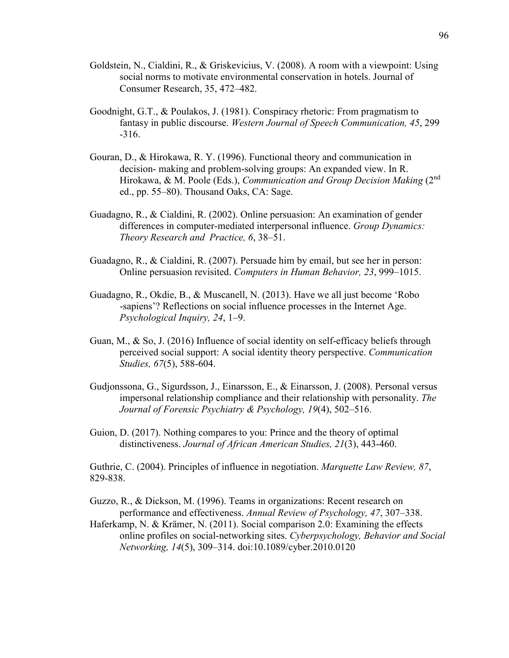- Goldstein, N., Cialdini, R., & Griskevicius, V. (2008). A room with a viewpoint: Using social norms to motivate environmental conservation in hotels. Journal of Consumer Research, 35, 472–482.
- Goodnight, G.T., & Poulakos, J. (1981). Conspiracy rhetoric: From pragmatism to fantasy in public discourse. *Western Journal of Speech Communication, 45*, 299 -316.
- Gouran, D., & Hirokawa, R. Y. (1996). Functional theory and communication in decision- making and problem-solving groups: An expanded view. In R. Hirokawa, & M. Poole (Eds.), *Communication and Group Decision Making* (2nd ed., pp. 55–80). Thousand Oaks, CA: Sage.
- Guadagno, R., & Cialdini, R. (2002). Online persuasion: An examination of gender differences in computer-mediated interpersonal influence. *Group Dynamics: Theory Research and Practice, 6*, 38–51.
- Guadagno, R., & Cialdini, R. (2007). Persuade him by email, but see her in person: Online persuasion revisited. *Computers in Human Behavior, 23*, 999–1015.
- Guadagno, R., Okdie, B., & Muscanell, N. (2013). Have we all just become 'Robo -sapiens'? Reflections on social influence processes in the Internet Age. *Psychological Inquiry, 24*, 1–9.
- Guan, M., & So, J. (2016) Influence of social identity on self-efficacy beliefs through perceived social support: A social identity theory perspective. *Communication Studies, 67*(5), 588-604.
- Gudjonssona, G., Sigurdsson, J., Einarsson, E., & Einarsson, J. (2008). Personal versus impersonal relationship compliance and their relationship with personality. *The Journal of Forensic Psychiatry & Psychology, 19*(4), 502–516.
- Guion, D. (2017). Nothing compares to you: Prince and the theory of optimal distinctiveness. *Journal of African American Studies, 21*(3), 443-460.

Guthrie, C. (2004). Principles of influence in negotiation. *Marquette Law Review, 87*, 829-838.

Guzzo, R., & Dickson, M. (1996). Teams in organizations: Recent research on performance and effectiveness. *Annual Review of Psychology, 47*, 307–338.

Haferkamp, N. & Krämer, N. (2011). Social comparison 2.0: Examining the effects online profiles on social-networking sites. *Cyberpsychology, Behavior and Social Networking, 14*(5), 309–314. doi:10.1089/cyber.2010.0120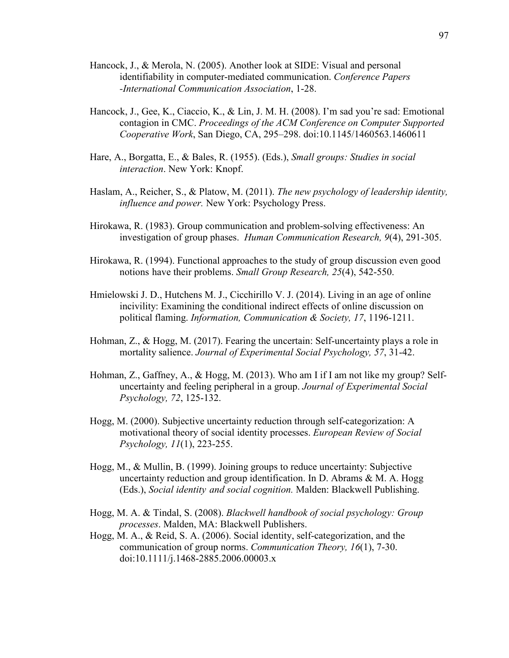- Hancock, J., & Merola, N. (2005). Another look at SIDE: Visual and personal identifiability in computer-mediated communication. *Conference Papers -International Communication Association*, 1-28.
- Hancock, J., Gee, K., Ciaccio, K., & Lin, J. M. H. (2008). I'm sad you're sad: Emotional contagion in CMC. *Proceedings of the ACM Conference on Computer Supported Cooperative Work*, San Diego, CA, 295–298. doi:10.1145/1460563.1460611
- Hare, A., Borgatta, E., & Bales, R. (1955). (Eds.), *Small groups: Studies in social interaction*. New York: Knopf.
- Haslam, A., Reicher, S., & Platow, M. (2011). *The new psychology of leadership identity, influence and power.* New York: Psychology Press.
- Hirokawa, R. (1983). Group communication and problem-solving effectiveness: An investigation of group phases. *Human Communication Research, 9*(4), 291-305.
- Hirokawa, R. (1994). Functional approaches to the study of group discussion even good notions have their problems. *Small Group Research, 25*(4), 542-550.
- Hmielowski J. D., Hutchens M. J., Cicchirillo V. J. (2014). Living in an age of online incivility: Examining the conditional indirect effects of online discussion on political flaming. *Information, Communication & Society, 17*, 1196-1211.
- Hohman, Z., & Hogg, M. (2017). Fearing the uncertain: Self-uncertainty plays a role in mortality salience. *Journal of Experimental Social Psychology, 57*, 31-42.
- Hohman, Z., Gaffney, A., & Hogg, M. (2013). Who am I if I am not like my group? Self uncertainty and feeling peripheral in a group. *Journal of Experimental Social Psychology, 72*, 125-132.
- Hogg, M. (2000). Subjective uncertainty reduction through self-categorization: A motivational theory of social identity processes. *European Review of Social Psychology, 11*(1), 223-255.
- Hogg, M., & Mullin, B. (1999). Joining groups to reduce uncertainty: Subjective uncertainty reduction and group identification. In D. Abrams  $\&$  M. A. Hogg (Eds.), *Social identity and social cognition.* Malden: Blackwell Publishing.
- Hogg, M. A. & Tindal, S. (2008). *Blackwell handbook of social psychology: Group processes*. Malden, MA: Blackwell Publishers.
- Hogg, M. A., & Reid, S. A. (2006). Social identity, self-categorization, and the communication of group norms. *Communication Theory, 16*(1), 7-30. doi:10.1111/j.1468-2885.2006.00003.x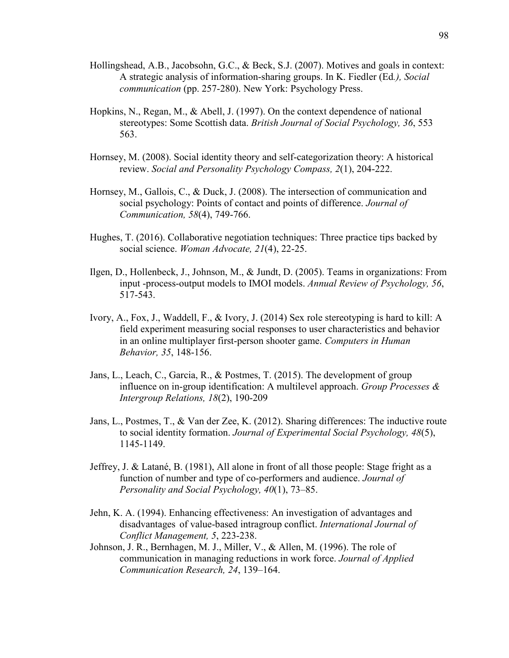- Hollingshead, A.B., Jacobsohn, G.C., & Beck, S.J. (2007). Motives and goals in context: A strategic analysis of information-sharing groups. In K. Fiedler (Ed*.), Social communication* (pp. 257-280). New York: Psychology Press.
- Hopkins, N., Regan, M., & Abell, J. (1997). On the context dependence of national stereotypes: Some Scottish data. *British Journal of Social Psychology, 36*, 553 563.
- Hornsey, M. (2008). Social identity theory and self-categorization theory: A historical review. *Social and Personality Psychology Compass, 2*(1), 204-222.
- Hornsey, M., Gallois, C., & Duck, J. (2008). The intersection of communication and social psychology: Points of contact and points of difference. *Journal of Communication, 58*(4), 749-766.
- Hughes, T. (2016). Collaborative negotiation techniques: Three practice tips backed by social science. *Woman Advocate, 21*(4), 22-25.
- Ilgen, D., Hollenbeck, J., Johnson, M., & Jundt, D. (2005). Teams in organizations: From input -process-output models to IMOI models. *Annual Review of Psychology, 56*, 517-543.
- Ivory, A., Fox, J., Waddell, F., & Ivory, J. (2014) Sex role stereotyping is hard to kill: A field experiment measuring social responses to user characteristics and behavior in an online multiplayer first-person shooter game. *Computers in Human Behavior, 35*, 148-156.
- Jans, L., Leach, C., Garcia, R., & Postmes, T. (2015). The development of group influence on in-group identification: A multilevel approach. *Group Processes & Intergroup Relations, 18*(2), 190-209
- Jans, L., Postmes, T., & Van der Zee, K. (2012). Sharing differences: The inductive route to social identity formation. *Journal of Experimental Social Psychology, 48*(5), 1145-1149.
- Jeffrey, J. & Latané, B. (1981), All alone in front of all those people: Stage fright as a function of number and type of co-performers and audience. *Journal of Personality and Social Psychology, 40*(1), 73–85.
- Jehn, K. A. (1994). Enhancing effectiveness: An investigation of advantages and disadvantages of value-based intragroup conflict. *International Journal of Conflict Management, 5*, 223-238.
- Johnson, J. R., Bernhagen, M. J., Miller, V., & Allen, M. (1996). The role of communication in managing reductions in work force. *Journal of Applied Communication Research, 24*, 139–164.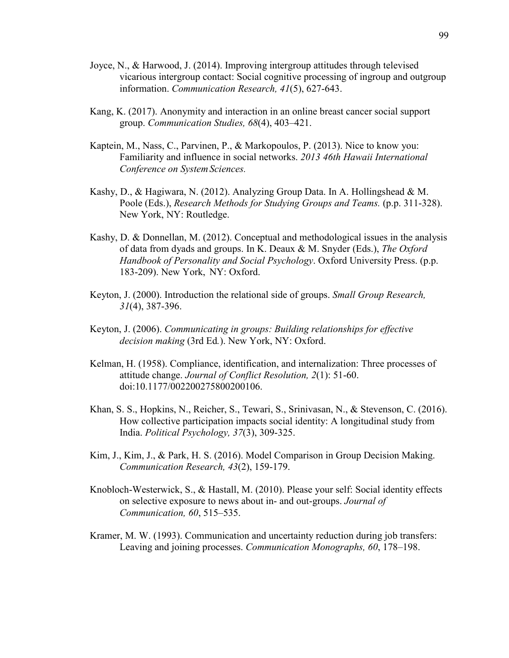- Joyce, N., & Harwood, J. (2014). Improving intergroup attitudes through televised vicarious intergroup contact: Social cognitive processing of ingroup and outgroup information. *Communication Research, 41*(5), 627-643.
- Kang, K. (2017). Anonymity and interaction in an online breast cancer social support group. *Communication Studies, 68*(4), 403–421.
- Kaptein, M., Nass, C., Parvinen, P., & Markopoulos, P. (2013). Nice to know you: Familiarity and influence in social networks. *2013 46th Hawaii International Conference on System Sciences.*
- Kashy, D., & Hagiwara, N. (2012). Analyzing Group Data. In A. Hollingshead & M. Poole (Eds.), *Research Methods for Studying Groups and Teams.* (p.p. 311-328). New York, NY: Routledge.
- Kashy, D. & Donnellan, M. (2012). Conceptual and methodological issues in the analysis of data from dyads and groups. In K. Deaux & M. Snyder (Eds.), *The Oxford Handbook of Personality and Social Psychology*. Oxford University Press. (p.p. 183-209). New York, NY: Oxford.
- Keyton, J. (2000). Introduction the relational side of groups. *Small Group Research, 31*(4), 387-396.
- Keyton, J. (2006). *Communicating in groups: Building relationships for effective decision making* (3rd Ed*.*). New York, NY: Oxford.
- Kelman, H. (1958). Compliance, identification, and internalization: Three processes of attitude change. *Journal of Conflict Resolution, 2*(1): 51-60. doi:10.1177/002200275800200106.
- Khan, S. S., Hopkins, N., Reicher, S., Tewari, S., Srinivasan, N., & Stevenson, C. (2016). How collective participation impacts social identity: A longitudinal study from India. *Political Psychology, 37*(3), 309-325.
- Kim, J., Kim, J., & Park, H. S. (2016). Model Comparison in Group Decision Making. *Communication Research, 43*(2), 159-179.
- Knobloch-Westerwick, S., & Hastall, M. (2010). Please your self: Social identity effects on selective exposure to news about in- and out-groups. *Journal of Communication, 60*, 515–535.
- Kramer, M. W. (1993). Communication and uncertainty reduction during job transfers: Leaving and joining processes. *Communication Monographs, 60*, 178–198.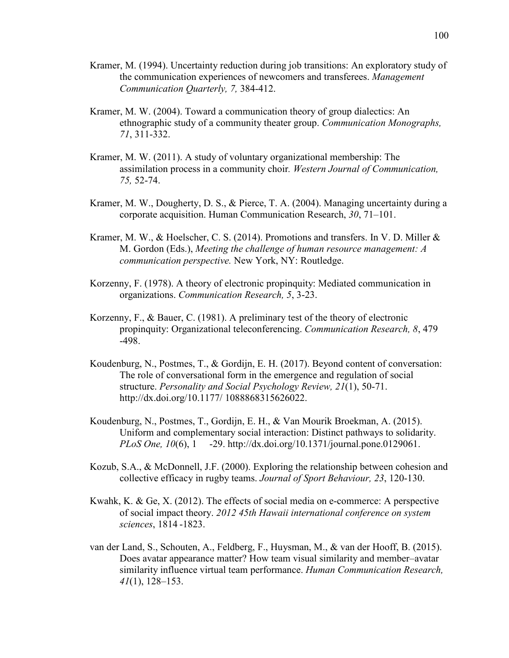- Kramer, M. (1994). Uncertainty reduction during job transitions: An exploratory study of the communication experiences of newcomers and transferees. *Management Communication Quarterly, 7,* 384-412.
- Kramer, M. W. (2004). Toward a communication theory of group dialectics: An ethnographic study of a community theater group. *Communication Monographs, 71*, 311-332.
- Kramer, M. W. (2011). A study of voluntary organizational membership: The assimilation process in a community choir*. Western Journal of Communication, 75,* 52-74.
- Kramer, M. W., Dougherty, D. S., & Pierce, T. A. (2004). Managing uncertainty during a corporate acquisition. Human Communication Research, *30*, 71–101.
- Kramer, M. W., & Hoelscher, C. S. (2014). Promotions and transfers. In V. D. Miller & M. Gordon (Eds.), *Meeting the challenge of human resource management: A communication perspective.* New York, NY: Routledge.
- Korzenny, F. (1978). A theory of electronic propinquity: Mediated communication in organizations. *Communication Research, 5*, 3-23.
- Korzenny, F., & Bauer, C. (1981). A preliminary test of the theory of electronic propinquity: Organizational teleconferencing. *Communication Research, 8*, 479 -498.
- Koudenburg, N., Postmes, T., & Gordijn, E. H. (2017). Beyond content of conversation: The role of conversational form in the emergence and regulation of social structure. *Personality and Social Psychology Review, 21*(1), 50-71. http://dx.doi.org/10.1177/ 1088868315626022.
- Koudenburg, N., Postmes, T., Gordijn, E. H., & Van Mourik Broekman, A. (2015). Uniform and complementary social interaction: Distinct pathways to solidarity. *PLoS One, 10*(6), 1 -29. http://dx.doi.org/10.1371/journal.pone.0129061.
- Kozub, S.A., & McDonnell, J.F. (2000). Exploring the relationship between cohesion and collective efficacy in rugby teams. *Journal of Sport Behaviour, 23*, 120-130.
- Kwahk, K. & Ge, X. (2012). The effects of social media on e-commerce: A perspective of social impact theory. *2012 45th Hawaii international conference on system sciences*, 1814 -1823.
- van der Land, S., Schouten, A., Feldberg, F., Huysman, M., & van der Hooff, B. (2015). Does avatar appearance matter? How team visual similarity and member–avatar similarity influence virtual team performance. *Human Communication Research, 41*(1), 128–153.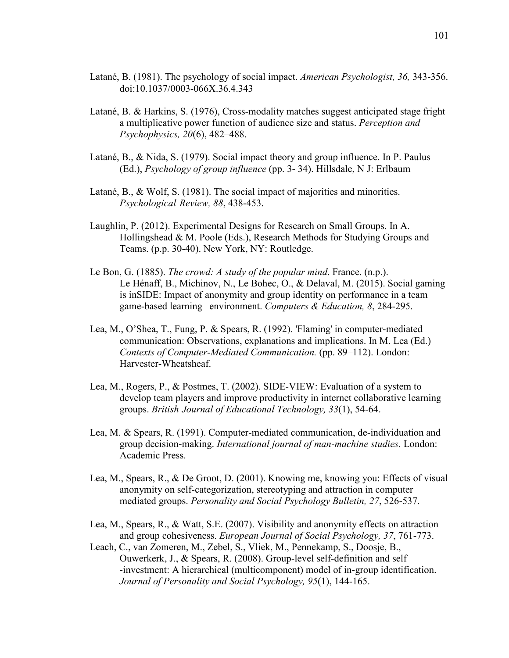- Latané, B. (1981). The psychology of social impact. *American Psychologist, 36,* 343-356. doi:10.1037/0003-066X.36.4.343
- Latané, B. & Harkins, S. (1976), Cross-modality matches suggest anticipated stage fright a multiplicative power function of audience size and status. *Perception and Psychophysics, 20*(6), 482–488.
- Latané, B., & Nida, S. (1979). Social impact theory and group influence. In P. Paulus (Ed.), *Psychology of group influence* (pp. 3- 34). Hillsdale, N J: Erlbaum
- Latané, B., & Wolf, S. (1981). The social impact of majorities and minorities. *Psychological Review, 88*, 438-453.
- Laughlin, P. (2012). Experimental Designs for Research on Small Groups. In A. Hollingshead & M. Poole (Eds.), Research Methods for Studying Groups and Teams. (p.p. 30-40). New York, NY: Routledge.
- Le Bon, G. (1885). *The crowd: A study of the popular mind*. France. (n.p.). Le Hénaff, B., Michinov, N., Le Bohec, O., & Delaval, M. (2015). Social gaming is inSIDE: Impact of anonymity and group identity on performance in a team game-based learning environment. *Computers & Education, 8*, 284-295.
- Lea, M., O'Shea, T., Fung, P. & Spears, R. (1992). 'Flaming' in computer-mediated communication: Observations, explanations and implications. In M. Lea (Ed.) *Contexts of Computer-Mediated Communication.* (pp. 89–112). London: Harvester-Wheatsheaf.
- Lea, M., Rogers, P., & Postmes, T. (2002). SIDE-VIEW: Evaluation of a system to develop team players and improve productivity in internet collaborative learning groups. *British Journal of Educational Technology, 33*(1), 54-64.
- Lea, M. & Spears, R. (1991). Computer-mediated communication, de-individuation and group decision-making. *International journal of man-machine studies*. London: Academic Press.
- Lea, M., Spears, R., & De Groot, D. (2001). Knowing me, knowing you: Effects of visual anonymity on self-categorization, stereotyping and attraction in computer mediated groups. *Personality and Social Psychology Bulletin, 27*, 526-537.
- Lea, M., Spears, R., & Watt, S.E. (2007). Visibility and anonymity effects on attraction and group cohesiveness. *European Journal of Social Psychology, 37*, 761-773.
- Leach, C., van Zomeren, M., Zebel, S., Vliek, M., Pennekamp, S., Doosje, B., Ouwerkerk, J., & Spears, R. (2008). Group-level self-definition and self -investment: A hierarchical (multicomponent) model of in-group identification. *Journal of Personality and Social Psychology, 95*(1), 144-165.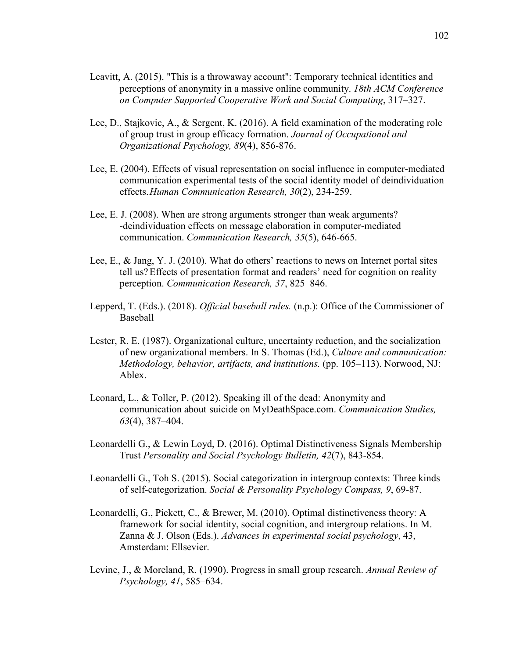- Leavitt, A. (2015). "This is a throwaway account": Temporary technical identities and perceptions of anonymity in a massive online community. *18th ACM Conference on Computer Supported Cooperative Work and Social Computing*, 317–327.
- Lee, D., Stajkovic, A., & Sergent, K. (2016). A field examination of the moderating role of group trust in group efficacy formation. *Journal of Occupational and Organizational Psychology, 89*(4), 856-876.
- Lee, E. (2004). Effects of visual representation on social influence in computer-mediated communication experimental tests of the social identity model of deindividuation effects. *Human Communication Research, 30*(2), 234-259.
- Lee, E. J. (2008). When are strong arguments stronger than weak arguments? -deindividuation effects on message elaboration in computer-mediated communication. *Communication Research, 35*(5), 646-665.
- Lee, E., & Jang, Y. J. (2010). What do others' reactions to news on Internet portal sites tell us? Effects of presentation format and readers' need for cognition on reality perception. *Communication Research, 37*, 825–846.
- Lepperd, T. (Eds.). (2018). *Official baseball rules.* (n.p.): Office of the Commissioner of Baseball
- Lester, R. E. (1987). Organizational culture, uncertainty reduction, and the socialization of new organizational members. In S. Thomas (Ed.), *Culture and communication: Methodology, behavior, artifacts, and institutions.* (pp. 105–113). Norwood, NJ: Ablex.
- Leonard, L., & Toller, P. (2012). Speaking ill of the dead: Anonymity and communication about suicide on MyDeathSpace.com. *Communication Studies, 63*(4), 387–404.
- Leonardelli G., & Lewin Loyd, D. (2016). Optimal Distinctiveness Signals Membership Trust *Personality and Social Psychology Bulletin, 42*(7), 843-854.
- Leonardelli G., Toh S. (2015). Social categorization in intergroup contexts: Three kinds of self-categorization. *Social & Personality Psychology Compass, 9*, 69-87.
- Leonardelli, G., Pickett, C., & Brewer, M. (2010). Optimal distinctiveness theory: A framework for social identity, social cognition, and intergroup relations. In M. Zanna & J. Olson (Eds.). *Advances in experimental social psychology*, 43, Amsterdam: Ellsevier.
- Levine, J., & Moreland, R. (1990). Progress in small group research. *Annual Review of Psychology, 41*, 585–634.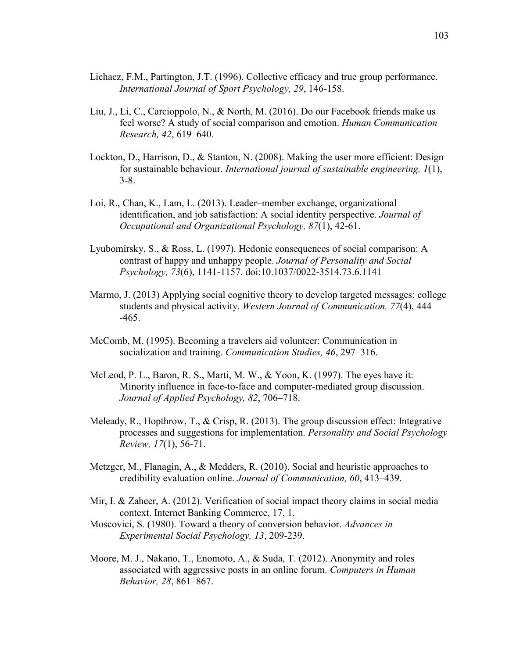- Lichacz, F.M., Partington, J.T. (1996). Collective efficacy and true group performance. *International Journal of Sport Psychology, 29*, 146-158.
- Liu, J., Li, C., Carcioppolo, N., & North, M. (2016). Do our Facebook friends make us feel worse? A study of social comparison and emotion. *Human Communication Research, 42*, 619–640.
- Lockton, D., Harrison, D., & Stanton, N. (2008). Making the user more efficient: Design for sustainable behaviour. *International journal of sustainable engineering, 1*(1), 3-8.
- Loi, R., Chan, K., Lam, L. (2013). Leader–member exchange, organizational identification, and job satisfaction: A social identity perspective. *Journal of Occupational and Organizational Psychology, 87*(1), 42-61.
- Lyubomirsky, S., & Ross, L. (1997). Hedonic consequences of social comparison: A contrast of happy and unhappy people. *Journal of Personality and Social Psychology, 73*(6), 1141-1157. doi:10.1037/0022-3514.73.6.1141
- Marmo, J. (2013) Applying social cognitive theory to develop targeted messages: college students and physical activity. *Western Journal of Communication, 77*(4), 444 -465.
- McComb, M. (1995). Becoming a travelers aid volunteer: Communication in socialization and training. *Communication Studies, 46*, 297–316.
- McLeod, P. L., Baron, R. S., Marti, M. W., & Yoon, K. (1997). The eyes have it: Minority influence in face-to-face and computer-mediated group discussion. *Journal of Applied Psychology, 82*, 706–718.
- Meleady, R., Hopthrow, T., & Crisp, R. (2013). The group discussion effect: Integrative processes and suggestions for implementation. *Personality and Social Psychology Review, 17*(1), 56-71.
- Metzger, M., Flanagin, A., & Medders, R. (2010). Social and heuristic approaches to credibility evaluation online. *Journal of Communication, 60*, 413–439.
- Mir, I. & Zaheer, A. (2012). Verification of social impact theory claims in social media context. Internet Banking Commerce, 17, 1.
- Moscovici, S. (1980). Toward a theory of conversion behavior. *Advances in Experimental Social Psychology, 13*, 209-239.
- Moore, M. J., Nakano, T., Enomoto, A., & Suda, T. (2012). Anonymity and roles associated with aggressive posts in an online forum. *Computers in Human Behavior, 28*, 861–867.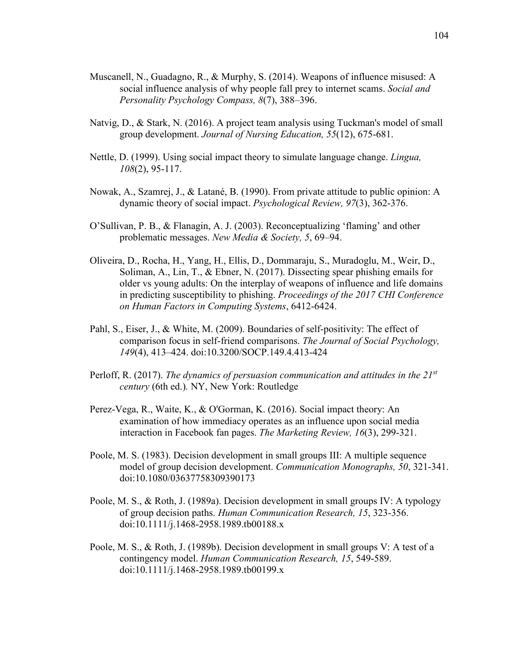- Muscanell, N., Guadagno, R., & Murphy, S. (2014). Weapons of influence misused: A social influence analysis of why people fall prey to internet scams. *Social and Personality Psychology Compass, 8*(7), 388–396.
- Natvig, D., & Stark, N. (2016). A project team analysis using Tuckman's model of small group development. *Journal of Nursing Education, 55*(12), 675-681.
- Nettle, D. (1999). Using social impact theory to simulate language change. *Lingua, 108*(2), 95-117.
- Nowak, A., Szamrej, J., & Latané, B. (1990). From private attitude to public opinion: A dynamic theory of social impact. *Psychological Review, 97*(3), 362-376.
- O'Sullivan, P. B., & Flanagin, A. J. (2003). Reconceptualizing 'flaming' and other problematic messages. *New Media & Society, 5*, 69–94.
- Oliveira, D., Rocha, H., Yang, H., Ellis, D., Dommaraju, S., Muradoglu, M., Weir, D., Soliman, A., Lin, T., & Ebner, N. (2017). Dissecting spear phishing emails for older vs young adults: On the interplay of weapons of influence and life domains in predicting susceptibility to phishing. *Proceedings of the 2017 CHI Conference on Human Factors in Computing Systems*, 6412-6424.
- Pahl, S., Eiser, J., & White, M. (2009). Boundaries of self-positivity: The effect of comparison focus in self-friend comparisons. *The Journal of Social Psychology, 149*(4), 413–424. doi:10.3200/SOCP.149.4.413-424
- Perloff, R. (2017). *The dynamics of persuasion communication and attitudes in the 21st century* (6th ed.)*.* NY, New York: Routledge
- Perez-Vega, R., Waite, K., & O'Gorman, K. (2016). Social impact theory: An examination of how immediacy operates as an influence upon social media interaction in Facebook fan pages. *The Marketing Review, 16*(3), 299-321.
- Poole, M. S. (1983). Decision development in small groups III: A multiple sequence model of group decision development. *Communication Monographs, 50*, 321-341. doi:10.1080/03637758309390173
- Poole, M. S., & Roth, J. (1989a). Decision development in small groups IV: A typology of group decision paths. *Human Communication Research, 15*, 323-356. doi:10.1111/j.1468-2958.1989.tb00188.x
- Poole, M. S., & Roth, J. (1989b). Decision development in small groups V: A test of a contingency model. *Human Communication Research, 15*, 549-589. doi:10.1111/j.1468-2958.1989.tb00199.x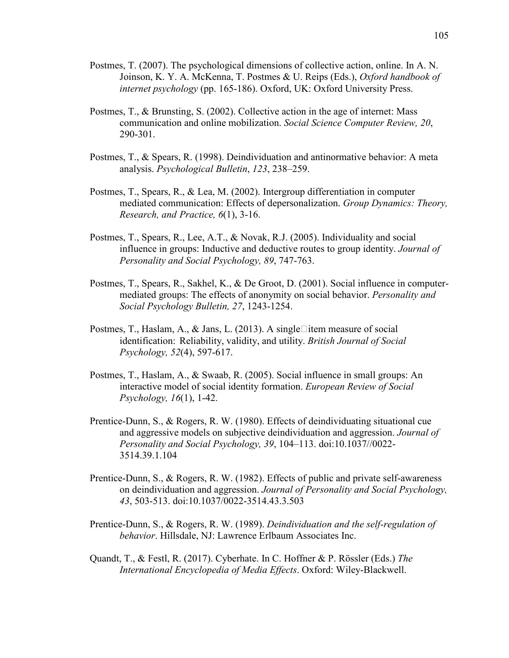- Postmes, T. (2007). The psychological dimensions of collective action, online. In A. N. Joinson, K. Y. A. McKenna, T. Postmes & U. Reips (Eds.), *Oxford handbook of internet psychology* (pp. 165-186). Oxford, UK: Oxford University Press.
- Postmes, T., & Brunsting, S. (2002). Collective action in the age of internet: Mass communication and online mobilization. *Social Science Computer Review, 20*, 290-301.
- Postmes, T., & Spears, R. (1998). Deindividuation and antinormative behavior: A meta analysis. *Psychological Bulletin*, *123*, 238–259.
- Postmes, T., Spears, R., & Lea, M. (2002). Intergroup differentiation in computer mediated communication: Effects of depersonalization. *Group Dynamics: Theory, Research, and Practice, 6*(1), 3-16.
- Postmes, T., Spears, R., Lee, A.T., & Novak, R.J. (2005). Individuality and social influence in groups: Inductive and deductive routes to group identity. *Journal of Personality and Social Psychology, 89*, 747-763.
- Postmes, T., Spears, R., Sakhel, K., & De Groot, D. (2001). Social influence in computer mediated groups: The effects of anonymity on social behavior. *Personality and Social Psychology Bulletin, 27*, 1243-1254.
- Postmes, T., Haslam, A., & Jans, L. (2013). A single litem measure of social identification: Reliability, validity, and utility. *British Journal of Social Psychology, 52*(4), 597-617.
- Postmes, T., Haslam, A., & Swaab, R. (2005). Social influence in small groups: An interactive model of social identity formation. *European Review of Social Psychology, 16*(1), 1-42.
- Prentice-Dunn, S., & Rogers, R. W. (1980). Effects of deindividuating situational cue and aggressive models on subjective deindividuation and aggression. *Journal of Personality and Social Psychology, 39*, 104–113. doi:10.1037//0022- 3514.39.1.104
- Prentice-Dunn, S., & Rogers, R. W. (1982). Effects of public and private self-awareness on deindividuation and aggression. *Journal of Personality and Social Psychology, 43*, 503-513. doi:10.1037/0022-3514.43.3.503
- Prentice-Dunn, S., & Rogers, R. W. (1989). *Deindividuation and the self-regulation of behavior*. Hillsdale, NJ: Lawrence Erlbaum Associates Inc.
- Quandt, T., & Festl, R. (2017). Cyberhate. In C. Hoffner & P. Rössler (Eds.) *The International Encyclopedia of Media Effects*. Oxford: Wiley-Blackwell.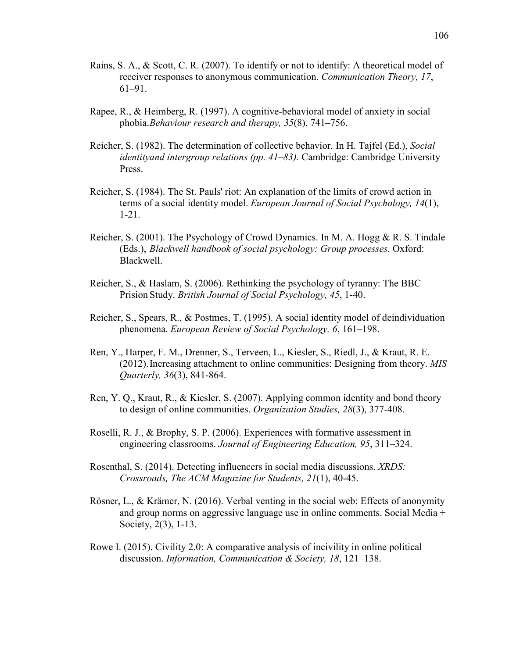- Rains, S. A., & Scott, C. R. (2007). To identify or not to identify: A theoretical model of receiver responses to anonymous communication. *Communication Theory, 17*, 61–91.
- Rapee, R., & Heimberg, R. (1997). A cognitive-behavioral model of anxiety in social phobia. *Behaviour research and therapy, 35*(8), 741–756.
- Reicher, S. (1982). The determination of collective behavior. In H. Tajfel (Ed.), *Social identityand intergroup relations (pp. 41–83).* Cambridge: Cambridge University Press.
- Reicher, S. (1984). The St. Pauls' riot: An explanation of the limits of crowd action in terms of a social identity model. *European Journal of Social Psychology, 14*(1), 1-21.
- Reicher, S. (2001). The Psychology of Crowd Dynamics. In M. A. Hogg & R. S. Tindale (Eds.), *Blackwell handbook of social psychology: Group processes*. Oxford: Blackwell.
- Reicher, S., & Haslam, S. (2006). Rethinking the psychology of tyranny: The BBC Prision Study. *British Journal of Social Psychology, 45*, 1-40.
- Reicher, S., Spears, R., & Postmes, T. (1995). A social identity model of deindividuation phenomena. *European Review of Social Psychology, 6*, 161–198.
- Ren, Y., Harper, F. M., Drenner, S., Terveen, L., Kiesler, S., Riedl, J., & Kraut, R. E. (2012). Increasing attachment to online communities: Designing from theory. *MIS Quarterly, 36*(3), 841-864.
- Ren, Y. Q., Kraut, R., & Kiesler, S. (2007). Applying common identity and bond theory to design of online communities. *Organization Studies, 28*(3), 377-408.
- Roselli, R. J., & Brophy, S. P. (2006). Experiences with formative assessment in engineering classrooms. *Journal of Engineering Education, 95*, 311–324.
- Rosenthal, S. (2014). Detecting influencers in social media discussions. *XRDS: Crossroads, The ACM Magazine for Students, 21*(1), 40-45.
- Rösner, L., & Krämer, N. (2016). Verbal venting in the social web: Effects of anonymity and group norms on aggressive language use in online comments. Social Media + Society, 2(3), 1-13.
- Rowe I. (2015). Civility 2.0: A comparative analysis of incivility in online political discussion. *Information, Communication & Society, 18*, 121–138.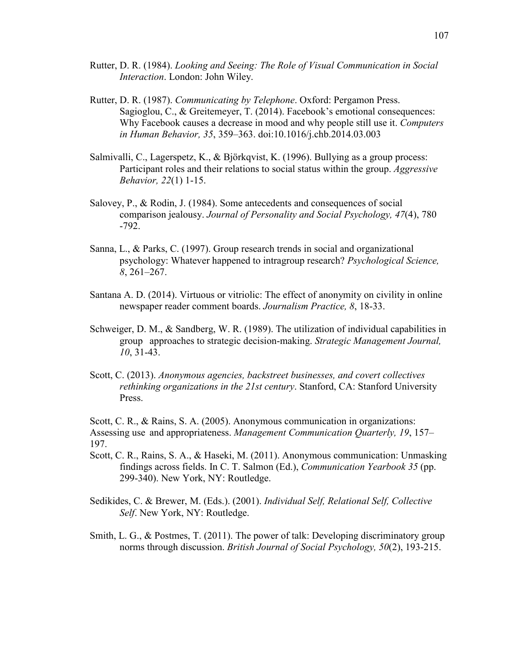- Rutter, D. R. (1984). *Looking and Seeing: The Role of Visual Communication in Social Interaction*. London: John Wiley.
- Rutter, D. R. (1987). *Communicating by Telephone*. Oxford: Pergamon Press. Sagioglou, C., & Greitemeyer, T. (2014). Facebook's emotional consequences: Why Facebook causes a decrease in mood and why people still use it. *Computers in Human Behavior, 35*, 359–363. doi:10.1016/j.chb.2014.03.003
- Salmivalli, C., Lagerspetz, K., & Björkqvist, K. (1996). Bullying as a group process: Participant roles and their relations to social status within the group. *Aggressive Behavior, 22*(1) 1-15.
- Salovey, P., & Rodin, J. (1984). Some antecedents and consequences of social comparison jealousy. *Journal of Personality and Social Psychology, 47*(4), 780 -792.
- Sanna, L., & Parks, C. (1997). Group research trends in social and organizational psychology: Whatever happened to intragroup research? *Psychological Science, 8*, 261–267.
- Santana A. D. (2014). Virtuous or vitriolic: The effect of anonymity on civility in online newspaper reader comment boards. *Journalism Practice, 8*, 18-33.
- Schweiger, D. M., & Sandberg, W. R. (1989). The utilization of individual capabilities in group approaches to strategic decision-making. *Strategic Management Journal, 10*, 31-43.
- Scott, C. (2013). *Anonymous agencies, backstreet businesses, and covert collectives rethinking organizations in the 21st century*. Stanford, CA: Stanford University Press.

Scott, C. R., & Rains, S. A. (2005). Anonymous communication in organizations: Assessing use and appropriateness. *Management Communication Quarterly, 19*, 157– 197.

- Scott, C. R., Rains, S. A., & Haseki, M. (2011). Anonymous communication: Unmasking findings across fields. In C. T. Salmon (Ed.), *Communication Yearbook 35* (pp. 299-340). New York, NY: Routledge.
- Sedikides, C. & Brewer, M. (Eds.). (2001). *Individual Self, Relational Self, Collective Self*. New York, NY: Routledge.
- Smith, L. G., & Postmes, T. (2011). The power of talk: Developing discriminatory group norms through discussion. *British Journal of Social Psychology, 50*(2), 193-215.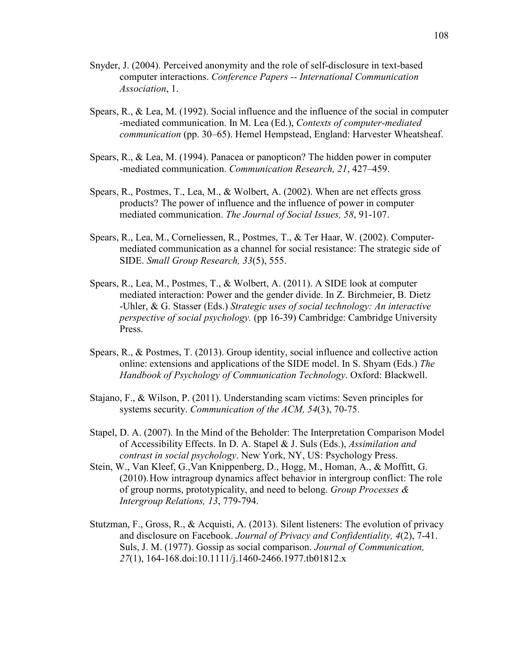- Snyder, J. (2004). Perceived anonymity and the role of self-disclosure in text-based computer interactions. *Conference Papers -- International Communication Association*, 1.
- Spears, R., & Lea, M. (1992). Social influence and the influence of the social in computer -mediated communication. In M. Lea (Ed.), *Contexts of computer-mediated communication* (pp. 30–65). Hemel Hempstead, England: Harvester Wheatsheaf.
- Spears, R., & Lea, M. (1994). Panacea or panopticon? The hidden power in computer -mediated communication. *Communication Research, 21*, 427–459.
- Spears, R., Postmes, T., Lea, M., & Wolbert, A. (2002). When are net effects gross products? The power of influence and the influence of power in computer mediated communication. *The Journal of Social Issues, 58*, 91-107.
- Spears, R., Lea, M., Corneliessen, R., Postmes, T., & Ter Haar, W. (2002). Computer mediated communication as a channel for social resistance: The strategic side of SIDE. *Small Group Research, 33*(5), 555.
- Spears, R., Lea, M., Postmes, T., & Wolbert, A. (2011). A SIDE look at computer mediated interaction: Power and the gender divide. In Z. Birchmeier, B. Dietz -Uhler, & G. Stasser (Eds.) *Strategic uses of social technology: An interactive perspective of social psychology.* (pp 16-39) Cambridge: Cambridge University Press.
- Spears, R., & Postmes, T. (2013). Group identity, social influence and collective action online: extensions and applications of the SIDE model. In S. Shyam (Eds.) *The Handbook of Psychology of Communication Technology*. Oxford: Blackwell.
- Stajano, F., & Wilson, P. (2011). Understanding scam victims: Seven principles for systems security. *Communication of the ACM, 54*(3), 70-75.
- Stapel, D. A. (2007). In the Mind of the Beholder: The Interpretation Comparison Model of Accessibility Effects. In D. A. Stapel & J. Suls (Eds.), *Assimilation and contrast in social psychology*. New York, NY, US: Psychology Press.
- Stein, W., Van Kleef, G.,Van Knippenberg, D., Hogg, M., Homan, A., & Moffitt, G. (2010). How intragroup dynamics affect behavior in intergroup conflict: The role of group norms, prototypicality, and need to belong. *Group Processes & Intergroup Relations, 13*, 779-794.
- Stutzman, F., Gross, R., & Acquisti, A. (2013). Silent listeners: The evolution of privacy and disclosure on Facebook. *Journal of Privacy and Confidentiality, 4*(2), 7-41. Suls, J. M. (1977). Gossip as social comparison. *Journal of Communication, 27*(1), 164-168.doi:10.1111/j.1460-2466.1977.tb01812.x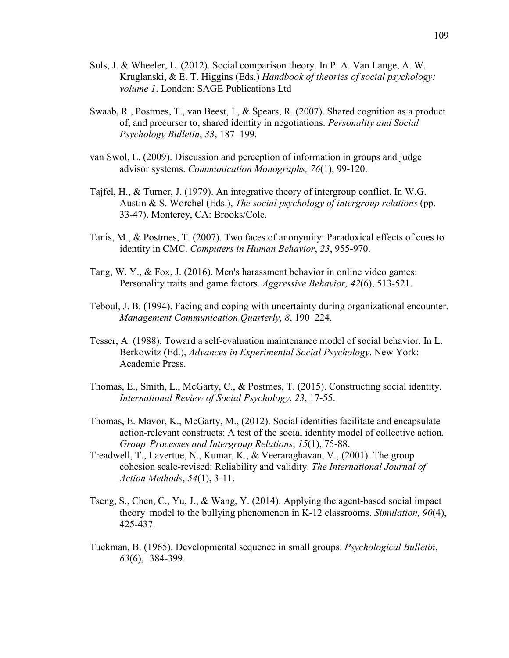- Suls, J. & Wheeler, L. (2012). Social comparison theory. In P. A. Van Lange, A. W. Kruglanski, & E. T. Higgins (Eds.) *Handbook of theories of social psychology: volume 1*. London: SAGE Publications Ltd
- Swaab, R., Postmes, T., van Beest, I., & Spears, R. (2007). Shared cognition as a product of, and precursor to, shared identity in negotiations. *Personality and Social Psychology Bulletin*, *33*, 187–199.
- van Swol, L. (2009). Discussion and perception of information in groups and judge advisor systems. *Communication Monographs, 76*(1), 99-120.
- Tajfel, H., & Turner, J. (1979). An integrative theory of intergroup conflict. In W.G. Austin & S. Worchel (Eds.), *The social psychology of intergroup relations* (pp. 33-47). Monterey, CA: Brooks/Cole.
- Tanis, M., & Postmes, T. (2007). Two faces of anonymity: Paradoxical effects of cues to identity in CMC. *Computers in Human Behavior*, *23*, 955-970.
- Tang, W. Y., & Fox, J. (2016). Men's harassment behavior in online video games: Personality traits and game factors. *Aggressive Behavior, 42*(6), 513-521.
- Teboul, J. B. (1994). Facing and coping with uncertainty during organizational encounter. *Management Communication Quarterly, 8*, 190–224.
- Tesser, A. (1988). Toward a self-evaluation maintenance model of social behavior. In L. Berkowitz (Ed.), *Advances in Experimental Social Psychology*. New York: Academic Press.
- Thomas, E., Smith, L., McGarty, C., & Postmes, T. (2015). Constructing social identity.  *International Review of Social Psychology*, *23*, 17-55.
- Thomas, E. Mavor, K., McGarty, M., (2012). Social identities facilitate and encapsulate action-relevant constructs: A test of the social identity model of collective action*. Group Processes and Intergroup Relations*, *15*(1), 75-88.
- Treadwell, T., Lavertue, N., Kumar, K., & Veeraraghavan, V., (2001). The group cohesion scale-revised: Reliability and validity. *The International Journal of Action Methods*, *54*(1), 3-11.
- Tseng, S., Chen, C., Yu, J., & Wang, Y. (2014). Applying the agent-based social impact theory model to the bullying phenomenon in K-12 classrooms. *Simulation, 90*(4), 425-437.
- Tuckman, B. (1965). Developmental sequence in small groups. *Psychological Bulletin*, *63*(6), 384-399.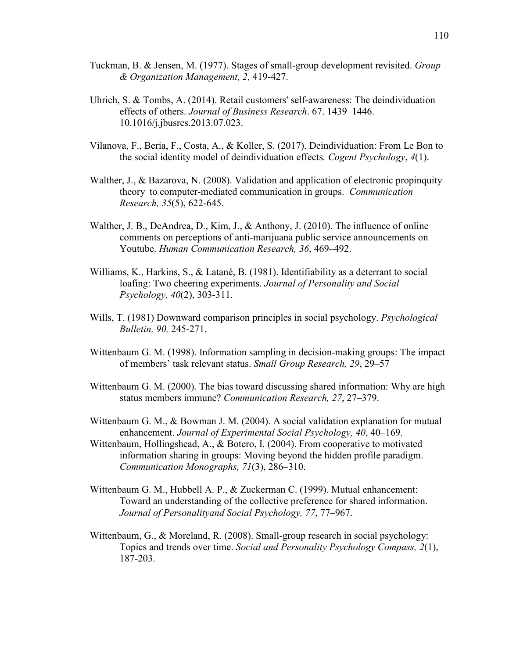- Tuckman, B. & Jensen, M. (1977). Stages of small-group development revisited. *Group & Organization Management, 2,* 419-427.
- Uhrich, S. & Tombs, A. (2014). Retail customers' self-awareness: The deindividuation effects of others. *Journal of Business Research*. 67. 1439–1446. 10.1016/j.jbusres.2013.07.023.
- Vilanova, F., Beria, F., Costa, A., & Koller, S. (2017). Deindividuation: From Le Bon to the social identity model of deindividuation effects*. Cogent Psychology*, *4*(1).
- Walther, J., & Bazarova, N. (2008). Validation and application of electronic propinquity theory to computer-mediated communication in groups. *Communication Research, 35*(5), 622-645.
- Walther, J. B., DeAndrea, D., Kim, J., & Anthony, J. (2010). The influence of online comments on perceptions of anti-marijuana public service announcements on Youtube. *Human Communication Research, 36*, 469–492.
- Williams, K., Harkins, S., & Latané, B. (1981). Identifiability as a deterrant to social loafing: Two cheering experiments. *Journal of Personality and Social Psychology, 40*(2), 303-311.
- Wills, T. (1981) Downward comparison principles in social psychology. *Psychological Bulletin, 90,* 245-271.
- Wittenbaum G. M. (1998). Information sampling in decision-making groups: The impact of members' task relevant status. *Small Group Research, 29*, 29–57
- Wittenbaum G. M. (2000). The bias toward discussing shared information: Why are high status members immune? *Communication Research, 27*, 27–379.
- Wittenbaum G. M., & Bowman J. M. (2004). A social validation explanation for mutual enhancement. *Journal of Experimental Social Psychology, 40*, 40–169.
- Wittenbaum, Hollingshead, A., & Botero, I. (2004). From cooperative to motivated information sharing in groups: Moving beyond the hidden profile paradigm. *Communication Monographs, 71*(3), 286–310.
- Wittenbaum G. M., Hubbell A. P., & Zuckerman C. (1999). Mutual enhancement: Toward an understanding of the collective preference for shared information. *Journal of Personalityand Social Psychology, 77*, 77–967.
- Wittenbaum, G., & Moreland, R. (2008). Small-group research in social psychology: Topics and trends over time. *Social and Personality Psychology Compass, 2*(1), 187-203.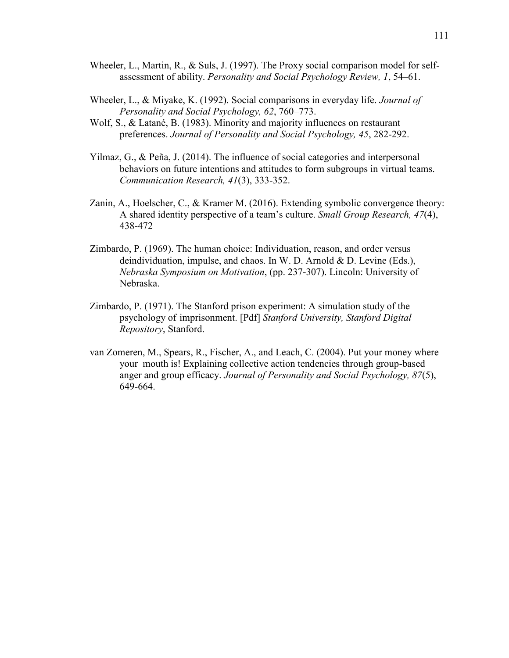- Wheeler, L., Martin, R., & Suls, J. (1997). The Proxy social comparison model for selfassessment of ability. *Personality and Social Psychology Review, 1*, 54–61.
- Wheeler, L., & Miyake, K. (1992). Social comparisons in everyday life. *Journal of Personality and Social Psychology, 62*, 760–773.
- Wolf, S., & Latané, B. (1983). Minority and majority influences on restaurant preferences. *Journal of Personality and Social Psychology, 45*, 282-292.
- Yilmaz, G., & Peña, J. (2014). The influence of social categories and interpersonal behaviors on future intentions and attitudes to form subgroups in virtual teams. *Communication Research, 41*(3), 333-352.
- Zanin, A., Hoelscher, C., & Kramer M. (2016). Extending symbolic convergence theory: A shared identity perspective of a team's culture. *Small Group Research, 47*(4), 438-472
- Zimbardo, P. (1969). The human choice: Individuation, reason, and order versus deindividuation, impulse, and chaos. In W. D. Arnold & D. Levine (Eds.), *Nebraska Symposium on Motivation*, (pp. 237-307). Lincoln: University of Nebraska.
- Zimbardo, P. (1971). The Stanford prison experiment: A simulation study of the psychology of imprisonment. [Pdf] *Stanford University, Stanford Digital Repository*, Stanford.
- van Zomeren, M., Spears, R., Fischer, A., and Leach, C. (2004). Put your money where your mouth is! Explaining collective action tendencies through group-based anger and group efficacy. *Journal of Personality and Social Psychology, 87*(5), 649-664.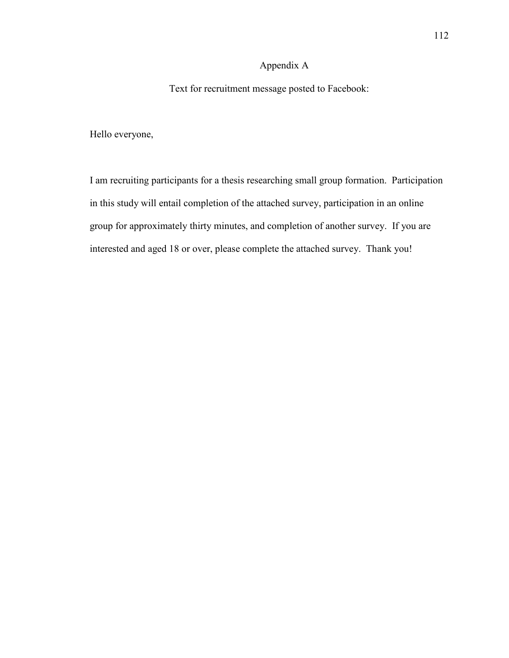## Appendix A

Text for recruitment message posted to Facebook:

Hello everyone,

I am recruiting participants for a thesis researching small group formation. Participation in this study will entail completion of the attached survey, participation in an online group for approximately thirty minutes, and completion of another survey. If you are interested and aged 18 or over, please complete the attached survey. Thank you!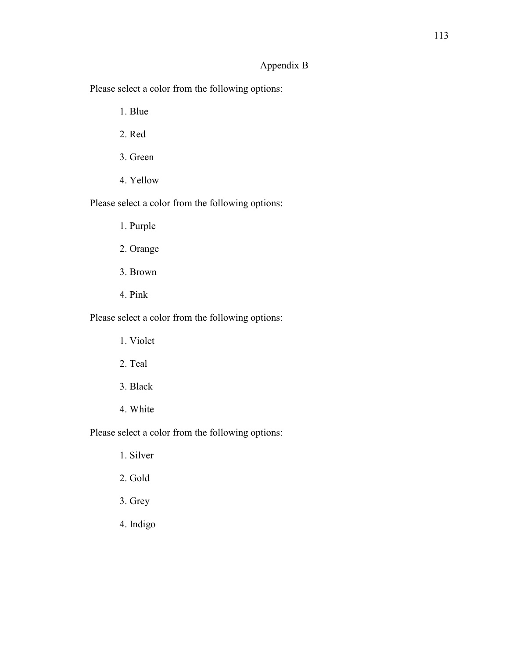## Appendix B

Please select a color from the following options:

1. Blue

- 2. Red
- 3. Green
- 4. Yellow

Please select a color from the following options:

- 1. Purple
- 2. Orange
- 3. Brown
- 4. Pink

Please select a color from the following options:

- 1. Violet
- 2. Teal
- 3. Black
- 4. White

Please select a color from the following options:

- 1. Silver
- 2. Gold
- 3. Grey
- 4. Indigo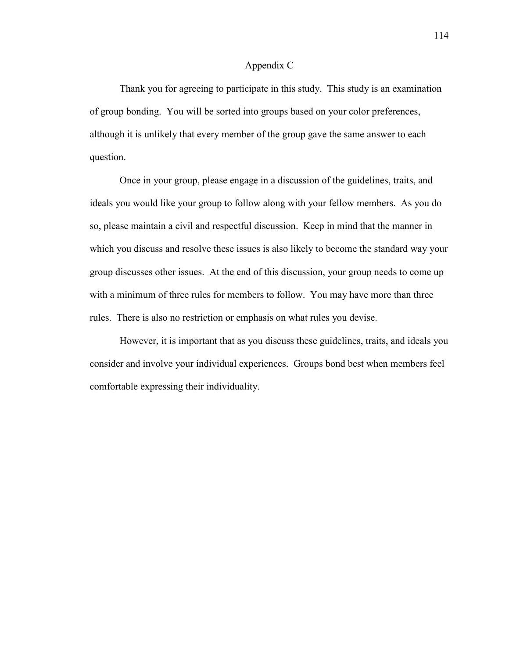#### Appendix C

 Thank you for agreeing to participate in this study. This study is an examination of group bonding. You will be sorted into groups based on your color preferences, although it is unlikely that every member of the group gave the same answer to each question.

 Once in your group, please engage in a discussion of the guidelines, traits, and ideals you would like your group to follow along with your fellow members. As you do so, please maintain a civil and respectful discussion. Keep in mind that the manner in which you discuss and resolve these issues is also likely to become the standard way your group discusses other issues. At the end of this discussion, your group needs to come up with a minimum of three rules for members to follow. You may have more than three rules. There is also no restriction or emphasis on what rules you devise.

 However, it is important that as you discuss these guidelines, traits, and ideals you consider and involve your individual experiences. Groups bond best when members feel comfortable expressing their individuality.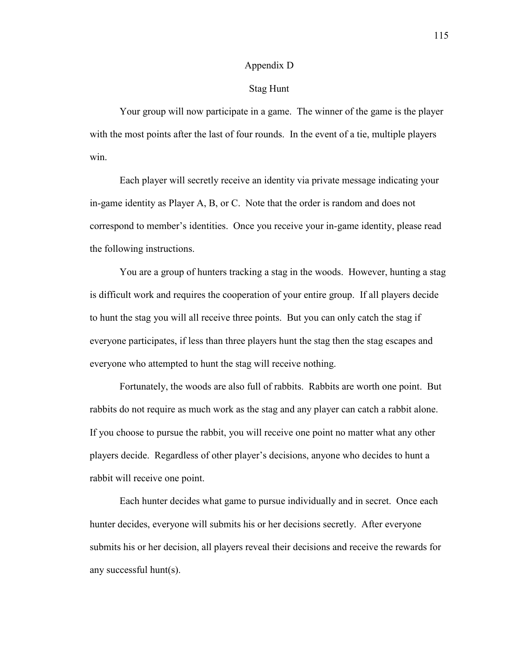#### Appendix D

#### Stag Hunt

 Your group will now participate in a game. The winner of the game is the player with the most points after the last of four rounds. In the event of a tie, multiple players win.

Each player will secretly receive an identity via private message indicating your in-game identity as Player A, B, or C. Note that the order is random and does not correspond to member's identities. Once you receive your in-game identity, please read the following instructions.

You are a group of hunters tracking a stag in the woods. However, hunting a stag is difficult work and requires the cooperation of your entire group. If all players decide to hunt the stag you will all receive three points. But you can only catch the stag if everyone participates, if less than three players hunt the stag then the stag escapes and everyone who attempted to hunt the stag will receive nothing.

Fortunately, the woods are also full of rabbits. Rabbits are worth one point. But rabbits do not require as much work as the stag and any player can catch a rabbit alone. If you choose to pursue the rabbit, you will receive one point no matter what any other players decide. Regardless of other player's decisions, anyone who decides to hunt a rabbit will receive one point.

Each hunter decides what game to pursue individually and in secret. Once each hunter decides, everyone will submits his or her decisions secretly. After everyone submits his or her decision, all players reveal their decisions and receive the rewards for any successful hunt(s).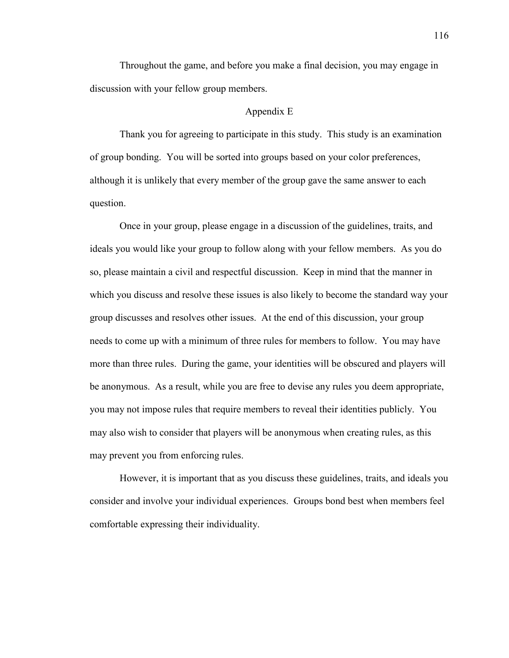Throughout the game, and before you make a final decision, you may engage in discussion with your fellow group members.

#### Appendix E

Thank you for agreeing to participate in this study. This study is an examination of group bonding. You will be sorted into groups based on your color preferences, although it is unlikely that every member of the group gave the same answer to each question.

 Once in your group, please engage in a discussion of the guidelines, traits, and ideals you would like your group to follow along with your fellow members. As you do so, please maintain a civil and respectful discussion. Keep in mind that the manner in which you discuss and resolve these issues is also likely to become the standard way your group discusses and resolves other issues. At the end of this discussion, your group needs to come up with a minimum of three rules for members to follow. You may have more than three rules. During the game, your identities will be obscured and players will be anonymous. As a result, while you are free to devise any rules you deem appropriate, you may not impose rules that require members to reveal their identities publicly. You may also wish to consider that players will be anonymous when creating rules, as this may prevent you from enforcing rules.

 However, it is important that as you discuss these guidelines, traits, and ideals you consider and involve your individual experiences. Groups bond best when members feel comfortable expressing their individuality.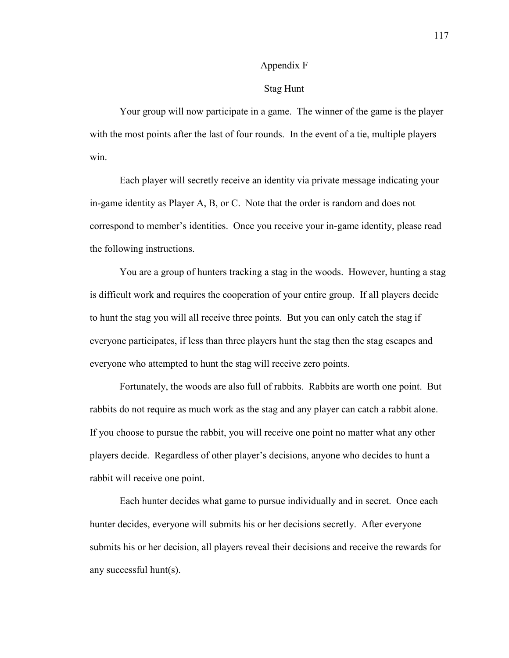### Appendix F

#### Stag Hunt

 Your group will now participate in a game. The winner of the game is the player with the most points after the last of four rounds. In the event of a tie, multiple players win.

Each player will secretly receive an identity via private message indicating your in-game identity as Player A, B, or C. Note that the order is random and does not correspond to member's identities. Once you receive your in-game identity, please read the following instructions.

 You are a group of hunters tracking a stag in the woods. However, hunting a stag is difficult work and requires the cooperation of your entire group. If all players decide to hunt the stag you will all receive three points. But you can only catch the stag if everyone participates, if less than three players hunt the stag then the stag escapes and everyone who attempted to hunt the stag will receive zero points.

Fortunately, the woods are also full of rabbits. Rabbits are worth one point. But rabbits do not require as much work as the stag and any player can catch a rabbit alone. If you choose to pursue the rabbit, you will receive one point no matter what any other players decide. Regardless of other player's decisions, anyone who decides to hunt a rabbit will receive one point.

Each hunter decides what game to pursue individually and in secret. Once each hunter decides, everyone will submits his or her decisions secretly. After everyone submits his or her decision, all players reveal their decisions and receive the rewards for any successful hunt(s).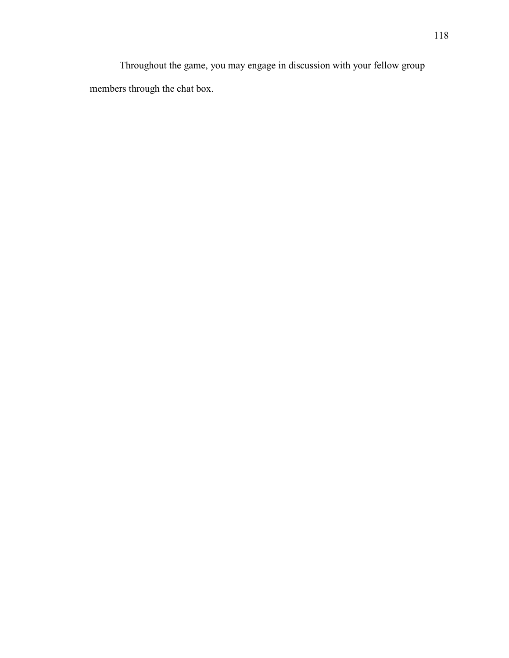Throughout the game, you may engage in discussion with your fellow group members through the chat box.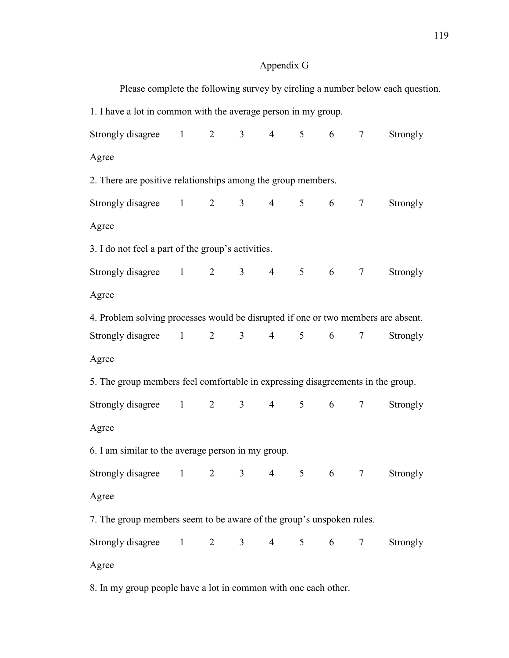# Appendix G

|                                                                                   |  |                |                |                |                |               |        | Please complete the following survey by circling a number below each question. |  |  |
|-----------------------------------------------------------------------------------|--|----------------|----------------|----------------|----------------|---------------|--------|--------------------------------------------------------------------------------|--|--|
| 1. I have a lot in common with the average person in my group.                    |  |                |                |                |                |               |        |                                                                                |  |  |
| Strongly disagree $1 \t 2 \t 3$                                                   |  |                |                | $\overline{4}$ |                | $5 \t 6 \t 7$ |        | Strongly                                                                       |  |  |
| Agree                                                                             |  |                |                |                |                |               |        |                                                                                |  |  |
| 2. There are positive relationships among the group members.                      |  |                |                |                |                |               |        |                                                                                |  |  |
| Strongly disagree $1 \t 2 \t 3$                                                   |  |                |                | $\overline{4}$ |                | $5 \t 6 \t 7$ |        | Strongly                                                                       |  |  |
| Agree                                                                             |  |                |                |                |                |               |        |                                                                                |  |  |
| 3. I do not feel a part of the group's activities.                                |  |                |                |                |                |               |        |                                                                                |  |  |
| Strongly disagree $1 \t 2$                                                        |  |                |                | $3 \t 4$       |                | 5 6 7         |        | Strongly                                                                       |  |  |
| Agree                                                                             |  |                |                |                |                |               |        |                                                                                |  |  |
| 4. Problem solving processes would be disrupted if one or two members are absent. |  |                |                |                |                |               |        |                                                                                |  |  |
| Strongly disagree 1                                                               |  | $\overline{2}$ | 3 <sup>1</sup> | $\overline{4}$ | 5 <sup>5</sup> | 6             | $\tau$ | Strongly                                                                       |  |  |
| Agree                                                                             |  |                |                |                |                |               |        |                                                                                |  |  |
| 5. The group members feel comfortable in expressing disagreements in the group.   |  |                |                |                |                |               |        |                                                                                |  |  |
| Strongly disagree 1 2 3 4                                                         |  |                |                |                | 5 <sup>5</sup> | $6\degree$    | $\tau$ | Strongly                                                                       |  |  |
| Agree                                                                             |  |                |                |                |                |               |        |                                                                                |  |  |
| 6. I am similar to the average person in my group.                                |  |                |                |                |                |               |        |                                                                                |  |  |
| Strongly disagree 1 2 3 4 5 6 7 Strongly                                          |  |                |                |                |                |               |        |                                                                                |  |  |
| Agree                                                                             |  |                |                |                |                |               |        |                                                                                |  |  |
| 7. The group members seem to be aware of the group's unspoken rules.              |  |                |                |                |                |               |        |                                                                                |  |  |
| Strongly disagree 1 2 3 4 5 6 7                                                   |  |                |                |                |                |               |        | Strongly                                                                       |  |  |
| Agree                                                                             |  |                |                |                |                |               |        |                                                                                |  |  |
| 8. In my group people have a lot in common with one each other.                   |  |                |                |                |                |               |        |                                                                                |  |  |